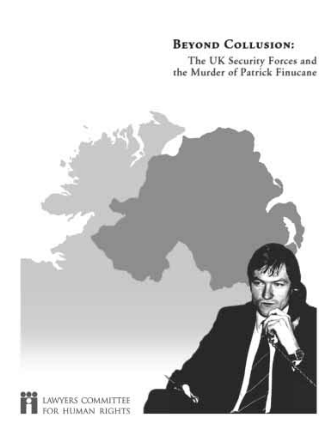# **BEYOND COLLUSION:**

The UK Security Forces and<br>the Murder of Patrick Finucane

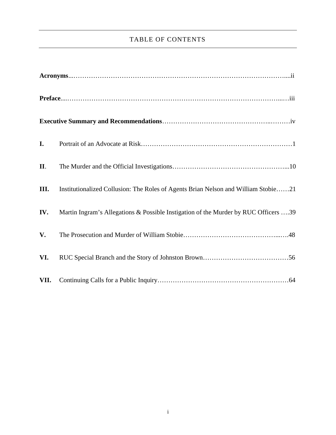# TABLE OF CONTENTS

| I.   |                                                                                     |  |
|------|-------------------------------------------------------------------------------------|--|
| II.  |                                                                                     |  |
| III. | Institutionalized Collusion: The Roles of Agents Brian Nelson and William Stobie21  |  |
| IV.  | Martin Ingram's Allegations & Possible Instigation of the Murder by RUC Officers 39 |  |
| V.   |                                                                                     |  |
| VI.  |                                                                                     |  |
| VII. |                                                                                     |  |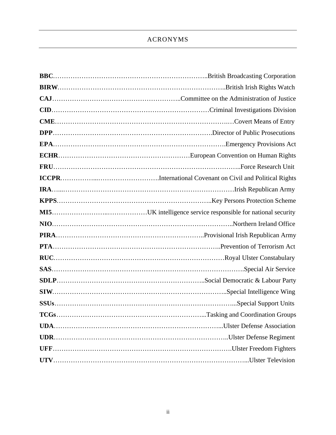# ACRONYMS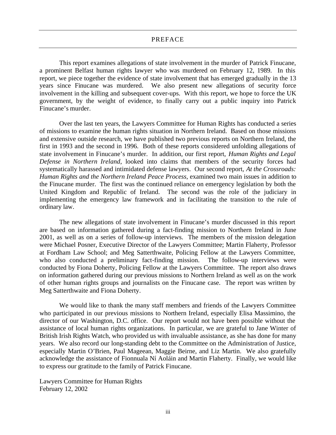This report examines allegations of state involvement in the murder of Patrick Finucane, a prominent Belfast human rights lawyer who was murdered on February 12, 1989. In this report, we piece together the evidence of state involvement that has emerged gradually in the 13 years since Finucane was murdered. We also present new allegations of security force involvement in the killing and subsequent cover-ups. With this report, we hope to force the UK government, by the weight of evidence, to finally carry out a public inquiry into Patrick Finucane's murder.

Over the last ten years, the Lawyers Committee for Human Rights has conducted a series of missions to examine the human rights situation in Northern Ireland. Based on those missions and extensive outside research, we have published two previous reports on Northern Ireland, the first in 1993 and the second in 1996. Both of these reports considered unfolding allegations of state involvement in Finucane's murder. In addition, our first report, *Human Rights and Legal Defense in Northern Ireland*, looked into claims that members of the security forces had systematically harassed and intimidated defense lawyers. Our second report, *At the Crossroads: Human Rights and the Northern Ireland Peace Process*, examined two main issues in addition to the Finucane murder. The first was the continued reliance on emergency legislation by both the United Kingdom and Republic of Ireland. The second was the role of the judiciary in implementing the emergency law framework and in facilitating the transition to the rule of ordinary law.

The new allegations of state involvement in Finucane's murder discussed in this report are based on information gathered during a fact-finding mission to Northern Ireland in June 2001, as well as on a series of follow-up interviews. The members of the mission delegation were Michael Posner, Executive Director of the Lawyers Committee; Martin Flaherty, Professor at Fordham Law School; and Meg Satterthwaite, Policing Fellow at the Lawyers Committee, who also conducted a preliminary fact-finding mission. The follow-up interviews were conducted by Fiona Doherty, Policing Fellow at the Lawyers Committee. The report also draws on information gathered during our previous missions to Northern Ireland as well as on the work of other human rights groups and journalists on the Finucane case. The report was written by Meg Satterthwaite and Fiona Doherty.

We would like to thank the many staff members and friends of the Lawyers Committee who participated in our previous missions to Northern Ireland, especially Elisa Massimino, the director of our Washington, D.C. office. Our report would not have been possible without the assistance of local human rights organizations. In particular, we are grateful to Jane Winter of British Irish Rights Watch, who provided us with invaluable assistance, as she has done for many years. We also record our long-standing debt to the Committee on the Administration of Justice, especially Martin O'Brien, Paul Mageean, Maggie Beirne, and Liz Martin. We also gratefully acknowledge the assistance of Fionnuala Ní Aoláin and Martin Flaherty. Finally, we would like to express our gratitude to the family of Patrick Finucane.

Lawyers Committee for Human Rights February 12, 2002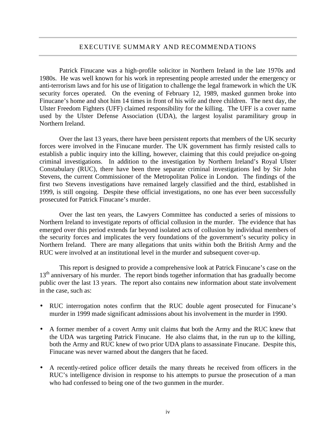# EXECUTIVE SUMMARY AND RECOMMENDATIONS

Patrick Finucane was a high-profile solicitor in Northern Ireland in the late 1970s and 1980s. He was well known for his work in representing people arrested under the emergency or anti-terrorism laws and for his use of litigation to challenge the legal framework in which the UK security forces operated. On the evening of February 12, 1989, masked gunmen broke into Finucane's home and shot him 14 times in front of his wife and three children. The next day, the Ulster Freedom Fighters (UFF) claimed responsibility for the killing. The UFF is a cover name used by the Ulster Defense Association (UDA), the largest loyalist paramilitary group in Northern Ireland.

Over the last 13 years, there have been persistent reports that members of the UK security forces were involved in the Finucane murder. The UK government has firmly resisted calls to establish a public inquiry into the killing, however, claiming that this could prejudice on-going criminal investigations. In addition to the investigation by Northern Ireland's Royal Ulster Constabulary (RUC), there have been three separate criminal investigations led by Sir John Stevens, the current Commissioner of the Metropolitan Police in London. The findings of the first two Stevens investigations have remained largely classified and the third, established in 1999, is still ongoing. Despite these official investigations, no one has ever been successfully prosecuted for Patrick Finucane's murder.

Over the last ten years, the Lawyers Committee has conducted a series of missions to Northern Ireland to investigate reports of official collusion in the murder. The evidence that has emerged over this period extends far beyond isolated acts of collusion by individual members of the security forces and implicates the very foundations of the government's security policy in Northern Ireland. There are many allegations that units within both the British Army and the RUC were involved at an institutional level in the murder and subsequent cover-up.

This report is designed to provide a comprehensive look at Patrick Finucane's case on the  $13<sup>th</sup>$  anniversary of his murder. The report binds together information that has gradually become public over the last 13 years. The report also contains new information about state involvement in the case, such as:

- RUC interrogation notes confirm that the RUC double agent prosecuted for Finucane's murder in 1999 made significant admissions about his involvement in the murder in 1990.
- A former member of a covert Army unit claims that both the Army and the RUC knew that the UDA was targeting Patrick Finucane. He also claims that, in the run up to the killing, both the Army and RUC knew of two prior UDA plans to assassinate Finucane. Despite this, Finucane was never warned about the dangers that he faced.
- A recently-retired police officer details the many threats he received from officers in the RUC's intelligence division in response to his attempts to pursue the prosecution of a man who had confessed to being one of the two gunmen in the murder.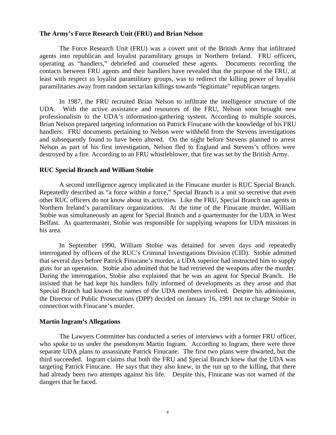# **The Army's Force Research Unit (FRU) and Brian Nelson**

The Force Research Unit (FRU) was a covert unit of the British Army that infiltrated agents into republican and loyalist paramilitary groups in Northern Ireland. FRU officers, operating as "handlers," debriefed and counseled these agents. Documents recording the contacts between FRU agents and their handlers have revealed that the purpose of the FRU, at least with respect to loyalist paramilitary groups, was to redirect the killing power of loyalist paramilitaries away from random sectarian killings towards "legitimate" republican targets.

In 1987, the FRU recruited Brian Nelson to infiltrate the intelligence structure of the UDA. With the active assistance and resources of the FRU, Nelson soon brought new professionalism to the UDA's information-gathering system. According to multiple sources, Brian Nelson prepared targeting information on Patrick Finucane with the knowledge of his FRU handlers. FRU documents pertaining to Nelson were withheld from the Stevens investigations and subsequently found to have been altered. On the night before Stevens planned to arrest Nelson as part of his first investigation, Nelson fled to England and Stevens's offices were destroyed by a fire. According to an FRU whistleblower, that fire was set by the British Army.

# **RUC Special Branch and William Stobie**

A second intelligence agency implicated in the Finucane murder is RUC Special Branch. Repeatedly described as "a force within a force," Special Branch is a unit so secretive that even other RUC officers do not know about its activities. Like the FRU, Special Branch ran agents in Northern Ireland's paramilitary organizations. At the time of the Finucane murder, William Stobie was simultaneously an agent for Special Branch and a quartermaster for the UDA in West Belfast. As quartermaster, Stobie was responsible for supplying weapons for UDA missions in his area.

In September 1990, William Stobie was detained for seven days and repeatedly interrogated by officers of the RUC's Criminal Investigations Division (CID). Stobie admitted that several days before Patrick Finucane's murder, a UDA superior had instructed him to supply guns for an operation. Stobie also admitted that he had retrieved the weapons after the murder. During the interrogation, Stobie also explained that he was an agent for Special Branch. He insisted that he had kept his handlers fully informed of developments as they arose and that Special Branch had known the names of the UDA members involved. Despite his admissions, the Director of Public Prosecutions (DPP) decided on January 16, 1991 not to charge Stobie in connection with Finucane's murder.

# **Martin Ingram's Allegations**

The Lawyers Committee has conducted a series of interviews with a former FRU officer, who spoke to us under the pseudonym Martin Ingram. According to Ingram, there were three separate UDA plans to assassinate Patrick Finucane. The first two plans were thwarted, but the third succeeded. Ingram claims that both the FRU and Special Branch knew that the UDA was targeting Patrick Finucane. He says that they also knew, in the run up to the killing, that there had already been two attempts against his life. Despite this, Finucane was not warned of the dangers that he faced.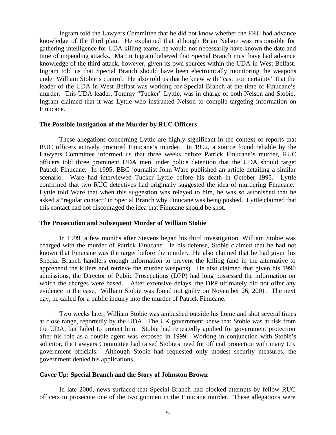Ingram told the Lawyers Committee that he did not know whether the FRU had advance knowledge of the third plan. He explained that although Brian Nelson was responsible for gathering intelligence for UDA killing teams, he would not necessarily have known the date and time of impending attacks. Martin Ingram believed that Special Branch must have had advance knowledge of the third attack, however, given its own sources within the UDA in West Belfast. Ingram told us that Special Branch should have been electronically monitoring the weapons under William Stobie's control. He also told us that he knew with "cast iron certainty" that the leader of the UDA in West Belfast was working for Special Branch at the time of Finucane's murder. This UDA leader, Tommy "Tucker" Lyttle, was in charge of both Nelson and Stobie. Ingram claimed that it was Lyttle who instructed Nelson to compile targeting information on Finucane.

#### **The Possible Instigation of the Murder by RUC Officers**

These allegations concerning Lyttle are highly significant in the context of reports that RUC officers actively procured Finucane's murder. In 1992, a source found reliable by the Lawyers Committee informed us that three weeks before Patrick Finucane's murder, RUC officers told three prominent UDA men under police detention that the UDA should target Patrick Finucane. In 1995, BBC journalist John Ware published an article detailing a similar scenario. Ware had interviewed Tucker Lyttle before his death in October 1995. Lyttle confirmed that two RUC detectives had originally suggested the idea of murdering Finucane. Lyttle told Ware that when this suggestion was relayed to him, he was so astonished that he asked a "regular contact" in Special Branch why Finucane was being pushed. Lyttle claimed that this contact had not discouraged the idea that Finucane should be shot.

# **The Prosecution and Subsequent Murder of William Stobie**

In 1999, a few months after Stevens began his third investigation, William Stobie was charged with the murder of Patrick Finucane. In his defense, Stobie claimed that he had not known that Finucane was the target before the murder. He also claimed that he had given his Special Branch handlers enough information to prevent the killing (and in the alternative to apprehend the killers and retrieve the murder weapons). He also claimed that given his 1990 admissions, the Director of Public Prosecutions (DPP) had long possessed the information on which the charges were based. After extensive delays, the DPP ultimately did not offer any evidence in the case. William Stobie was found not guilty on November 26, 2001. The next day, he called for a public inquiry into the murder of Patrick Finucane.

Two weeks later, William Stobie was ambushed outside his home and shot several times at close range, reportedly by the UDA. The UK government knew that Stobie was at risk from the UDA, but failed to protect him. Stobie had repeatedly applied for government protection after his role as a double agent was exposed in 1999. Working in conjunction with Stobie's solicitor, the Lawyers Committee had raised Stobie's need for official protection with many UK government officials. Although Stobie had requested only modest security measures, the government denied his applications.

# **Cover Up: Special Branch and the Story of Johnston Brown**

In late 2000, news surfaced that Special Branch had blocked attempts by fellow RUC officers to prosecute one of the two gunmen in the Finucane murder. These allegations were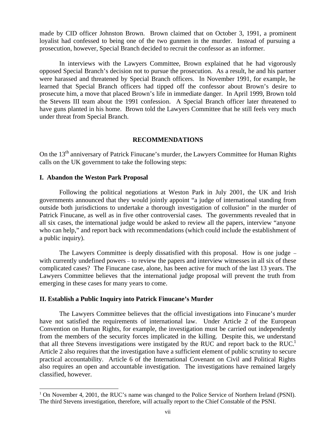made by CID officer Johnston Brown. Brown claimed that on October 3, 1991, a prominent loyalist had confessed to being one of the two gunmen in the murder. Instead of pursuing a prosecution, however, Special Branch decided to recruit the confessor as an informer.

In interviews with the Lawyers Committee, Brown explained that he had vigorously opposed Special Branch's decision not to pursue the prosecution. As a result, he and his partner were harassed and threatened by Special Branch officers. In November 1991, for example, he learned that Special Branch officers had tipped off the confessor about Brown's desire to prosecute him, a move that placed Brown's life in immediate danger. In April 1999, Brown told the Stevens III team about the 1991 confession. A Special Branch officer later threatened to have guns planted in his home. Brown told the Lawyers Committee that he still feels very much under threat from Special Branch.

#### **RECOMMENDATIONS**

On the 13<sup>th</sup> anniversary of Patrick Finucane's murder, the Lawyers Committee for Human Rights calls on the UK government to take the following steps:

#### **I. Abandon the Weston Park Proposal**

 $\overline{a}$ 

Following the political negotiations at Weston Park in July 2001, the UK and Irish governments announced that they would jointly appoint "a judge of international standing from outside both jurisdictions to undertake a thorough investigation of collusion" in the murder of Patrick Finucane, as well as in five other controversial cases. The governments revealed that in all six cases, the international judge would be asked to review all the papers, interview "anyone who can help," and report back with recommendations (which could include the establishment of a public inquiry).

The Lawyers Committee is deeply dissatisfied with this proposal. How is one judge – with currently undefined powers – to review the papers and interview witnesses in all six of these complicated cases? The Finucane case, alone, has been active for much of the last 13 years. The Lawyers Committee believes that the international judge proposal will prevent the truth from emerging in these cases for many years to come.

# **II. Establish a Public Inquiry into Patrick Finucane's Murder**

The Lawyers Committee believes that the official investigations into Finucane's murder have not satisfied the requirements of international law. Under Article 2 of the European Convention on Human Rights, for example, the investigation must be carried out independently from the members of the security forces implicated in the killing. Despite this, we understand that all three Stevens investigations were instigated by the RUC and report back to the RUC.<sup>1</sup> Article 2 also requires that the investigation have a sufficient element of public scrutiny to secure practical accountability. Article 6 of the International Covenant on Civil and Political Rights also requires an open and accountable investigation. The investigations have remained largely classified, however.

<sup>&</sup>lt;sup>1</sup> On November 4, 2001, the RUC's name was changed to the Police Service of Northern Ireland (PSNI). The third Stevens investigation, therefore, will actually report to the Chief Constable of the PSNI.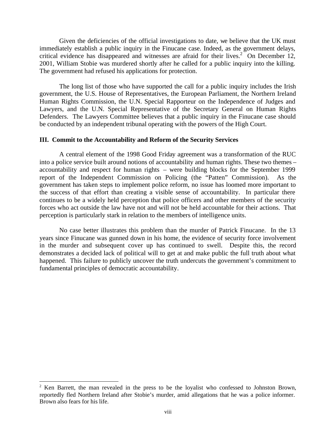Given the deficiencies of the official investigations to date, we believe that the UK must immediately establish a public inquiry in the Finucane case. Indeed, as the government delays, critical evidence has disappeared and witnesses are afraid for their lives.<sup>2</sup> On December 12, 2001, William Stobie was murdered shortly after he called for a public inquiry into the killing. The government had refused his applications for protection.

The long list of those who have supported the call for a public inquiry includes the Irish government, the U.S. House of Representatives, the European Parliament, the Northern Ireland Human Rights Commission, the U.N. Special Rapporteur on the Independence of Judges and Lawyers, and the U.N. Special Representative of the Secretary General on Human Rights Defenders. The Lawyers Committee believes that a public inquiry in the Finucane case should be conducted by an independent tribunal operating with the powers of the High Court.

# **III. Commit to the Accountability and Reform of the Security Services**

A central element of the 1998 Good Friday agreement was a transformation of the RUC into a police service built around notions of accountability and human rights. These two themes – accountability and respect for human rights – were building blocks for the September 1999 report of the Independent Commission on Policing (the "Patten" Commission). As the government has taken steps to implement police reform, no issue has loomed more important to the success of that effort than creating a visible sense of accountability. In particular there continues to be a widely held perception that police officers and other members of the security forces who act outside the law have not and will not be held accountable for their actions. That perception is particularly stark in relation to the members of intelligence units.

No case better illustrates this problem than the murder of Patrick Finucane. In the 13 years since Finucane was gunned down in his home, the evidence of security force involvement in the murder and subsequent cover up has continued to swell. Despite this, the record demonstrates a decided lack of political will to get at and make public the full truth about what happened. This failure to publicly uncover the truth undercuts the government's commitment to fundamental principles of democratic accountability.

 $2$  Ken Barrett, the man revealed in the press to be the loyalist who confessed to Johnston Brown, reportedly fled Northern Ireland after Stobie's murder, amid allegations that he was a police informer. Brown also fears for his life.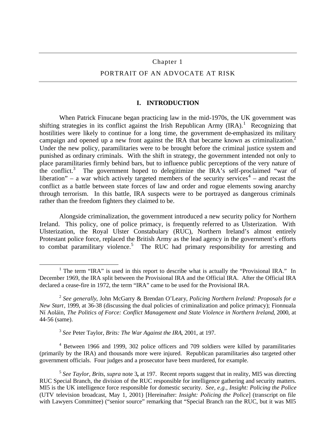# Chapter 1

# PORTRAIT OF AN ADVOCATE AT RISK

# **I. INTRODUCTION**

When Patrick Finucane began practicing law in the mid-1970s, the UK government was shifting strategies in its conflict against the Irish Republican Army  $(IRA)$ .<sup>1</sup> Recognizing that hostilities were likely to continue for a long time, the government de-emphasized its military campaign and opened up a new front against the IRA that became known as criminalization.<sup>2</sup> Under the new policy, paramilitaries were to be brought before the criminal justice system and punished as ordinary criminals. With the shift in strategy, the government intended not only to place paramilitaries firmly behind bars, but to influence public perceptions of the very nature of the conflict.<sup>3</sup> The government hoped to delegitimize the IRA's self-proclaimed "war of liberation" – a war which actively targeted members of the security services<sup>4</sup> – and recast the conflict as a battle between state forces of law and order and rogue elements sowing anarchy through terrorism. In this battle, IRA suspects were to be portrayed as dangerous criminals rather than the freedom fighters they claimed to be.

Alongside criminalization, the government introduced a new security policy for Northern Ireland. This policy, one of police primacy, is frequently referred to as Ulsterization. With Ulsterization, the Royal Ulster Constabulary (RUC), Northern Ireland's almost entirely Protestant police force, replaced the British Army as the lead agency in the government's efforts to combat paramilitary violence.<sup>5</sup> The RUC had primary responsibility for arresting and

3 *See* Peter Taylor, *Brits: The War Against the IRA*, 2001, at 197.

 $\overline{a}$ 

<sup>4</sup> Between 1966 and 1999, 302 police officers and 709 soldiers were killed by paramilitaries (primarily by the IRA) and thousands more were injured. Republican paramilitaries also targeted other government officials. Four judges and a prosecutor have been murdered, for example.

5 *See Taylor*, *Brits*, *supra* note 3**,** at 197. Recent reports suggest that in reality, MI5 was directing RUC Special Branch, the division of the RUC responsible for intelligence gathering and security matters. MI5 is the UK intelligence force responsible for domestic security. *See, e.g.*, *Insight: Policing the Police* (UTV television broadcast, May 1, 2001) [Hereinafter: *Insight: Policing the Police*] (transcript on file with Lawyers Committee) ("senior source" remarking that "Special Branch ran the RUC, but it was MI5

<sup>&</sup>lt;sup>1</sup> The term "IRA" is used in this report to describe what is actually the "Provisional IRA." In December 1969, the IRA split between the Provisional IRA and the Official IRA. After the Official IRA declared a cease-fire in 1972, the term "IRA" came to be used for the Provisional IRA.

<sup>2</sup> *See generally*, John McGarry & Brendan O'Leary*, Policing Northern Ireland: Proposals for a New Start*, 1999, at 36-38 (discussing the dual policies of criminalization and police primacy); Fionnuala Ní Aoláin, *The Politics of Force: Conflict Management and State Violence in Northern Ireland*, 2000, at 44-56 (same).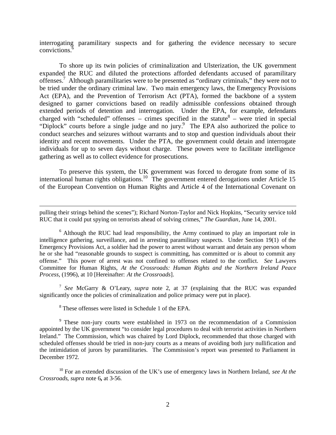interrogating paramilitary suspects and for gathering the evidence necessary to secure convictions.<sup>6</sup>

To shore up its twin policies of criminalization and Ulsterization, the UK government expanded the RUC and diluted the protections afforded defendants accused of paramilitary offenses.<sup>7</sup> Although paramilitaries were to be presented as "ordinary criminals," they were not to be tried under the ordinary criminal law. Two main emergency laws, the Emergency Provisions Act (EPA), and the Prevention of Terrorism Act (PTA), formed the backbone of a system designed to garner convictions based on readily admissible confessions obtained through extended periods of detention and interrogation. Under the EPA, for example, defendants charged with "scheduled" offenses – crimes specified in the statute  $8$  – were tried in special "Diplock" courts before a single judge and no jury.<sup>9</sup> The EPA also authorized the police to conduct searches and seizures without warrants and to stop and question individuals about their identity and recent movements. Under the PTA, the government could detain and interrogate individuals for up to seven days without charge. These powers were to facilitate intelligence gathering as well as to collect evidence for prosecutions.

To preserve this system, the UK government was forced to derogate from some of its international human rights obligations.<sup>10</sup> The government entered derogations under Article 15 of the European Convention on Human Rights and Article 4 of the International Covenant on

pulling their strings behind the scenes"); Richard Norton-Taylor and Nick Hopkins, "Security service told RUC that it could put spying on terrorists ahead of solving crimes," *The Guardian*, June 14, 2001.

<sup>6</sup> Although the RUC had lead responsibility, the Army continued to play an important role in intelligence gathering, surveillance, and in arresting paramilitary suspects. Under Section 19(1) of the Emergency Provisions Act, a soldier had the power to arrest without warrant and detain any person whom he or she had "reasonable grounds to suspect is committing, has committed or is about to commit any offense." This power of arrest was not confined to offenses related to the conflict. *See* Lawyers Committee for Human Rights, *At the Crossroads: Human Rights and the Northern Ireland Peace Process*, (1996), at 10 [Hereinafter: *At the Crossroads*].

7 *See* McGarry & O'Leary, *supra* note 2, at 37 (explaining that the RUC was expanded significantly once the policies of criminalization and police primacy were put in place).

<sup>8</sup> These offenses were listed in Schedule 1 of the EPA.

 $\overline{a}$ 

<sup>9</sup> These non-jury courts were established in 1973 on the recommendation of a Commission appointed by the UK government "to consider legal procedures to deal with terrorist activities in Northern Ireland." The Commission, which was chaired by Lord Diplock, recommended that those charged with scheduled offenses should be tried in non-jury courts as a means of avoiding both jury nullification and the intimidation of jurors by paramilitaries. The Commission's report was presented to Parliament in December 1972.

<sup>10</sup> For an extended discussion of the UK's use of emergency laws in Northern Ireland, *see At the Crossroads*, *supra* note 6**,** at 3-56.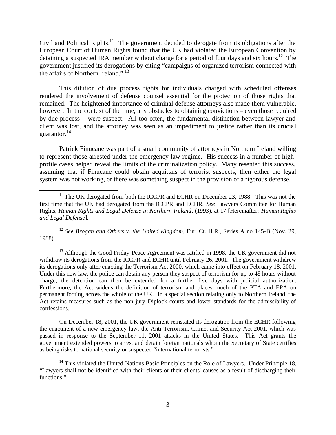Civil and Political Rights.<sup>11</sup> The government decided to derogate from its obligations after the European Court of Human Rights found that the UK had violated the European Convention by detaining a suspected IRA member without charge for a period of four days and six hours.<sup>12</sup> The government justified its derogations by citing "campaigns of organized terrorism connected with the affairs of Northern Ireland."<sup>13</sup>

This dilution of due process rights for individuals charged with scheduled offenses rendered the involvement of defense counsel essential for the protection of those rights that remained. The heightened importance of criminal defense attorneys also made them vulnerable, however. In the context of the time, any obstacles to obtaining convictions – even those required by due process – were suspect. All too often, the fundamental distinction between lawyer and client was lost, and the attorney was seen as an impediment to justice rather than its crucial guarantor.<sup>14</sup>

Patrick Finucane was part of a small community of attorneys in Northern Ireland willing to represent those arrested under the emergency law regime. His success in a number of highprofile cases helped reveal the limits of the criminalization policy. Many resented this success, assuming that if Finucane could obtain acquittals of terrorist suspects, then either the legal system was not working, or there was something suspect in the provision of a rigorous defense.

1

<sup>12</sup> *See Brogan and Others v. the United Kingdom*, Eur. Ct. H.R., Series A no 145-B (Nov. 29, 1988).

 $13$  Although the Good Friday Peace Agreement was ratified in 1998, the UK government did not withdraw its derogations from the ICCPR and ECHR until February 26, 2001. The government withdrew its derogations only after enacting the Terrorism Act 2000, which came into effect on February 18, 2001. Under this new law, the police can detain any person they suspect of terrorism for up to 48 hours without charge; the detention can then be extended for a further five days with judicial authorization. Furthermore, the Act widens the definition of terrorism and places much of the PTA and EPA on permanent footing across the whole of the UK. In a special section relating only to Northern Ireland, the Act retains measures such as the non-jury Diplock courts and lower standards for the admissibility of confessions.

On December 18, 2001, the UK government reinstated its derogation from the ECHR following the enactment of a new emergency law, the Anti-Terrorism, Crime, and Security Act 2001, which was passed in response to the September 11, 2001 attacks in the United States. This Act grants the government extended powers to arrest and detain foreign nationals whom the Secretary of State certifies as being risks to national security or suspected "international terrorists."

 $14$  This violated the United Nations Basic Principles on the Role of Lawyers. Under Principle 18, "Lawyers shall not be identified with their clients or their clients' causes as a result of discharging their functions."

 $11$  The UK derogated from both the ICCPR and ECHR on December 23, 1988. This was not the first time that the UK had derogated from the ICCPR and ECHR. *See* Lawyers Committee for Human Rights, *Human Rights and Legal Defense in Northern Ireland*, (1993), at 17 [Hereinafter: *Human Rights and Legal Defense*].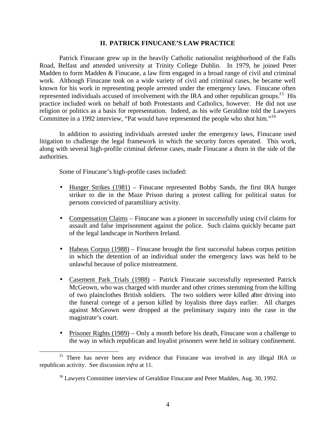#### **II. PATRICK FINUCANE'S LAW PRACTICE**

Patrick Finucane grew up in the heavily Catholic nationalist neighborhood of the Falls Road, Belfast and attended university at Trinity College Dublin. In 1979, he joined Peter Madden to form Madden & Finucane, a law firm engaged in a broad range of civil and criminal work. Although Finucane took on a wide variety of civil and criminal cases, he became well known for his work in representing people arrested under the emergency laws. Finucane often represented individuals accused of involvement with the IRA and other republican groups.<sup>15</sup> His practice included work on behalf of both Protestants and Catholics, however. He did not use religion or politics as a basis for representation. Indeed, as his wife Geraldine told the Lawyers Committee in a 1992 interview, "Pat would have represented the people who shot him."<sup>16</sup>

In addition to assisting individuals arrested under the emergency laws, Finucane used litigation to challenge the legal framework in which the security forces operated. This work, along with several high-profile criminal defense cases, made Finucane a thorn in the side of the authorities.

Some of Finucane's high-profile cases included:

1

- Hunger Strikes (1981) Finucane represented Bobby Sands, the first IRA hunger striker to die in the Maze Prison during a protest calling for political status for persons convicted of paramilitary activity.
- Compensation Claims Finucane was a pioneer in successfully using civil claims for assault and false imprisonment against the police. Such claims quickly became part of the legal landscape in Northern Ireland.
- Habeas Corpus (1988) Finucane brought the first successful habeas corpus petition in which the detention of an individual under the emergency laws was held to be unlawful because of police mistreatment.
- Casement Park Trials (1988) Patrick Finucane successfully represented Patrick McGeown, who was charged with murder and other crimes stemming from the killing of two plainclothes British soldiers. The two soldiers were killed after driving into the funeral cortege of a person killed by loyalists three days earlier. All charges against McGeown were dropped at the preliminary inquiry into the case in the magistrate's court.
- Prisoner Rights (1989) Only a month before his death, Finucane won a challenge to the way in which republican and loyalist prisoners were held in solitary confinement.

<sup>&</sup>lt;sup>15</sup> There has never been any evidence that Finucane was involved in any illegal IRA or republican activity. See discussion *infra* at 11.

<sup>&</sup>lt;sup>16</sup> Lawyers Committee interview of Geraldine Finucane and Peter Madden, Aug. 30, 1992.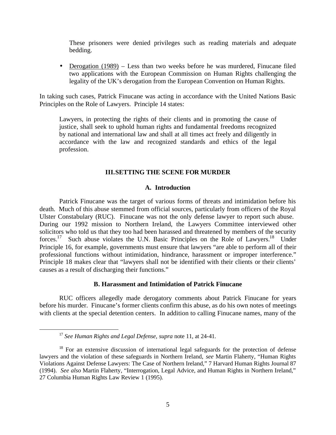These prisoners were denied privileges such as reading materials and adequate bedding.

• Derogation (1989) – Less than two weeks before he was murdered, Finucane filed two applications with the European Commission on Human Rights challenging the legality of the UK's derogation from the European Convention on Human Rights.

In taking such cases, Patrick Finucane was acting in accordance with the United Nations Basic Principles on the Role of Lawyers. Principle 14 states:

Lawyers, in protecting the rights of their clients and in promoting the cause of justice, shall seek to uphold human rights and fundamental freedoms recognized by national and international law and shall at all times act freely and diligently in accordance with the law and recognized standards and ethics of the legal profession.

# **III.SETTING THE SCENE FOR MURDER**

# **A. Introduction**

Patrick Finucane was the target of various forms of threats and intimidation before his death. Much of this abuse stemmed from official sources, particularly from officers of the Royal Ulster Constabulary (RUC). Finucane was not the only defense lawyer to report such abuse. During our 1992 mission to Northern Ireland, the Lawyers Committee interviewed other solicitors who told us that they too had been harassed and threatened by members of the security forces.<sup>17</sup> Such abuse violates the U.N. Basic Principles on the Role of Lawyers.<sup>18</sup> Under Principle 16, for example, governments must ensure that lawyers "are able to perform all of their professional functions without intimidation, hindrance, harassment or improper interference." Principle 18 makes clear that "lawyers shall not be identified with their clients or their clients' causes as a result of discharging their functions."

# **B. Harassment and Intimidation of Patrick Finucane**

RUC officers allegedly made derogatory comments about Patrick Finucane for years before his murder. Finucane's former clients confirm this abuse, as do his own notes of meetings with clients at the special detention centers. In addition to calling Finucane names, many of the

l

<sup>17</sup> *See Human Rights and Legal Defense*, *supra* note 11, at 24-41.

 $18$  For an extensive discussion of international legal safeguards for the protection of defense lawyers and the violation of these safeguards in Northern Ireland, *see* Martin Flaherty, "Human Rights Violations Against Defense Lawyers: The Case of Northern Ireland," 7 Harvard Human Rights Journal 87 (1994). *See also* Martin Flaherty, "Interrogation, Legal Advice, and Human Rights in Northern Ireland," 27 Columbia Human Rights Law Review 1 (1995).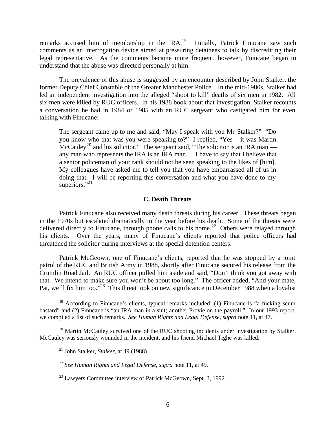remarks accused him of membership in the IRA.<sup>19</sup> Initially, Patrick Finucane saw such comments as an interrogation device aimed at pressuring detainees to talk by discrediting their legal representative. As the comments became more frequent, however, Finucane began to understand that the abuse was directed personally at him.

The prevalence of this abuse is suggested by an encounter described by John Stalker, the former Deputy Chief Constable of the Greater Manchester Police. In the mid-1980s, Stalker had led an independent investigation into the alleged "shoot to kill" deaths of six men in 1982. All six men were killed by RUC officers. In his 1988 book about that investigation, Stalker recounts a conversation he had in 1984 or 1985 with an RUC sergeant who castigated him for even talking with Finucane:

The sergeant came up to me and said, "May I speak with you Mr Stalker?" "Do you know who that was you were speaking to?" I replied, "Yes – it was Martin McCauley<sup>20</sup> and his solicitor." The sergeant said, "The solicitor is an IRA man any man who represents the IRA is an IRA man. . . I have to say that I believe that a senior policeman of your rank should not be seen speaking to the likes of [him]. My colleagues have asked me to tell you that you have embarrassed all of us in doing that. I will be reporting this conversation and what you have done to my superiors." $^{21}$ 

# **C. Death Threats**

Patrick Finucane also received many death threats during his career. These threats began in the 1970s but escalated dramatically in the year before his death. Some of the threats were delivered directly to Finucane, through phone calls to his home.<sup>22</sup> Others were relayed through his clients. Over the years, many of Finucane's clients reported that police officers had threatened the solicitor during interviews at the special detention centers.

Patrick McGeown, one of Finucane's clients, reported that he was stopped by a joint patrol of the RUC and British Army in 1988, shortly after Finucane secured his release from the Crumlin Road Jail. An RUC officer pulled him aside and said, "Don't think you got away with that. We intend to make sure you won't be about too long." The officer added, "And your mate, Pat, we'll fix him too."<sup>23</sup> This threat took on new significance in December 1988 when a loyalist

 $19$  According to Finucane's clients, typical remarks included: (1) Finucane is "a fucking scum bastard" and (2) Finucane is "an IRA man in a suit; another Provie on the payroll." In our 1993 report, we compiled a list of such remarks. *See Human Rights and Legal Defense*, *supra* note 11, at 47.

 $^{20}$  Martin McCauley survived one of the RUC shooting incidents under investigation by Stalker. McCauley was seriously wounded in the incident, and his friend Michael Tighe was killed.

<sup>21</sup> John Stalker, *Stalker*, at 49 (1988).

<sup>22</sup> *See Human Rights and Legal Defense*, *supra* note 11, at 49.

<sup>&</sup>lt;sup>23</sup> Lawyers Committee interview of Patrick McGeown, Sept. 3, 1992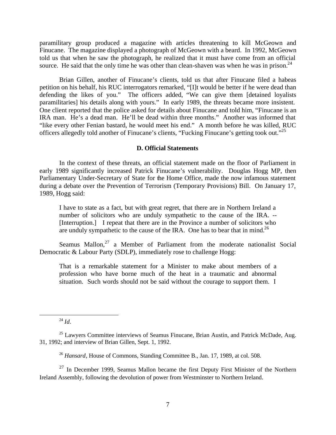paramilitary group produced a magazine with articles threatening to kill McGeown and Finucane. The magazine displayed a photograph of McGeown with a beard. In 1992, McGeown told us that when he saw the photograph, he realized that it must have come from an official source. He said that the only time he was other than clean-shaven was when he was in prison.<sup>24</sup>

Brian Gillen, another of Finucane's clients, told us that after Finucane filed a habeas petition on his behalf, his RUC interrogators remarked, "[I]t would be better if he were dead than defending the likes of you." The officers added, "We can give them [detained loyalists paramilitaries] his details along with yours." In early 1989, the threats became more insistent. One client reported that the police asked for details about Finucane and told him, "Finucane is an IRA man. He's a dead man. He'll be dead within three months." Another was informed that "like every other Fenian bastard, he would meet his end." A month before he was killed, RUC officers allegedly told another of Finucane's clients, "Fucking Finucane's getting took out."<sup>25</sup>

# **D. Official Statements**

In the context of these threats, an official statement made on the floor of Parliament in early 1989 significantly increased Patrick Finucane's vulnerability. Douglas Hogg MP, then Parliamentary Under-Secretary of State for the Home Office, made the now infamous statement during a debate over the Prevention of Terrorism (Temporary Provisions) Bill. On January 17, 1989, Hogg said:

I have to state as a fact, but with great regret, that there are in Northern Ireland a number of solicitors who are unduly sympathetic to the cause of the IRA. -- [Interruption.] I repeat that there are in the Province a number of solicitors who are unduly sympathetic to the cause of the IRA. One has to bear that in mind.<sup>26</sup>

Seamus Mallon, $27$  a Member of Parliament from the moderate nationalist Social Democratic & Labour Party (SDLP), immediately rose to challenge Hogg:

That is a remarkable statement for a Minister to make about members of a profession who have borne much of the heat in a traumatic and abnormal situation. Such words should not be said without the courage to support them. I

<sup>24</sup> *Id*.

 $\overline{a}$ 

 $27$  In December 1999, Seamus Mallon became the first Deputy First Minister of the Northern Ireland Assembly, following the devolution of power from Westminster to Northern Ireland.

<sup>&</sup>lt;sup>25</sup> Lawyers Committee interviews of Seamus Finucane, Brian Austin, and Patrick McDade, Aug. 31, 1992; and interview of Brian Gillen, Sept. 1, 1992.

<sup>26</sup> *Hansard*, House of Commons, Standing Committee B., Jan. 17, 1989, at col. 508.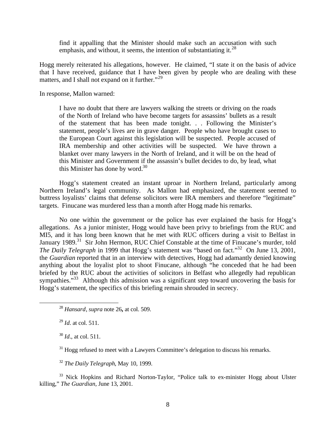find it appalling that the Minister should make such an accusation with such emphasis, and without, it seems, the intention of substantiating it. $^{28}$ 

Hogg merely reiterated his allegations, however. He claimed, "I state it on the basis of advice that I have received, guidance that I have been given by people who are dealing with these matters, and I shall not expand on it further."<sup>29</sup>

In response, Mallon warned:

I have no doubt that there are lawyers walking the streets or driving on the roads of the North of Ireland who have become targets for assassins' bullets as a result of the statement that has been made tonight. . . Following the Minister's statement, people's lives are in grave danger. People who have brought cases to the European Court against this legislation will be suspected. People accused of IRA membership and other activities will be suspected. We have thrown a blanket over many lawyers in the North of Ireland, and it will be on the head of this Minister and Government if the assassin's bullet decides to do, by lead, what this Minister has done by word. $30$ 

Hogg's statement created an instant uproar in Northern Ireland, particularly among Northern Ireland's legal community. As Mallon had emphasized, the statement seemed to buttress loyalists' claims that defense solicitors were IRA members and therefore "legitimate" targets. Finucane was murdered less than a month after Hogg made his remarks.

No one within the government or the police has ever explained the basis for Hogg's allegations. As a junior minister, Hogg would have been privy to briefings from the RUC and MI5, and it has long been known that he met with RUC officers during a visit to Belfast in January 1989.<sup>31</sup> Sir John Hermon, RUC Chief Constable at the time of Finucane's murder, told *The Daily Telegraph* in 1999 that Hogg's statement was "based on fact."<sup>32</sup> On June 13, 2001, the *Guardian* reported that in an interview with detectives, Hogg had adamantly denied knowing anything about the loyalist plot to shoot Finucane, although "he conceded that he had been briefed by the RUC about the activities of solicitors in Belfast who allegedly had republican sympathies."<sup>33</sup> Although this admission was a significant step toward uncovering the basis for Hogg's statement, the specifics of this briefing remain shrouded in secrecy.

 $\overline{a}$ 

 $31$  Hogg refused to meet with a Lawyers Committee's delegation to discuss his remarks.

<sup>32</sup> *The Daily Telegraph*, May 10, 1999.

<sup>33</sup> Nick Hopkins and Richard Norton-Taylor, "Police talk to ex-minister Hogg about Ulster killing," *The Guardian*, June 13, 2001.

<sup>28</sup> *Hansard*, *supra* note 26**,** at col. 509.

<sup>29</sup> *Id.* at col. 511.

<sup>30</sup> *Id.*, at col. 511.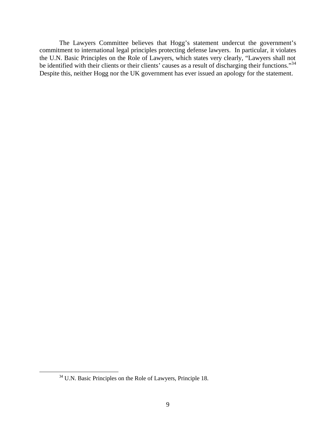The Lawyers Committee believes that Hogg's statement undercut the government's commitment to international legal principles protecting defense lawyers. In particular, it violates the U.N. Basic Principles on the Role of Lawyers, which states very clearly, "Lawyers shall not be identified with their clients or their clients' causes as a result of discharging their functions."<sup>34</sup> Despite this, neither Hogg nor the UK government has ever issued an apology for the statement.

1

<sup>&</sup>lt;sup>34</sup> U.N. Basic Principles on the Role of Lawyers, Principle 18.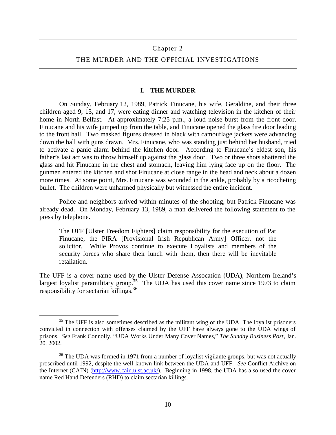# Chapter 2

### THE MURDER AND THE OFFICIAL INVESTIGATIONS

# **I. THE MURDER**

On Sunday, February 12, 1989, Patrick Finucane, his wife, Geraldine, and their three children aged 9, 13, and 17, were eating dinner and watching television in the kitchen of their home in North Belfast.At approximately 7:25 p.m., a loud noise burst from the front door. Finucane and his wife jumped up from the table, and Finucane opened the glass fire door leading to the front hall. Two masked figures dressed in black with camouflage jackets were advancing down the hall with guns drawn. Mrs. Finucane, who was standing just behind her husband, tried to activate a panic alarm behind the kitchen door. According to Finucane's eldest son, his father's last act was to throw himself up against the glass door. Two or three shots shattered the glass and hit Finucane in the chest and stomach, leaving him lying face up on the floor. The gunmen entered the kitchen and shot Finucane at close range in the head and neck about a dozen more times. At some point, Mrs. Finucane was wounded in the ankle, probably by a ricocheting bullet. The children were unharmed physically but witnessed the entire incident.

Police and neighbors arrived within minutes of the shooting, but Patrick Finucane was already dead. On Monday, February 13, 1989, a man delivered the following statement to the press by telephone.

The UFF [Ulster Freedom Fighters] claim responsibility for the execution of Pat Finucane, the PIRA [Provisional Irish Republican Army] Officer, not the solicitor. While Provos continue to execute Loyalists and members of the security forces who share their lunch with them, then there will be inevitable retaliation.

The UFF is a cover name used by the Ulster Defense Assocation (UDA), Northern Ireland's largest loyalist paramilitary group.<sup>35</sup> The UDA has used this cover name since 1973 to claim responsibility for sectarian killings.<sup>36</sup>

1

<sup>&</sup>lt;sup>35</sup> The UFF is also sometimes described as the militant wing of the UDA. The loyalist prisoners convicted in connection with offenses claimed by the UFF have always gone to the UDA wings of prisons. *See* Frank Connolly, "UDA Works Under Many Cover Names," *The Sunday Business Post*, Jan. 20, 2002.

 $36$  The UDA was formed in 1971 from a number of loyalist vigilante groups, but was not actually proscribed until 1992, despite the well-known link between the UDA and UFF. *See* Conflict Archive on the Internet (CAIN) (http://www.cain.ulst.ac.uk/). Beginning in 1998, the UDA has also used the cover name Red Hand Defenders (RHD) to claim sectarian killings.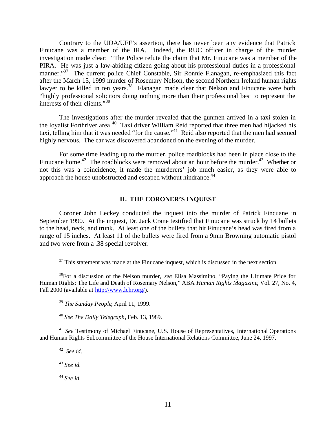Contrary to the UDA/UFF's assertion, there has never been any evidence that Patrick Finucane was a member of the IRA. Indeed, the RUC officer in charge of the murder investigation made clear: "The Police refute the claim that Mr. Finucane was a member of the PIRA. He was just a law-abiding citizen going about his professional duties in a professional manner."<sup>37</sup> The current police Chief Constable, Sir Ronnie Flanagan, re-emphasized this fact after the March 15, 1999 murder of Rosemary Nelson, the second Northern Ireland human rights lawyer to be killed in ten years.<sup>38</sup> Flanagan made clear that Nelson and Finucane were both "highly professional solicitors doing nothing more than their professional best to represent the interests of their clients."<sup>39</sup>

The investigations after the murder revealed that the gunmen arrived in a taxi stolen in the loyalist Forthriver area.<sup>40</sup> Taxi driver William Reid reported that three men had hijacked his taxi, telling him that it was needed "for the cause."<sup>41</sup> Reid also reported that the men had seemed highly nervous. The car was discovered abandoned on the evening of the murder.

For some time leading up to the murder, police roadblocks had been in place close to the Finucane home.<sup>42</sup> The roadblocks were removed about an hour before the murder.<sup>43</sup> Whether or not this was a coincidence, it made the murderers' job much easier, as they were able to approach the house unobstructed and escaped without hindrance.<sup>44</sup>

# **II. THE CORONER'S INQUEST**

Coroner John Leckey conducted the inquest into the murder of Patrick Fincuane in September 1990. At the inquest, Dr. Jack Crane testified that Finucane was struck by 14 bullets to the head, neck, and trunk. At least one of the bullets that hit Finucane's head was fired from a range of 15 inches. At least 11 of the bullets were fired from a 9mm Browning automatic pistol and two were from a .38 special revolver.

 $\overline{a}$ 

<sup>43</sup> *See id.*

<sup>44</sup> *See id.*

 $37$  This statement was made at the Finucane inquest, which is discussed in the next section.

<sup>38</sup>For a discussion of the Nelson murder, *see* Elisa Massimino, "Paying the Ultimate Price for Human Rights: The Life and Death of Rosemary Nelson," ABA *Human Rights Magazine*, Vol. 27, No. 4, Fall 2000 (available at http://www.lchr.org/).

<sup>39</sup> *The Sunday People*, April 11, 1999.

<sup>40</sup> *See The Daily Telegraph*, Feb. 13, 1989.

<sup>41</sup> *See* Testimony of Michael Finucane, U.S. House of Representatives, International Operations and Human Rights Subcommittee of the House International Relations Committee, June 24, 1997.

<sup>42</sup> *See id*.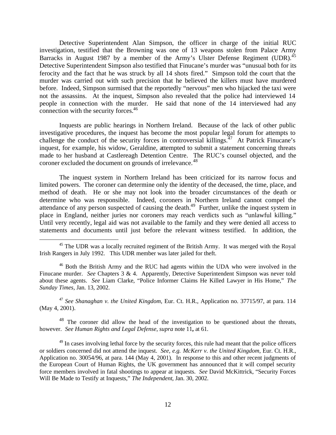Detective Superintendent Alan Simpson, the officer in charge of the initial RUC investigation, testified that the Browning was one of 13 weapons stolen from Palace Army Barracks in August 1987 by a member of the Army's Ulster Defense Regiment (UDR).<sup>45</sup> Detective Superintendent Simpson also testified that Finucane's murder was "unusual both for its ferocity and the fact that he was struck by all 14 shots fired." Simpson told the court that the murder was carried out with such precision that he believed the killers must have murdered before. Indeed, Simpson surmised that the reportedly "nervous" men who hijacked the taxi were not the assassins. At the inquest, Simpson also revealed that the police had interviewed 14 people in connection with the murder. He said that none of the 14 interviewed had any connection with the security forces.<sup>46</sup>

Inquests are public hearings in Northern Ireland. Because of the lack of other public investigative procedures, the inquest has become the most popular legal forum for attempts to challenge the conduct of the security forces in controversial killings.<sup>47</sup> At Patrick Finucane's inquest, for example, his widow, Geraldine, attempted to submit a statement concerning threats made to her husband at Castlereagh Detention Centre. The RUC's counsel objected, and the coroner excluded the document on grounds of irrelevance.<sup>48</sup>

The inquest system in Northern Ireland has been criticized for its narrow focus and limited powers. The coroner can determine only the identity of the deceased, the time, place, and method of death. He or she may not look into the broader circumstances of the death or determine who was responsible. Indeed, coroners in Northern Ireland cannot compel the attendance of any person suspected of causing the death.<sup>49</sup> Further, unlike the inquest system in place in England, neither juries nor coroners may reach verdicts such as "unlawful killing." Until very recently, legal aid was not available to the family and they were denied all access to statements and documents until just before the relevant witness testified. In addition, the

 $\overline{a}$ 

<sup>47</sup> *See Shanaghan v. the United Kingdom*, Eur. Ct. H.R., Application no. 37715/97, at para. 114 (May 4, 2001).

<sup>48</sup> The coroner did allow the head of the investigation to be questioned about the threats, however. *See Human Rights and Legal Defense*, *supra* note 11**,** at 61.

 $49$  In cases involving lethal force by the security forces, this rule had meant that the police officers or soldiers concerned did not attend the inquest. *See, e.g. McKerr v. the United Kingdom*, Eur. Ct. H.R., Application no. 30054/96, at para. 144 (May 4, 2001). In response to this and other recent judgments of the European Court of Human Rights, the UK government has announced that it will compel security force members involved in fatal shootings to appear at inquests. *See* David McKittrick, "Security Forces Will Be Made to Testify at Inquests," *The Independent*, Jan. 30, 2002.

<sup>&</sup>lt;sup>45</sup> The UDR was a locally recruited regiment of the British Army. It was merged with the Royal Irish Rangers in July 1992. This UDR member was later jailed for theft.

<sup>46</sup> Both the British Army and the RUC had agents within the UDA who were involved in the Finucane murder. *See* Chapters 3 & 4. Apparently, Detective Superintendent Simpson was never told about these agents. *See* Liam Clarke, "Police Informer Claims He Killed Lawyer in His Home," *The Sunday Times*, Jan. 13, 2002.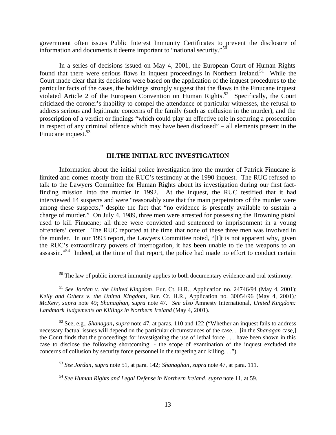government often issues Public Interest Immunity Certificates to prevent the disclosure of information and documents it deems important to "national security."<sup>50</sup>

In a series of decisions issued on May 4, 2001, the European Court of Human Rights found that there were serious flaws in inquest proceedings in Northern Ireland.<sup>51</sup> While the Court made clear that its decisions were based on the application of the inquest procedures to the particular facts of the cases, the holdings strongly suggest that the flaws in the Finucane inquest violated Article 2 of the European Convention on Human Rights.<sup>52</sup> Specifically, the Court criticized the coroner's inability to compel the attendance of particular witnesses, the refusal to address serious and legitimate concerns of the family (such as collusion in the murder), and the proscription of a verdict or findings "which could play an effective role in securing a prosecution in respect of any criminal offence which may have been disclosed" – all elements present in the Finucane inquest.<sup>53</sup>

# **III.THE INITIAL RUC INVESTIGATION**

Information about the initial police investigation into the murder of Patrick Finucane is limited and comes mostly from the RUC's testimony at the 1990 inquest. The RUC refused to talk to the Lawyers Committee for Human Rights about its investigation during our first factfinding mission into the murder in 1992. At the inquest, the RUC testified that it had interviewed 14 suspects and were "reasonably sure that the main perpetrators of the murder were among these suspects," despite the fact that "no evidence is presently available to sustain a charge of murder." On July 4, 1989, three men were arrested for possessing the Browning pistol used to kill Finucane; all three were convicted and sentenced to imprisonment in a young offenders' center. The RUC reported at the time that none of these three men was involved in the murder. In our 1993 report, the Lawyers Committee noted, "[I]t is not apparent why, given the RUC's extraordinary powers of interrogation, it has been unable to tie the weapons to an assassin."<sup>54</sup> Indeed, at the time of that report, the police had made no effort to conduct certain

 $\overline{a}$ 

<sup>52</sup> See, e.g., *Shanagan***,** *supra* note 47, at paras. 110 and 122 ("Whether an inquest fails to address necessary factual issues will depend on the particular circumstances of the case. . .[in the *Shanagan* case,] the Court finds that the proceedings for investigating the use of lethal force . . . have been shown in this case to disclose the following shortcoming: - the scope of examination of the inquest excluded the concerns of collusion by security force personnel in the targeting and killing. . .").

 $50$  The law of public interest immunity applies to both documentary evidence and oral testimony.

<sup>51</sup> *See Jordan v. the United Kingdom*, Eur. Ct. H.R., Application no. 24746/94 (May 4, 2001); *Kelly and Others v. the United Kingdom*, Eur. Ct. H.R., Application no. 30054/96 (May 4, 2001)*; McKerr*, *supra* note 49; *Shanaghan*, *supra* note 47.*See also* Amnesty International, *United Kingdom: Landmark Judgements on Killings in Northern Ireland* (May 4, 2001).

<sup>53</sup> *See Jordan*, *supra* note 51, at para. 142; *Shanaghan*, *supra* note 47, at para. 111.

<sup>54</sup> *See Human Rights and Legal Defense in Northern Ireland*, *supra* note 11, at 59.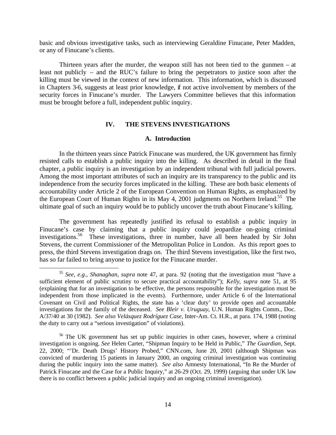basic and obvious investigative tasks, such as interviewing Geraldine Finucane, Peter Madden, or any of Finucane's clients.

Thirteen years after the murder, the weapon still has not been tied to the gunmen – at least not publicly – and the RUC's failure to bring the perpetrators to justice soon after the killing must be viewed in the context of new information. This information, which is discussed in Chapters 3-6, suggests at least prior knowledge, if not active involvement by members of the security forces in Finucane's murder. The Lawyers Committee believes that this information must be brought before a full, independent public inquiry.

# **IV. THE STEVENS INVESTIGATIONS**

# **A. Introduction**

In the thirteen years since Patrick Finucane was murdered, the UK government has firmly resisted calls to establish a public inquiry into the killing. As described in detail in the final chapter, a public inquiry is an investigation by an independent tribunal with full judicial powers. Among the most important attributes of such an inquiry are its transparency to the public and its independence from the security forces implicated in the killing. These are both basic elements of accountability under Article 2 of the European Convention on Human Rights, as emphasized by the European Court of Human Rights in its May 4, 2001 judgments on Northern Ireland.<sup>55</sup> The ultimate goal of such an inquiry would be to publicly uncover the truth about Finucane's killing.

The government has repeatedly justified its refusal to establish a public inquiry in Finucane's case by claiming that a public inquiry could jeopardize on-going criminal investigations.<sup>56</sup> These investigations, three in number, have all been headed by Sir John Stevens, the current Commissioner of the Metropolitan Police in London. As this report goes to press, the third Stevens investigation drags on. The third Stevens investigation, like the first two, has so far failed to bring anyone to justice for the Finucane murder.

<sup>55</sup> *See, e.g., Shanaghan*, *supra* note 47, at para. 92 (noting that the investigation must "have a sufficient element of public scrutiny to secure practical accountability"); *Kelly*, *supra* note 51, at 95 (explaining that for an investigation to be effective, the persons responsible for the investigation must be independent from those implicated in the events). Furthermore, under Article 6 of the International Covenant on Civil and Political Rights, the state has a 'clear duty' to provide open and accountable investigations for the family of the deceased. *See Bleir v. Uruguay*, U.N. Human Rights Comm., Doc. A/37/40 at 30 (1982). *See also Velásquez Rodríguez Case*, Inter-Am. Ct. H.R., at para. 174, 1988 (noting the duty to carry out a "serious investigation" of violations).

<sup>&</sup>lt;sup>56</sup> The UK government has set up public inquiries in other cases, however, where a criminal investigation is ongoing. *See* Helen Carter, "Shipman Inquiry to be Held in Public," *The Guardian*, Sept. 22, 2000; "'Dr. Death Drugs' History Probed," CNN.com, June 20, 2001 (although Shipman was convicted of murdering 15 patients in January 2000, an ongoing criminal investigation was continuing during the public inquiry into the same matter). *See also* Amnesty International, "In Re the Murder of Patrick Finucane and the Case for a Public Inquiry," at 26-29 (Oct. 29, 1999) (arguing that under UK law there is no conflict between a public judicial inquiry and an ongoing criminal investigation).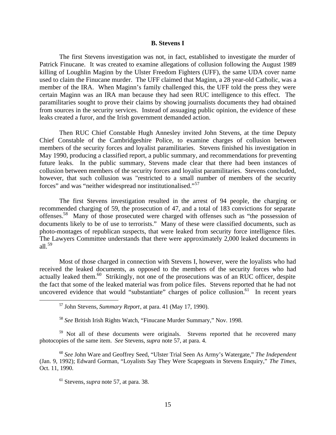#### **B. Stevens I**

The first Stevens investigation was not, in fact, established to investigate the murder of Patrick Finucane. It was created to examine allegations of collusion following the August 1989 killing of Loughlin Maginn by the Ulster Freedom Fighters (UFF), the same UDA cover name used to claim the Finucane murder. The UFF claimed that Maginn, a 28 year-old Catholic, was a member of the IRA. When Maginn's family challenged this, the UFF told the press they were certain Maginn was an IRA man because they had seen RUC intelligence to this effect. The paramilitaries sought to prove their claims by showing journalists documents they had obtained from sources in the security services. Instead of assuaging public opinion, the evidence of these leaks created a furor, and the Irish government demanded action.

Then RUC Chief Constable Hugh Annesley invited John Stevens, at the time Deputy Chief Constable of the Cambridgeshire Police, to examine charges of collusion between members of the security forces and loyalist paramilitaries. Stevens finished his investigation in May 1990, producing a classified report, a public summary, and recommendations for preventing future leaks. In the public summary, Stevens made clear that there had been instances of collusion between members of the security forces and loyalist paramilitaries. Stevens concluded, however, that such collusion was "restricted to a small number of members of the security forces" and was "neither widespread nor institutionalised."<sup>57</sup>

The first Stevens investigation resulted in the arrest of 94 people, the charging or recommended charging of 59, the prosecution of 47, and a total of 183 convictions for separate offenses.<sup>58</sup> Many of those prosecuted were charged with offenses such as "the possession of documents likely to be of use to terrorists." Many of these were classified documents, such as photo-montages of republican suspects, that were leaked from security force intelligence files. The Lawyers Committee understands that there were approximately 2,000 leaked documents in all. $59$ 

Most of those charged in connection with Stevens I, however, were the loyalists who had received the leaked documents, as opposed to the members of the security forces who had actually leaked them.<sup>60</sup> Strikingly, not one of the prosecutions was of an RUC officer, despite the fact that some of the leaked material was from police files. Stevens reported that he had not uncovered evidence that would "substantiate" charges of police collusion.<sup>61</sup> In recent years

<sup>57</sup> John Stevens, *Summary Report*, at para. 41 (May 17, 1990).

<sup>58</sup> *See* British Irish Rights Watch, "Finucane Murder Summary," Nov. 1998.

<sup>59</sup> Not all of these documents were originals. Stevens reported that he recovered many photocopies of the same item. *See* Stevens, *supra* note 57, at para. 4.

<sup>60</sup> *See* John Ware and Geoffrey Seed, "Ulster Trial Seen As Army's Watergate," *The Independent* (Jan. 9, 1992); Edward Gorman, "Loyalists Say They Were Scapegoats in Stevens Enquiry," *The Times*, Oct. 11, 1990.

<sup>61</sup> Stevens, *supra* note 57, at para. 38.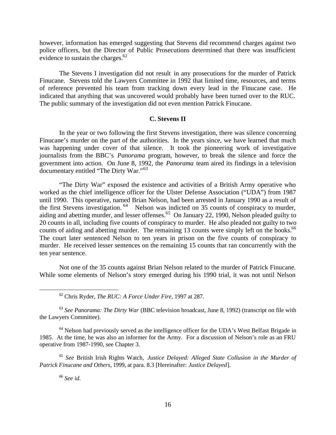however, information has emerged suggesting that Stevens did recommend charges against two police officers, but the Director of Public Prosecutions determined that there was insufficient evidence to sustain the charges. $62$ 

The Stevens I investigation did not result in any prosecutions for the murder of Patrick Finucane. Stevens told the Lawyers Committee in 1992 that limited time, resources, and terms of reference prevented his team from tracking down every lead in the Finucane case. He indicated that anything that was uncovered would probably have been turned over to the RUC. The public summary of the investigation did not even mention Patrick Finucane.

# **C. Stevens II**

In the year or two following the first Stevens investigation, there was silence concerning Finucane's murder on the part of the authorities. In the years since, we have learned that much was happening under cover of that silence. It took the pioneering work of investigative journalists from the BBC's *Panorama* program, however, to break the silence and force the government into action. On June 8, 1992, the *Panorama* team aired its findings in a television documentary entitled "The Dirty War."<sup>63</sup>

"The Dirty War" exposed the existence and activities of a British Army operative who worked as the chief intelligence officer for the Ulster Defense Association ("UDA") from 1987 until 1990. This operative, named Brian Nelson, had been arrested in January 1990 as a result of the first Stevens investigation. <sup>64</sup> Nelson was indicted on 35 counts of conspiracy to murder, aiding and abetting murder, and lesser offenses.<sup>65</sup> On January 22, 1990, Nelson pleaded guilty to 20 counts in all, including five counts of conspiracy to murder. He also pleaded not guilty to two counts of aiding and abetting murder. The remaining 13 counts were simply left on the books.<sup>66</sup> The court later sentenced Nelson to ten years in prison on the five counts of conspiracy to murder. He received lesser sentences on the remaining 15 counts that ran concurrently with the ten year sentence.

Not one of the 35 counts against Brian Nelson related to the murder of Patrick Finucane. While some elements of Nelson's story emerged during his 1990 trial, it was not until Nelson

<sup>62</sup> Chris Ryder, *The RUC: A Force Under Fire*, 1997 at 287.

<sup>63</sup> *See Panorama: The Dirty War* (BBC television broadcast, June 8, 1992) (transcript on file with the Lawyers Committee).

 $64$  Nelson had previously served as the intelligence officer for the UDA's West Belfast Brigade in 1985. At the time, he was also an informer for the Army. For a discussion of Nelson's role as an FRU operative from 1987-1990, see Chapter 3.

<sup>65</sup> *See* British Irish Rights Watch, *Justice Delayed: Alleged State Collusion in the Murder of Patrick Finucane and Others*, 1999, at para. 8.3 [Hereinafter: *Justice Delayed*].

<sup>66</sup> *See id.*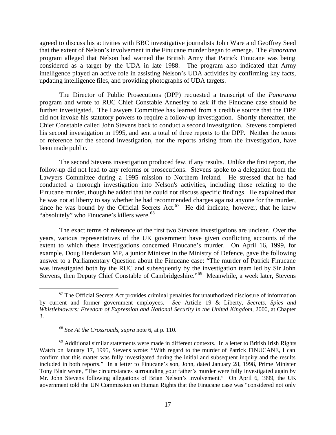agreed to discuss his activities with BBC investigative journalists John Ware and Geoffrey Seed that the extent of Nelson's involvement in the Finucane murder began to emerge. The *Panorama*  program alleged that Nelson had warned the British Army that Patrick Finucane was being considered as a target by the UDA in late 1988. The program also indicated that Army intelligence played an active role in assisting Nelson's UDA activities by confirming key facts, updating intelligence files, and providing photographs of UDA targets.

The Director of Public Prosecutions (DPP) requested a transcript of the *Panorama*  program and wrote to RUC Chief Constable Annesley to ask if the Finucane case should be further investigated. The Lawyers Committee has learned from a credible source that the DPP did not invoke his statutory powers to require a follow-up investigation. Shortly thereafter, the Chief Constable called John Stevens back to conduct a second investigation. Stevens completed his second investigation in 1995, and sent a total of three reports to the DPP. Neither the terms of reference for the second investigation, nor the reports arising from the investigation, have been made public.

The second Stevens investigation produced few, if any results. Unlike the first report, the follow-up did not lead to any reforms or prosecutions. Stevens spoke to a delegation from the Lawyers Committee during a 1995 mission to Northern Ireland. He stressed that he had conducted a thorough investigation into Nelson's activities, including those relating to the Finucane murder, though he added that he could not discuss specific findings. He explained that he was not at liberty to say whether he had recommended charges against anyone for the murder, since he was bound by the Official Secrets Act. $67$  He did indicate, however, that he knew "absolutely" who Finucane's killers were.<sup>68</sup>

The exact terms of reference of the first two Stevens investigations are unclear. Over the years, various representatives of the UK government have given conflicting accounts of the extent to which these investigations concerned Finucane's murder. On April 16, 1999, for example, Doug Henderson MP, a junior Minister in the Ministry of Defence, gave the following answer to a Parliamentary Question about the Finucane case: "The murder of Patrick Finucane was investigated both by the RUC and subsequently by the investigation team led by Sir John Stevens, then Deputy Chief Constable of Cambridgeshire."<sup>69</sup> Meanwhile, a week later, Stevens

 $67$  The Official Secrets Act provides criminal penalties for unauthorized disclosure of information by current and former government employees. *See* Article 19 & Liberty, *Secrets, Spies and Whistleblowers: Freedom of Expression and National Security in the United Kingdom*, 2000, at Chapter 3.

<sup>68</sup> *See At the Crossroads*, *supra* note 6, at p. 110.

 $69$  Additional similar statements were made in different contexts. In a letter to British Irish Rights Watch on January 17, 1995, Stevens wrote: "With regard to the murder of Patrick FINUCANE, I can confirm that this matter was fully investigated during the initial and subsequent inquiry and the results included in both reports." In a letter to Finucane's son, John, dated January 28, 1998, Prime Minister Tony Blair wrote, "The circumstances surrounding your father's murder were fully investigated again by Mr. John Stevens following allegations of Brian Nelson's involvement." On April 6, 1999, the UK government told the UN Commission on Human Rights that the Finucane case was "considered not only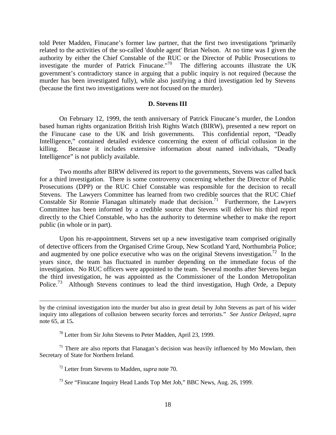told Peter Madden, Finucane's former law partner, that the first two investigations "primarily related to the activities of the so-called 'double agent' Brian Nelson. At no time was I given the authority by either the Chief Constable of the RUC or the Director of Public Prosecutions to investigate the murder of Patrick Finucane."<sup>70</sup> The differing accounts illustrate the UK government's contradictory stance in arguing that a public inquiry is not required (because the murder has been investigated fully), while also justifying a third investigation led by Stevens (because the first two investigations were not focused on the murder).

# **D. Stevens III**

On February 12, 1999, the tenth anniversary of Patrick Finucane's murder, the London based human rights organization British Irish Rights Watch (BIRW), presented a new report on the Finucane case to the UK and Irish governments. This confidential report, "Deadly Intelligence," contained detailed evidence concerning the extent of official collusion in the killing. Because it includes extensive information about named individuals, "Deadly Intelligence" is not publicly available.

Two months after BIRW delivered its report to the governments, Stevens was called back for a third investigation. There is some controversy concerning whether the Director of Public Prosecutions (DPP) or the RUC Chief Constable was responsible for the decision to recall Stevens. The Lawyers Committee has learned from two credible sources that the RUC Chief Constable Sir Ronnie Flanagan ultimately made that decision.<sup>71</sup> Furthermore, the Lawyers Committee has been informed by a credible source that Stevens will deliver his third report directly to the Chief Constable, who has the authority to determine whether to make the report public (in whole or in part).

Upon his re-appointment, Stevens set up a new investigative team comprised originally of detective officers from the Organised Crime Group, New Scotland Yard, Northumbria Police; and augmented by one police executive who was on the original Stevens investigation.<sup>72</sup> In the years since, the team has fluctuated in number depending on the immediate focus of the investigation. No RUC officers were appointed to the team. Several months after Stevens began the third investigation, he was appointed as the Commissioner of the London Metropolitan Police.<sup>73</sup> Although Stevens continues to lead the third investigation, Hugh Orde, a Deputy

by the criminal investigation into the murder but also in great detail by John Stevens as part of his wider inquiry into allegations of collusion between security forces and terrorists." *See Justice Delayed*, *supra*  note 65, at 15**.**

 $70$  Letter from Sir John Stevens to Peter Madden, April 23, 1999.

 $71$  There are also reports that Flanagan's decision was heavily influenced by Mo Mowlam, then Secretary of State for Northern Ireland.

<sup>72</sup> Letter from Stevens to Madden, *supra* note 70.

<sup>73</sup> *See* "Finucane Inquiry Head Lands Top Met Job," BBC News, Aug. 26, 1999.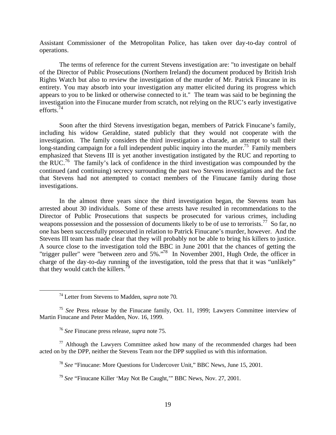Assistant Commissioner of the Metropolitan Police, has taken over day-to-day control of operations.

The terms of reference for the current Stevens investigation are: "to investigate on behalf of the Director of Public Prosecutions (Northern Ireland) the document produced by British Irish Rights Watch but also to review the investigation of the murder of Mr. Patrick Finucane in its entirety. You may absorb into your investigation any matter elicited during its progress which appears to you to be linked or otherwise connected to it." The team was said to be beginning the investigation into the Finucane murder from scratch, not relying on the RUC's early investigative efforts. $74$ 

Soon after the third Stevens investigation began, members of Patrick Finucane's family, including his widow Geraldine, stated publicly that they would not cooperate with the investigation. The family considers the third investigation a charade, an attempt to stall their long-standing campaign for a full independent public inquiry into the murder.<sup>75</sup> Family members emphasized that Stevens III is yet another investigation instigated by the RUC and reporting to the RUC.<sup>76</sup> The family's lack of confidence in the third investigation was compounded by the continued (and continuing) secrecy surrounding the past two Stevens investigations and the fact that Stevens had not attempted to contact members of the Finucane family during those investigations.

In the almost three years since the third investigation began, the Stevens team has arrested about 30 individuals. Some of these arrests have resulted in recommendations to the Director of Public Prosecutions that suspects be prosecuted for various crimes, including weapons possession and the possession of documents likely to be of use to terrorists.<sup>77</sup> So far, no one has been successfully prosecuted in relation to Patrick Finucane's murder, however. And the Stevens III team has made clear that they will probably not be able to bring his killers to justice. A source close to the investigation told the BBC in June 2001 that the chances of getting the "trigger puller" were "between zero and 5%."<sup>78</sup> In November 2001, Hugh Orde, the officer in charge of the day-to-day running of the investigation, told the press that that it was "unlikely" that they would catch the killers.<sup>79</sup>

1

<sup>75</sup> *See* Press release by the Finucane family, Oct. 11, 1999; Lawyers Committee interview of Martin Finucane and Peter Madden, Nov. 16, 1999.

<sup>76</sup> *See* Finucane press release, *supra* note 75.

 $77$  Although the Lawyers Committee asked how many of the recommended charges had been acted on by the DPP, neither the Stevens Team nor the DPP supplied us with this information.

<sup>78</sup> *See* "Finucane: More Questions for Undercover Unit," BBC News, June 15, 2001.

<sup>79</sup> *See* "Finucane Killer 'May Not Be Caught,'" BBC News, Nov. 27, 2001.

<sup>74</sup> Letter from Stevens to Madden, s*upra* note 70*.*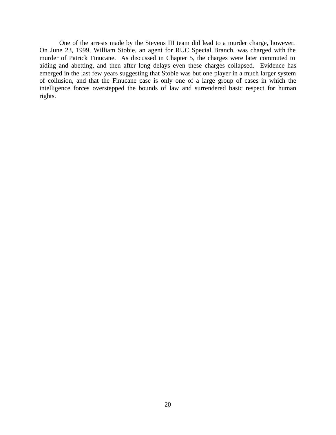One of the arrests made by the Stevens III team did lead to a murder charge, however. On June 23, 1999, William Stobie, an agent for RUC Special Branch, was charged with the murder of Patrick Finucane. As discussed in Chapter 5, the charges were later commuted to aiding and abetting, and then after long delays even these charges collapsed. Evidence has emerged in the last few years suggesting that Stobie was but one player in a much larger system of collusion, and that the Finucane case is only one of a large group of cases in which the intelligence forces overstepped the bounds of law and surrendered basic respect for human rights.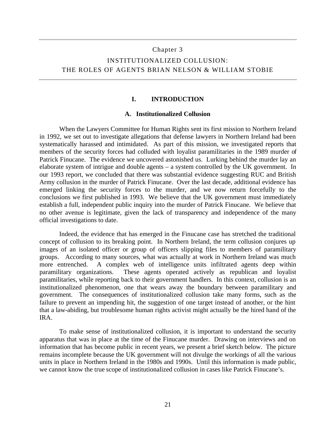# Chapter 3

# INSTITUTIONALIZED COLLUSION: THE ROLES OF AGENTS BRIAN NELSON & WILLIAM STOBIE

# **I. INTRODUCTION**

### **A. Institutionalized Collusion**

When the Lawyers Committee for Human Rights sent its first mission to Northern Ireland in 1992, we set out to investigate allegations that defense lawyers in Northern Ireland had been systematically harassed and intimidated. As part of this mission, we investigated reports that members of the security forces had colluded with loyalist paramilitaries in the 1989 murder of Patrick Finucane. The evidence we uncovered astonished us. Lurking behind the murder lay an elaborate system of intrigue and double agents – a system controlled by the UK government. In our 1993 report, we concluded that there was substantial evidence suggesting RUC and British Army collusion in the murder of Patrick Finucane. Over the last decade, additional evidence has emerged linking the security forces to the murder, and we now return forcefully to the conclusions we first published in 1993. We believe that the UK government must immediately establish a full, independent public inquiry into the murder of Patrick Finucane. We believe that no other avenue is legitimate, given the lack of transparency and independence of the many official investigations to date.

Indeed, the evidence that has emerged in the Finucane case has stretched the traditional concept of collusion to its breaking point. In Northern Ireland, the term collusion conjures up images of an isolated officer or group of officers slipping files to members of paramilitary groups. According to many sources, what was actually at work in Northern Ireland was much more entrenched. A complex web of intelligence units infiltrated agents deep within paramilitary organizations. These agents operated actively as republican and loyalist paramilitaries, while reporting back to their government handlers. In this context, collusion is an institutionalized phenomenon, one that wears away the boundary between paramilitary and government. The consequences of institutionalized collusion take many forms, such as the failure to prevent an impending hit, the suggestion of one target instead of another, or the hint that a law-abiding, but troublesome human rights activist might actually be the hired hand of the IRA.

To make sense of institutionalized collusion, it is important to understand the security apparatus that was in place at the time of the Finucane murder. Drawing on interviews and on information that has become public in recent years, we present a brief sketch below. The picture remains incomplete because the UK government will not divulge the workings of all the various units in place in Northern Ireland in the 1980s and 1990s. Until this information is made public, we cannot know the true scope of institutionalized collusion in cases like Patrick Finucane's.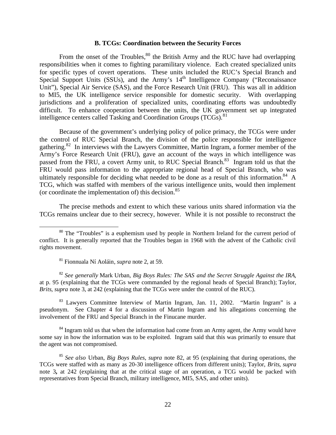#### **B. TCGs: Coordination between the Security Forces**

From the onset of the Troubles,  $80$  the British Army and the RUC have had overlapping responsibilities when it comes to fighting paramilitary violence. Each created specialized units for specific types of covert operations. These units included the RUC's Special Branch and Special Support Units  $(SSUS)$ , and the Army's  $14<sup>th</sup>$  Intelligence Company ("Reconaissance Unit"), Special Air Service (SAS), and the Force Research Unit (FRU). This was all in addition to MI5, the UK intelligence service responsible for domestic security. With overlapping jurisdictions and a proliferation of specialized units, coordinating efforts was undoubtedly difficult. To enhance cooperation between the units, the UK government set up integrated intelligence centers called Tasking and Coordination Groups  $(TCGs)$ .<sup>81</sup>

Because of the government's underlying policy of police primacy, the TCGs were under the control of RUC Special Branch, the division of the police responsible for intelligence gathering.<sup>82</sup> In interviews with the Lawyers Committee, Martin Ingram, a former member of the Army's Force Research Unit (FRU), gave an account of the ways in which intelligence was passed from the FRU, a covert Army unit, to RUC Special Branch.<sup>83</sup> Ingram told us that the FRU would pass information to the appropriate regional head of Special Branch, who was ultimately responsible for deciding what needed to be done as a result of this information.<sup>84</sup> A TCG, which was staffed with members of the various intelligence units, would then implement (or coordinate the implementation of) this decision. $85$ 

The precise methods and extent to which these various units shared information via the TCGs remains unclear due to their secrecy, however. While it is not possible to reconstruct the

<sup>81</sup> Fionnuala Ní Aoláin, *supra* note 2, at 59.

 $\overline{a}$ 

<sup>82</sup> *See generally* Mark Urban, *Big Boys Rules: The SAS and the Secret Struggle Against the IRA*, at p. 95 (explaining that the TCGs were commanded by the regional heads of Special Branch); Taylor, *Brits*, *supra* note 3, at 242 (explaining that the TCGs were under the control of the RUC).

<sup>83</sup> Lawyers Committee Interview of Martin Ingram, Jan. 11, 2002. "Martin Ingram" is a pseudonym. See Chapter 4 for a discussion of Martin Ingram and his allegations concerning the involvement of the FRU and Special Branch in the Finucane murder.

 $84$  Ingram told us that when the information had come from an Army agent, the Army would have some say in how the information was to be exploited. Ingram said that this was primarily to ensure that the agent was not compromised.

<sup>85</sup> *See also* Urban, *Big Boys Rules*, *supra* note 82, at 95 (explaining that during operations, the TCGs were staffed with as many as 20-30 intelligence officers from different units); Taylor, *Brits*, *supra* note 3**,** at 242 (explaining that at the critical stage of an operation, a TCG would be packed with representatives from Special Branch, military intelligence, MI5, SAS, and other units).

 $80$  The "Troubles" is a euphemism used by people in Northern Ireland for the current period of conflict. It is generally reported that the Troubles began in 1968 with the advent of the Catholic civil rights movement.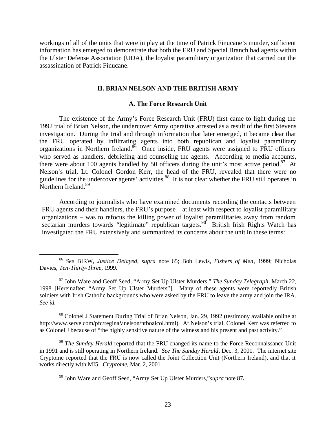workings of all of the units that were in play at the time of Patrick Finucane's murder, sufficient information has emerged to demonstrate that both the FRU and Special Branch had agents within the Ulster Defense Association (UDA), the loyalist paramilitary organization that carried out the assassination of Patrick Finucane.

# **II. BRIAN NELSON AND THE BRITISH ARMY**

# **A. The Force Research Unit**

The existence of the Army's Force Research Unit (FRU) first came to light during the 1992 trial of Brian Nelson, the undercover Army operative arrested as a result of the first Stevens investigation. During the trial and through information that later emerged, it became clear that the FRU operated by infiltrating agents into both republican and loyalist paramilitary organizations in Northern Ireland.<sup>86</sup> Once inside, FRU agents were assigned to FRU officers who served as handlers, debriefing and counseling the agents. According to media accounts, there were about 100 agents handled by 50 officers during the unit's most active period.<sup>87</sup> At Nelson's trial, Lt. Colonel Gordon Kerr, the head of the FRU, revealed that there were no guidelines for the undercover agents' activities.<sup>88</sup> It is not clear whether the FRU still operates in Northern Ireland.<sup>89</sup>

According to journalists who have examined documents recording the contacts between FRU agents and their handlers, the FRU's purpose – at least with respect to loyalist paramilitary organizations – was to refocus the killing power of loyalist paramilitaries away from random sectarian murders towards "legitimate" republican targets.<sup>90</sup> British Irish Rights Watch has investigated the FRU extensively and summarized its concerns about the unit in these terms:

1

<sup>88</sup> Colonel J Statement During Trial of Brian Nelson, Jan. 29, 1992 (testimony available online at http://www.serve.com/pfc/reginaVnelson/ntboalcol.html). At Nelson's trial, Colonel Kerr was referred to as Colonel J because of "the highly sensitive nature of the witness and his present and past activity."

<sup>89</sup> *The Sunday Herald* reported that the FRU changed its name to the Force Reconnaissance Unit in 1991 and is still operating in Northern Ireland. *See The Sunday Herald*, Dec. 3, 2001. The internet site Cryptome reported that the FRU is now called the Joint Collection Unit (Northern Ireland), and that it works directly with MI5. *Cryptome*, Mar. 2, 2001.

<sup>86</sup> *See* BIRW, *Justice Delayed*, *supra* note 65; Bob Lewis, *Fishers of Men*, 1999; Nicholas Davies, *Ten-Thirty-Three*, 1999.

<sup>87</sup> John Ware and Geoff Seed, "Army Set Up Ulster Murders," *The Sunday Telegraph*, March 22, 1998 [Hereinafter: "Army Set Up Ulster Murders"].Many of these agents were reportedly British soldiers with Irish Catholic backgrounds who were asked by the FRU to leave the army and join the IRA. *See id.*

<sup>90</sup> John Ware and Geoff Seed, "Army Set Up Ulster Murders,"*supra* note 87**.**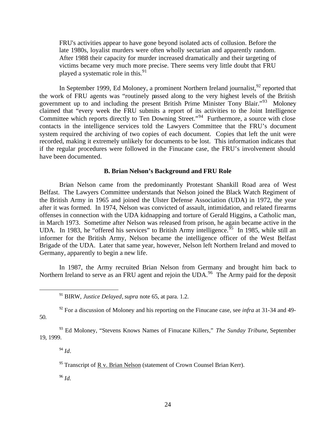FRU's activities appear to have gone beyond isolated acts of collusion. Before the late 1980s, loyalist murders were often wholly sectarian and apparently random. After 1988 their capacity for murder increased dramatically and their targeting of victims became very much more precise. There seems very little doubt that FRU played a systematic role in this.<sup>91</sup>

In September 1999, Ed Moloney, a prominent Northern Ireland journalist,  $92$  reported that the work of FRU agents was "routinely passed along to the very highest levels of the British government up to and including the present British Prime Minister Tony Blair."<sup>93</sup> Moloney claimed that "every week the FRU submits a report of its activities to the Joint Intelligence Committee which reports directly to Ten Downing Street."<sup>94</sup> Furthermore, a source with close contacts in the intelligence services told the Lawyers Committee that the FRU's document system required the archiving of two copies of each document. Copies that left the unit were recorded, making it extremely unlikely for documents to be lost. This information indicates that if the regular procedures were followed in the Finucane case, the FRU's involvement should have been documented.

# **B. Brian Nelson's Background and FRU Role**

Brian Nelson came from the predominantly Protestant Shankill Road area of West Belfast. The Lawyers Committee understands that Nelson joined the Black Watch Regiment of the British Army in 1965 and joined the Ulster Defense Association (UDA) in 1972, the year after it was formed. In 1974, Nelson was convicted of assault, intimidation, and related firearms offenses in connection with the UDA kidnapping and torture of Gerald Higgins, a Catholic man, in March 1973. Sometime after Nelson was released from prison, he again became active in the UDA. In 1983, he "offered his services" to British Army intelligence.<sup>95</sup> In 1985, while still an informer for the British Army, Nelson became the intelligence officer of the West Belfast Brigade of the UDA. Later that same year, however, Nelson left Northern Ireland and moved to Germany, apparently to begin a new life.

In 1987, the Army recruited Brian Nelson from Germany and brought him back to Northern Ireland to serve as an FRU agent and rejoin the UDA.<sup>96</sup> The Army paid for the deposit

<sup>92</sup> For a discussion of Moloney and his reporting on the Finucane case, see *infra* at 31-34 and 49- 50.

<sup>93</sup> Ed Moloney, "Stevens Knows Names of Finucane Killers," *The Sunday Tribune*, September 19, 1999.

 $94$  *Id.* 

 $\overline{a}$ 

<sup>95</sup> Transcript of R v. Brian Nelson (statement of Crown Counsel Brian Kerr).

<sup>96</sup> *Id.*

<sup>91</sup> BIRW, *Justice Delayed*,*supra* note 65, at para. 1.2.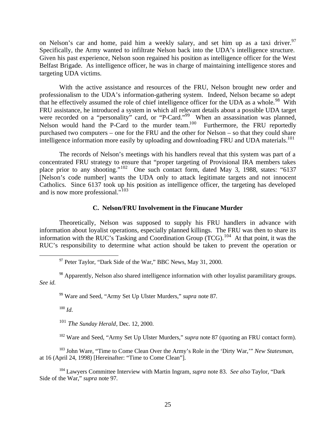on Nelson's car and home, paid him a weekly salary, and set him up as a taxi driver.<sup>97</sup> Specifically, the Army wanted to infiltrate Nelson back into the UDA's intelligence structure. Given his past experience, Nelson soon regained his position as intelligence officer for the West Belfast Brigade. As intelligence officer, he was in charge of maintaining intelligence stores and targeting UDA victims.

With the active assistance and resources of the FRU, Nelson brought new order and professionalism to the UDA's information-gathering system. Indeed, Nelson became so adept that he effectively assumed the role of chief intelligence officer for the UDA as a whole.<sup>98</sup> With FRU assistance, he introduced a system in which all relevant details about a possible UDA target were recorded on a "personality" card, or "P-Card."<sup>99</sup> When an assassination was planned, Nelson would hand the P-Card to the murder team.<sup>100</sup> Furthermore, the FRU reportedly purchased two computers – one for the FRU and the other for Nelson – so that they could share intelligence information more easily by uploading and downloading FRU and UDA materials.<sup>101</sup>

The records of Nelson's meetings with his handlers reveal that this system was part of a concentrated FRU strategy to ensure that "proper targeting of Provisional IRA members takes place prior to any shooting."<sup>102</sup> One such contact form, dated May 3, 1988, states: "6137 [Nelson's code number] wants the UDA only to attack legitimate targets and not innocent Catholics. Since 6137 took up his position as intelligence officer, the targeting has developed and is now more professional."<sup>103</sup>

#### **C. Nelson/FRU Involvement in the Finucane Murder**

Theoretically, Nelson was supposed to supply his FRU handlers in advance with information about loyalist operations, especially planned killings. The FRU was then to share its information with the RUC's Tasking and Coordination Group (TCG).<sup>104</sup> At that point, it was the RUC's responsibility to determine what action should be taken to prevent the operation or

 $97$  Peter Taylor, "Dark Side of the War," BBC News, May 31, 2000.

 $98$  Apparently, Nelson also shared intelligence information with other loyalist paramilitary groups. *See id.*

<sup>99</sup> Ware and Seed, "Army Set Up Ulster Murders," *supra* note 87.

<sup>100</sup> *Id.*

1

<sup>101</sup> *The Sunday Herald*, Dec. 12, 2000.

<sup>102</sup> Ware and Seed, "Army Set Up Ulster Murders," *supra* note 87 (quoting an FRU contact form).

<sup>103</sup> John Ware, "Time to Come Clean Over the Army's Role in the 'Dirty War,'" *New Statesman*, at 16 (April 24, 1998) [Hereinafter: "Time to Come Clean"].

<sup>104</sup> Lawyers Committee Interview with Martin Ingram, *supra* note 83. *See also* Taylor, "Dark Side of the War," *supra* note 97.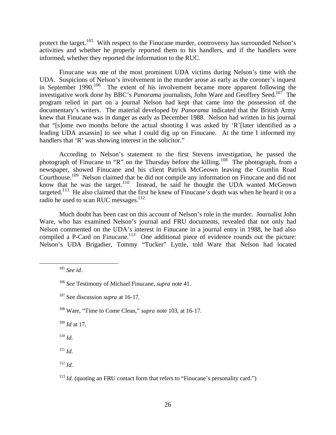protect the target.<sup>105</sup> With respect to the Finucane murder, controversy has surrounded Nelson's activities and whether he properly reported them to his handlers, and if the handlers were informed, whether they reported the information to the RUC.

Finucane was one of the most prominent UDA victims during Nelson's time with the UDA. Suspicions of Nelson's involvement in the murder arose as early as the coroner's inquest in September 1990.<sup>106</sup> The extent of his involvement became more apparent following the investigative work done by BBC's *Panorama* journalists, John Ware and Geoffrey Seed.<sup>107</sup> The program relied in part on a journal Nelson had kept that came into the possession of the documentary's writers. The material developed by *Panorama* indicated that the British Army knew that Finucane was in danger as early as December 1988. Nelson had written in his journal that "[s]ome two months before the actual shooting I was asked by 'R'[later identified as a leading UDA assassin] to see what I could dig up on Finucane. At the time I informed my handlers that 'R' was showing interest in the solicitor."

According to Nelson's statement to the first Stevens investigation, he passed the photograph of Finucane to "R" on the Thursday before the killing.<sup>108</sup> The photograph, from a newspaper, showed Finucane and his client Patrick McGeown leaving the Crumlin Road Courthouse.<sup>109</sup> Nelson claimed that he did not compile any information on Finucane and did not know that he was the target.<sup>110</sup> Instead, he said he thought the UDA wanted McGeown targeted.<sup>111</sup> He also claimed that the first he knew of Finucane's death was when he heard it on a radio he used to scan RUC messages.<sup>112</sup>

Much doubt has been cast on this account of Nelson's role in the murder. Journalist John Ware, who has examined Nelson's journal and FRU documents, revealed that not only had Nelson commented on the UDA's interest in Finucane in a journal entry in 1988, he had also compiled a P-Card on Finucane.<sup>113</sup> One additional piece of evidence rounds out the picture: Nelson's UDA Brigadier, Tommy "Tucker" Lyttle, told Ware that Nelson had located

 $\overline{a}$ 

<sup>108</sup> Ware, "Time to Come Clean," *supra* note 103, at 16-17.

<sup>109</sup> *Id* at 17.

<sup>110</sup> *Id.*

 $111$  *Id.* 

<sup>112</sup> *Id.*

<sup>105</sup> *See id*.

<sup>106</sup> *See* Testimony of Michael Finucane, *supra* note 41.

<sup>107</sup> See discussion *supra* at 16-17.

<sup>&</sup>lt;sup>113</sup> *Id.* (quoting an FRU contact form that refers to "Finucane's personality card.")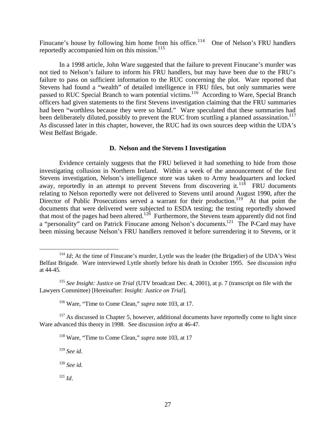Finucane's house by following him home from his office.<sup>114</sup> One of Nelson's FRU handlers reportedly accompanied him on this mission.<sup>115</sup>

In a 1998 article, John Ware suggested that the failure to prevent Finucane's murder was not tied to Nelson's failure to inform his FRU handlers, but may have been due to the FRU's failure to pass on sufficient information to the RUC concerning the plot. Ware reported that Stevens had found a "wealth" of detailed intelligence in FRU files, but only summaries were passed to RUC Special Branch to warn potential victims.<sup>116</sup> According to Ware, Special Branch officers had given statements to the first Stevens investigation claiming that the FRU summaries had been "worthless because they were so bland." Ware speculated that these summaries had been deliberately diluted, possibly to prevent the RUC from scuttling a planned assassination.<sup>117</sup> As discussed later in this chapter, however, the RUC had its own sources deep within the UDA's West Belfast Brigade.

# **D. Nelson and the Stevens I Investigation**

Evidence certainly suggests that the FRU believed it had something to hide from those investigating collusion in Northern Ireland. Within a week of the announcement of the first Stevens investigation, Nelson's intelligence store was taken to Army headquarters and locked away, reportedly in an attempt to prevent Stevens from discovering it.<sup>118</sup> FRU documents relating to Nelson reportedly were not delivered to Stevens until around August 1990, after the Director of Public Prosecutions served a warrant for their production.<sup>119</sup> At that point the documents that were delivered were subjected to ESDA testing; the testing reportedly showed that most of the pages had been altered.<sup>120</sup> Furthermore, the Stevens team apparently did not find a "personality" card on Patrick Finucane among Nelson's documents.<sup>121</sup> The P-Card may have been missing because Nelson's FRU handlers removed it before surrendering it to Stevens, or it

<sup>119</sup> *See id*.

1

<sup>120</sup> *See id.*

 $121$  *Id.* 

<sup>&</sup>lt;sup>114</sup> *Id*; At the time of Finucane's murder, Lyttle was the leader (the Brigadier) of the UDA's West Belfast Brigade. Ware interviewed Lyttle shortly before his death in October 1995.See discussion *infra*  at 44-45.

<sup>115</sup> *See Insight: Justice on Trial* (UTV broadcast Dec. 4, 2001), at p. 7 (transcript on file with the Lawyers Committee) [Hereinafter: *Insight: Justice on Trial*].

<sup>116</sup> Ware, "Time to Come Clean," *supra* note 103, at 17.

<sup>&</sup>lt;sup>117</sup> As discussed in Chapter 5, however, additional documents have reportedly come to light since Ware advanced this theory in 1998.See discussion *infra* at 46-47.

<sup>118</sup> Ware, "Time to Come Clean," *supra* note 103, at 17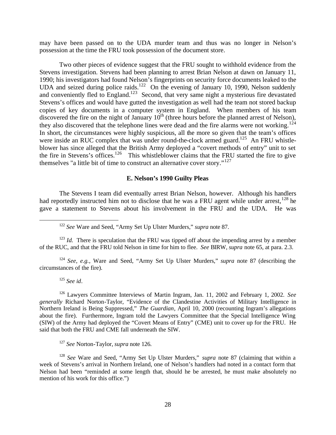may have been passed on to the UDA murder team and thus was no longer in Nelson's possession at the time the FRU took possession of the document store.

Two other pieces of evidence suggest that the FRU sought to withhold evidence from the Stevens investigation. Stevens had been planning to arrest Brian Nelson at dawn on January 11, 1990; his investigators had found Nelson's fingerprints on security force documents leaked to the UDA and seized during police raids.<sup>122</sup> On the evening of January 10, 1990, Nelson suddenly and conveniently fled to England.<sup>123</sup> Second, that very same night a mysterious fire devastated Stevens's offices and would have gutted the investigation as well had the team not stored backup copies of key documents in a computer system in England. When members of his team discovered the fire on the night of January  $10^{th}$  (three hours before the planned arrest of Nelson), they also discovered that the telephone lines were dead and the fire alarms were not working.<sup>124</sup> In short, the circumstances were highly suspicious, all the more so given that the team's offices were inside an RUC complex that was under round-the-clock armed guard.<sup>125</sup> An FRU whistleblower has since alleged that the British Army deployed a "covert methods of entry" unit to set the fire in Stevens's offices.<sup>126</sup> This whistleblower claims that the FRU started the fire to give themselves "a little bit of time to construct an alternative cover story."<sup>127</sup>

# **E. Nelson's 1990 Guilty Pleas**

The Stevens I team did eventually arrest Brian Nelson, however. Although his handlers had reportedly instructed him not to disclose that he was a FRU agent while under arrest,  $^{128}$  he gave a statement to Stevens about his involvement in the FRU and the UDA. He was

<sup>123</sup> *Id.* There is speculation that the FRU was tipped off about the impending arrest by a member of the RUC, and that the FRU told Nelson in time for him to flee. *See* BIRW*, supra* note 65, at para. 2.3.

<sup>124</sup> *See, e.g.*, Ware and Seed, "Army Set Up Ulster Murders," *supra* note 87 (describing the circumstances of the fire).

<sup>125</sup> *See id*.

1

<sup>126</sup> Lawyers Committee Interviews of Martin Ingram, Jan. 11, 2002 and February 1, 2002. *See generally* Richard Norton-Taylor, "Evidence of the Clandestine Activities of Military Intelligence in Northern Ireland is Being Suppressed," *The Guardian*, April 10, 2000 (recounting Ingram's allegations about the fire). Furthermore, Ingram told the Lawyers Committee that the Special Intelligence Wing (SIW) of the Army had deployed the "Covert Means of Entry" (CME) unit to cover up for the FRU. He said that both the FRU and CME fall underneath the SIW.

<sup>127</sup> *See* Norton-Taylor, *supra* note 126.

<sup>128</sup> *See* Ware and Seed, "Army Set Up Ulster Murders," *supra* note 87 (claiming that within a week of Stevens's arrival in Northern Ireland, one of Nelson's handlers had noted in a contact form that Nelson had been "reminded at some length that, should he be arrested, he must make absolutely no mention of his work for this office.")

<sup>122</sup> *See* Ware and Seed, "Army Set Up Ulster Murders," *supra* note 87.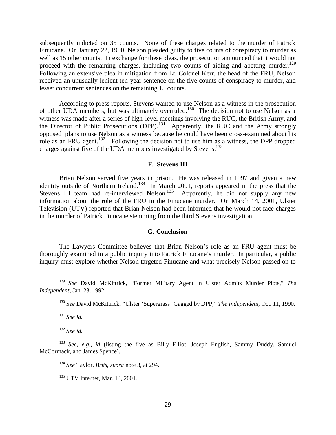subsequently indicted on 35 counts. None of these charges related to the murder of Patrick Finucane. On January 22, 1990, Nelson pleaded guilty to five counts of conspiracy to murder as well as 15 other counts. In exchange for these pleas, the prosecution announced that it would not proceed with the remaining charges, including two counts of aiding and abetting murder.<sup>129</sup> Following an extensive plea in mitigation from Lt. Colonel Kerr, the head of the FRU, Nelson received an unusually lenient ten-year sentence on the five counts of conspiracy to murder, and lesser concurrent sentences on the remaining 15 counts.

According to press reports, Stevens wanted to use Nelson as a witness in the prosecution of other UDA members, but was ultimately overruled.<sup>130</sup> The decision not to use Nelson as a witness was made after a series of high-level meetings involving the RUC, the British Army, and the Director of Public Prosecutions (DPP).<sup>131</sup> Apparently, the RUC and the Army strongly opposed plans to use Nelson as a witness because he could have been cross-examined about his role as an FRU agent.<sup>132</sup> Following the decision not to use him as a witness, the DPP dropped charges against five of the UDA members investigated by Stevens.<sup>133</sup>

### **F. Stevens III**

Brian Nelson served five years in prison. He was released in 1997 and given a new identity outside of Northern Ireland.<sup>134</sup> In March 2001, reports appeared in the press that the Stevens III team had re-interviewed Nelson.<sup>135</sup> Apparently, he did not supply any new information about the role of the FRU in the Finucane murder. On March 14, 2001, Ulster Television (UTV) reported that Brian Nelson had been informed that he would not face charges in the murder of Patrick Finucane stemming from the third Stevens investigation.

#### **G. Conclusion**

The Lawyers Committee believes that Brian Nelson's role as an FRU agent must be thoroughly examined in a public inquiry into Patrick Finucane's murder. In particular, a public inquiry must explore whether Nelson targeted Finucane and what precisely Nelson passed on to

<sup>131</sup> *See id.*

1

<sup>132</sup> *See id.*

<sup>133</sup> *See, e.g.*, *id* (listing the five as Billy Elliot, Joseph English, Sammy Duddy, Samuel McCormack, and James Spence).

<sup>134</sup> *See* Taylor, *Brits*, *supra* note 3, at 294.

<sup>135</sup> UTV Internet, Mar. 14, 2001.

<sup>129</sup> *See* David McKittrick, "Former Military Agent in Ulster Admits Murder Plots," *The Independent*, Jan. 23, 1992.

<sup>130</sup> *See* David McKittrick, "Ulster 'Supergrass' Gagged by DPP," *The Independent*, Oct. 11, 1990.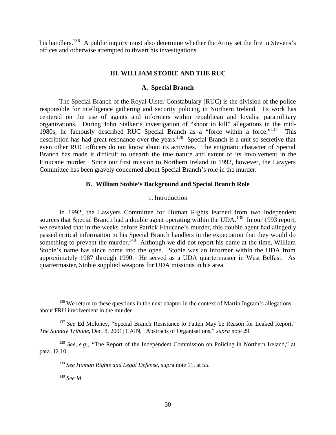his handlers.<sup>136</sup> A public inquiry must also determine whether the Army set the fire in Stevens's offices and otherwise attempted to thwart his investigations.

# **III. WILLIAM STOBIE AND THE RUC**

# **A. Special Branch**

The Special Branch of the Royal Ulster Constabulary (RUC) is the division of the police responsible for intelligence gathering and security policing in Northern Ireland. Its work has centered on the use of agents and informers within republican and loyalist paramilitary organizations. During John Stalker's investigation of "shoot to kill" allegations in the mid-1980s, he famously described RUC Special Branch as a "force within a force."<sup>137</sup> This description has had great resonance over the years.<sup>138</sup> Special Branch is a unit so secretive that even other RUC officers do not know about its activities. The enigmatic character of Special Branch has made it difficult to unearth the true nature and extent of its involvement in the Finucane murder. Since our first mission to Northern Ireland in 1992, however, the Lawyers Committee has been gravely concerned about Special Branch's role in the murder.

#### **B. William Stobie's Background and Special Branch Role**

### 1. Introduction

In 1992, the Lawyers Committee for Human Rights learned from two independent sources that Special Branch had a double agent operating within the UDA.<sup>139</sup> In our 1993 report, we revealed that in the weeks before Patrick Finucane's murder, this double agent had allegedly passed critical information to his Special Branch handlers in the expectation that they would do something to prevent the murder.<sup>140</sup> Although we did not report his name at the time, William Stobie's name has since come into the open. Stobie was an informer within the UDA from approximately 1987 through 1990. He served as a UDA quartermaster in West Belfast. As quartermaster, Stobie supplied weapons for UDA missions in his area.

<sup>140</sup> *See id.*

 $136$  We return to these questions in the next chapter in the context of Martin Ingram's allegations about FRU involvement in the murder

<sup>137</sup> *See* Ed Moloney, "Special Branch Resistance to Patten May be Reason for Leaked Report," *The Sunday Tribune*, Dec. 8, 2001; CAIN, "Abstracts of Organisations," *supra* note 29.

<sup>&</sup>lt;sup>138</sup> *See, e.g.,* "The Report of the Independent Commission on Policing in Northern Ireland," at para. 12.10.

<sup>139</sup> *See Human Rights and Legal Defense*, *supr*a note 11, at 55.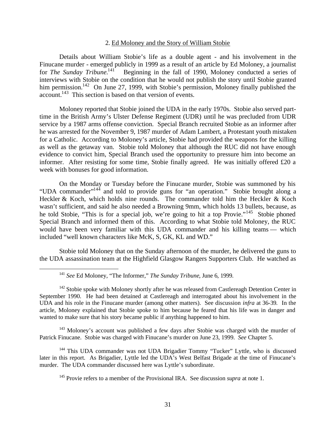#### 2. Ed Moloney and the Story of William Stobie

Details about William Stobie's life as a double agent - and his involvement in the Finucane murder - emerged publicly in 1999 as a result of an article by Ed Moloney, a journalist for *The Sunday Tribune*.<sup>141</sup> Beginning in the fall of 1990, Moloney conducted a series of interviews with Stobie on the condition that he would not publish the story until Stobie granted him permission.<sup>142</sup> On June 27, 1999, with Stobie's permission, Moloney finally published the account.<sup>143</sup> This section is based on that version of events.

Moloney reported that Stobie joined the UDA in the early 1970s. Stobie also served parttime in the British Army's Ulster Defense Regiment (UDR) until he was precluded from UDR service by a 1987 arms offense conviction. Special Branch recruited Stobie as an informer after he was arrested for the November 9, 1987 murder of Adam Lambert, a Protestant youth mistaken for a Catholic. According to Moloney's article, Stobie had provided the weapons for the killing as well as the getaway van. Stobie told Moloney that although the RUC did not have enough evidence to convict him, Special Branch used the opportunity to pressure him into become an informer. After resisting for some time, Stobie finally agreed. He was initially offered £20 a week with bonuses for good information.

On the Monday or Tuesday before the Finucane murder, Stobie was summoned by his "UDA commander"<sup>144</sup> and told to provide guns for "an operation." Stobie brought along a Heckler & Koch, which holds nine rounds. The commander told him the Heckler & Koch wasn't sufficient, and said he also needed a Browning 9mm, which holds 13 bullets, because, as he told Stobie, "This is for a special job, we're going to hit a top Provie."<sup>145</sup> Stobie phoned Special Branch and informed them of this. According to what Stobie told Moloney, the RUC would have been very familiar with this UDA commander and his killing teams — which included "well known characters like McK, S, GK, KL and WD."

Stobie told Moloney that on the Sunday afternoon of the murder, he delivered the guns to the UDA assassination team at the Highfield Glasgow Rangers Supporters Club. He watched as

 $\overline{a}$ 

<sup>143</sup> Moloney's account was published a few days after Stobie was charged with the murder of Patrick Finucane. Stobie was charged with Finucane's murder on June 23, 1999. *See* Chapter 5.

<sup>144</sup> This UDA commander was not UDA Brigadier Tommy "Tucker" Lyttle, who is discussed later in this report. As Brigadier, Lyttle led the UDA's West Belfast Brigade at the time of Finucane's murder. The UDA commander discussed here was Lyttle's subordinate.

<sup>141</sup> *See* Ed Moloney, "The Informer," *The Sunday Tribune*, June 6, 1999.

<sup>&</sup>lt;sup>142</sup> Stobie spoke with Moloney shortly after he was released from Castlereagh Detention Center in September 1990. He had been detained at Castlereagh and interrogated about his involvement in the UDA and his role in the Finucane murder (among other matters). See discussion *infra* at 36-39.In the article, Moloney explained that Stobie spoke to him because he feared that his life was in danger and wanted to make sure that his story became public if anything happened to him.

<sup>&</sup>lt;sup>145</sup> Provie refers to a member of the Provisional IRA. See discussion *supra* at note 1.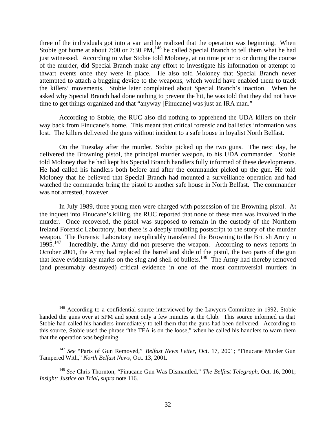three of the individuals got into a van and he realized that the operation was beginning. When Stobie got home at about 7:00 or 7:30 PM, <sup>146</sup> he called Special Branch to tell them what he had just witnessed. According to what Stobie told Moloney, at no time prior to or during the course of the murder, did Special Branch make any effort to investigate his information or attempt to thwart events once they were in place. He also told Moloney that Special Branch never attempted to attach a bugging device to the weapons, which would have enabled them to track the killers' movements. Stobie later complained about Special Branch's inaction. When he asked why Special Branch had done nothing to prevent the hit, he was told that they did not have time to get things organized and that "anyway [Finucane] was just an IRA man."

According to Stobie, the RUC also did nothing to apprehend the UDA killers on their way back from Finucane's home. This meant that critical forensic and ballistics information was lost. The killers delivered the guns without incident to a safe house in loyalist North Belfast.

On the Tuesday after the murder, Stobie picked up the two guns. The next day, he delivered the Browning pistol, the principal murder weapon, to his UDA commander. Stobie told Moloney that he had kept his Special Branch handlers fully informed of these developments. He had called his handlers both before and after the commander picked up the gun. He told Moloney that he believed that Special Branch had mounted a surveillance operation and had watched the commander bring the pistol to another safe house in North Belfast. The commander was not arrested, however.

In July 1989, three young men were charged with possession of the Browning pistol. At the inquest into Finucane's killing, the RUC reported that none of these men was involved in the murder. Once recovered, the pistol was supposed to remain in the custody of the Northern Ireland Forensic Laboratory, but there is a deeply troubling postscript to the story of the murder weapon. The Forensic Laboratory inexplicably transferred the Browning to the British Army in 1995.<sup>147</sup> Incredibly, the Army did not preserve the weapon. According to news reports in October 2001, the Army had replaced the barrel and slide of the pistol, the two parts of the gun that leave evidentiary marks on the slug and shell of bullets.<sup>148</sup> The Army had thereby removed (and presumably destroyed) critical evidence in one of the most controversial murders in

 $146$  According to a confidential source interviewed by the Lawyers Committee in 1992, Stobie handed the guns over at 5PM and spent only a few minutes at the Club. This source informed us that Stobie had called his handlers immediately to tell them that the guns had been delivered. According to this source, Stobie used the phrase "the TEA is on the loose," when he called his handlers to warn them that the operation was beginning.

<sup>147</sup> *See* "Parts of Gun Removed," *Belfast News Letter*, Oct. 17, 2001; "Finucane Murder Gun Tampered With," *North Belfast News*, Oct. 13, 2001**.**

<sup>148</sup> *See* Chris Thornton, "Finucane Gun Was Dismantled," *The Belfast Telegraph*, Oct. 16, 2001; *Insight: Justice on Trial***,** *supra* note 116.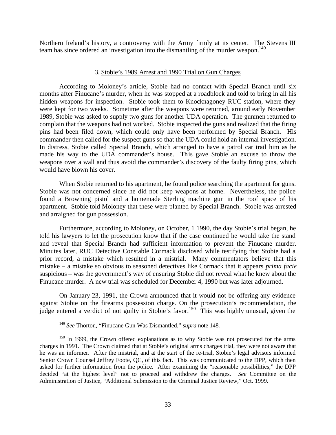Northern Ireland's history, a controversy with the Army firmly at its center. The Stevens III team has since ordered an investigation into the dismantling of the murder weapon.<sup>149</sup>

### 3. Stobie's 1989 Arrest and 1990 Trial on Gun Charges

According to Moloney's article, Stobie had no contact with Special Branch until six months after Finucane's murder, when he was stopped at a roadblock and told to bring in all his hidden weapons for inspection. Stobie took them to Knocknagoney RUC station, where they were kept for two weeks. Sometime after the weapons were returned, around early November 1989, Stobie was asked to supply two guns for another UDA operation. The gunmen returned to complain that the weapons had not worked. Stobie inspected the guns and realized that the firing pins had been filed down, which could only have been performed by Special Branch. His commander then called for the suspect guns so that the UDA could hold an internal investigation. In distress, Stobie called Special Branch, which arranged to have a patrol car trail him as he made his way to the UDA commander's house. This gave Stobie an excuse to throw the weapons over a wall and thus avoid the commander's discovery of the faulty firing pins, which would have blown his cover.

When Stobie returned to his apartment, he found police searching the apartment for guns. Stobie was not concerned since he did not keep weapons at home. Nevertheless, the police found a Browning pistol and a homemade Sterling machine gun in the roof space of his apartment. Stobie told Moloney that these were planted by Special Branch. Stobie was arrested and arraigned for gun possession.

Furthermore, according to Moloney, on October, 1 1990, the day Stobie's trial began, he told his lawyers to let the prosecution know that if the case continued he would take the stand and reveal that Special Branch had sufficient information to prevent the Finucane murder. Minutes later, RUC Detective Constable Cormack disclosed while testifying that Stobie had a prior record, a mistake which resulted in a mistrial. Many commentators believe that this mistake – a mistake so obvious to seasoned detectives like Cormack that it appears *prima facie* suspicious – was the government's way of ensuring Stobie did not reveal what he knew about the Finucane murder. A new trial was scheduled for December 4, 1990 but was later adjourned.

On January 23, 1991, the Crown announced that it would not be offering any evidence against Stobie on the firearms possession charge. On the prosecution's recommendation, the judge entered a verdict of not guilty in Stobie's favor.<sup>150</sup> This was highly unusual, given the

<sup>149</sup> *See* Thorton, "Finucane Gun Was Dismantled," *supra* note 148*.*

<sup>&</sup>lt;sup>150</sup> In 1999, the Crown offered explanations as to why Stobie was not prosecuted for the arms charges in 1991. The Crown claimed that at Stobie's original arms charges trial, they were not aware that he was an informer. After the mistrial, and at the start of the re-trial, Stobie's legal advisors informed Senior Crown Counsel Jeffrey Foote, QC, of this fact. This was communicated to the DPP, which then asked for further information from the police. After examining the "reasonable possibilities," the DPP decided "at the highest level" not to proceed and withdrew the charges. *See* Committee on the Administration of Justice, "Additional Submission to the Criminal Justice Review," Oct. 1999.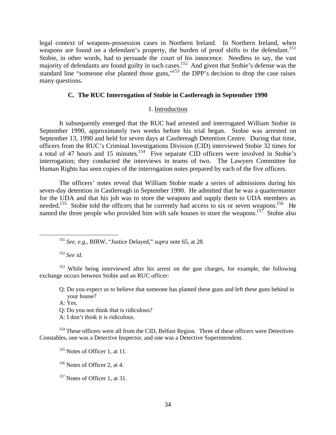legal context of weapons-possession cases in Northern Ireland. In Northern Ireland, when weapons are found on a defendant's property, the burden of proof shifts to the defendant.<sup>151</sup> Stobie, in other words, had to persuade the court of his innocence. Needless to say, the vast majority of defendants are found guilty in such cases.<sup>152</sup> And given that Stobie's defense was the standard line "someone else planted those guns,"<sup>153</sup> the DPP's decision to drop the case raises many questions.

# **C. The RUC Interrogation of Stobie in Castlereagh in September 1990**

### 1. Introduction

It subsequently emerged that the RUC had arrested and interrogated William Stobie in September 1990, approximately two weeks before his trial began. Stobie was arrested on September 13, 1990 and held for seven days at Castlereagh Detention Centre. During that time, officers from the RUC's Criminal Investigations Division (CID) interviewed Stobie 32 times for a total of 47 hours and 15 minutes.<sup>154</sup> Five separate CID officers were involved in Stobie's interrogation; they conducted the interviews in teams of two. The Lawyers Committee for Human Rights has seen copies of the interrogation notes prepared by each of the five officers.

The officers' notes reveal that William Stobie made a series of admissions during his seven-day detention in Castlereagh in September 1990. He admitted that he was a quartermaster for the UDA and that his job was to store the weapons and supply them to UDA members as needed.<sup>155</sup> Stobie told the officers that he currently had access to six or seven weapons.<sup>156</sup> He named the three people who provided him with safe houses to store the weapons.<sup>157</sup> Stobie also

<sup>152</sup> *See id.*

1

 $153$  While being interviewed after his arrest on the gun charges, for example, the following exchange occurs between Stobie and an RUC officer:

Q: Do you expect us to believe that someone has planted these guns and left these guns behind in your house?

A: Yes.

- Q: Do you not think that is ridiculous?
- A: I don't think it is ridiculous.

<sup>154</sup> These officers were all from the CID, Belfast Region. Three of these officers were Detectives Constables, one was a Detective Inspector, and one was a Detective Superintendent.

<sup>155</sup> Notes of Officer 1, at 11.

<sup>156</sup> Notes of Officer 2, at 4.

<sup>157</sup> Notes of Officer 1, at 31.

<sup>151</sup> *See, e.g.*, BIRW, "Justice Delayed," *supra* note 65, at 28.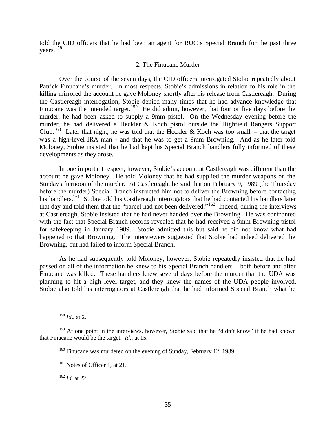told the CID officers that he had been an agent for RUC's Special Branch for the past three years.<sup>158</sup>

### 2. The Finucane Murder

Over the course of the seven days, the CID officers interrogated Stobie repeatedly about Patrick Finucane's murder. In most respects, Stobie's admissions in relation to his role in the killing mirrored the account he gave Moloney shortly after his release from Castlereagh. During the Castlereagh interrogation, Stobie denied many times that he had advance knowledge that Finucane was the intended target.<sup>159</sup> He did admit, however, that four or five days before the murder, he had been asked to supply a 9mm pistol. On the Wednesday evening before the murder, he had delivered a Heckler & Koch pistol outside the Highfield Rangers Support Club.<sup>160</sup> Later that night, he was told that the Heckler & Koch was too small – that the target was a high-level IRA man - and that he was to get a 9mm Browning. And as he later told Moloney, Stobie insisted that he had kept his Special Branch handlers fully informed of these developments as they arose.

In one important respect, however, Stobie's account at Castlereagh was different than the account he gave Moloney. He told Moloney that he had supplied the murder weapons on the Sunday afternoon of the murder. At Castlereagh, he said that on February 9, 1989 (the Thursday before the murder) Special Branch instructed him not to deliver the Browning before contacting his handlers.<sup>161</sup> Stobie told his Castlereagh interrogators that he had contacted his handlers later that day and told them that the "parcel had not been delivered."<sup>162</sup> Indeed, during the interviews at Castlereagh, Stobie insisted that he had never handed over the Browning. He was confronted with the fact that Special Branch records revealed that he had received a 9mm Browning pistol for safekeeping in January 1989. Stobie admitted this but said he did not know what had happened to that Browning. The interviewers suggested that Stobie had indeed delivered the Browning, but had failed to inform Special Branch.

As he had subsequently told Moloney, however, Stobie repeatedly insisted that he had passed on all of the information he knew to his Special Branch handlers – both before and after Finucane was killed. These handlers knew several days before the murder that the UDA was planning to hit a high level target, and they knew the names of the UDA people involved. Stobie also told his interrogators at Castlereagh that he had informed Special Branch what he

<sup>158</sup> *Id*., at 2.

 $\overline{a}$ 

<sup>162</sup> *Id.* at 22.

<sup>&</sup>lt;sup>159</sup> At one point in the interviews, however, Stobie said that he "didn't know" if he had known that Finucane would be the target. *Id.*, at 15.

<sup>&</sup>lt;sup>160</sup> Finucane was murdered on the evening of Sunday, February 12, 1989.

<sup>&</sup>lt;sup>161</sup> Notes of Officer 1, at 21.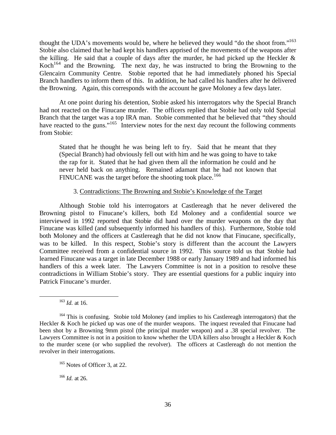thought the UDA's movements would be, where he believed they would "do the shoot from."<sup>163</sup> Stobie also claimed that he had kept his handlers apprised of the movements of the weapons after the killing. He said that a couple of days after the murder, he had picked up the Heckler  $\&$ Koch<sup>164</sup> and the Browning. The next day, he was instructed to bring the Browning to the Glencairn Community Centre. Stobie reported that he had immediately phoned his Special Branch handlers to inform them of this. In addition, he had called his handlers after he delivered the Browning. Again, this corresponds with the account he gave Moloney a few days later.

At one point during his detention, Stobie asked his interrogators why the Special Branch had not reacted on the Finucane murder. The officers replied that Stobie had only told Special Branch that the target was a top IRA man. Stobie commented that he believed that "they should have reacted to the guns."<sup>165</sup> Interview notes for the next day recount the following comments from Stobie:

Stated that he thought he was being left to fry. Said that he meant that they (Special Branch) had obviously fell out with him and he was going to have to take the rap for it. Stated that he had given them all the information he could and he never held back on anything. Remained adamant that he had not known that FINUCANE was the target before the shooting took place.<sup>166</sup>

# 3. Contradictions: The Browning and Stobie's Knowledge of the Target

Although Stobie told his interrogators at Castlereagh that he never delivered the Browning pistol to Finucane's killers, both Ed Moloney and a confidential source we interviewed in 1992 reported that Stobie did hand over the murder weapons on the day that Finucane was killed (and subsequently informed his handlers of this). Furthermore, Stobie told both Moloney and the officers at Castlereagh that he did not know that Finucane, specifically, was to be killed. In this respect, Stobie's story is different than the account the Lawyers Committee received from a confidential source in 1992. This source told us that Stobie had learned Finucane was a target in late December 1988 or early January 1989 and had informed his handlers of this a week later. The Lawyers Committee is not in a position to resolve these contradictions in William Stobie's story. They are essential questions for a public inquiry into Patrick Finucane's murder.

<sup>163</sup> *Id.* at 16.

 $\overline{a}$ 

<sup>166</sup> *Id.* at 26.

<sup>&</sup>lt;sup>164</sup> This is confusing. Stobie told Moloney (and implies to his Castlereagh interrogators) that the Heckler & Koch he picked up was one of the murder weapons. The inquest revealed that Finucane had been shot by a Browning 9mm pistol (the principal murder weapon) and a .38 special revolver. The Lawyers Committee is not in a position to know whether the UDA killers also brought a Heckler & Koch to the murder scene (or who supplied the revolver). The officers at Castlereagh do not mention the revolver in their interrogations.

<sup>&</sup>lt;sup>165</sup> Notes of Officer 3, at 22.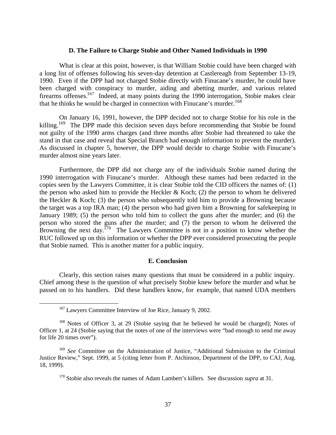#### **D. The Failure to Charge Stobie and Other Named Individuals in 1990**

What is clear at this point, however, is that William Stobie could have been charged with a long list of offenses following his seven-day detention at Castlereagh from September 13-19, 1990. Even if the DPP had not charged Stobie directly with Finucane's murder, he could have been charged with conspiracy to murder, aiding and abetting murder, and various related firearms offenses.<sup>167</sup> Indeed, at many points during the 1990 interrogation, Stobie makes clear that he thinks he would be charged in connection with Finucane's murder.<sup>168</sup>

On January 16, 1991, however, the DPP decided not to charge Stobie for his role in the killing.<sup>169</sup> The DPP made this decision seven days before recommending that Stobie be found not guilty of the 1990 arms charges (and three months after Stobie had threatened to take the stand in that case and reveal that Special Branch had enough information to prevent the murder). As discussed in chapter 5, however, the DPP would decide to charge Stobie with Finucane's murder almost nine years later.

Furthermore, the DPP did not charge any of the individuals Stobie named during the 1990 interrogation with Finucane's murder. Although these names had been redacted in the copies seen by the Lawyers Committee, it is clear Stobie told the CID officers the names of: (1) the person who asked him to provide the Heckler  $\&$  Koch; (2) the person to whom he delivered the Heckler & Koch; (3) the person who subsequently told him to provide a Browning because the target was a top IRA man; (4) the person who had given him a Browning for safekeeping in January 1989; (5) the person who told him to collect the guns after the murder; and (6) the person who stored the guns after the murder; and (7) the person to whom he delivered the Browning the next day.<sup>170</sup> The Lawyers Committee is not in a position to know whether the RUC followed up on this information or whether the DPP ever considered prosecuting the people that Stobie named. This is another matter for a public inquiry.

#### **E. Conclusion**

Clearly, this section raises many questions that must be considered in a public inquiry. Chief among these is the question of what precisely Stobie knew before the murder and what he passed on to his handlers. Did these handlers know, for example, that named UDA members

<sup>167</sup> Lawyers Committee Interview of Joe Rice, January 9, 2002.

<sup>&</sup>lt;sup>168</sup> Notes of Officer 3, at 29 (Stobie saying that he believed he would be charged); Notes of Officer 1, at 24 (Stobie saying that the notes of one of the interviews were "bad enough to send me away for life 20 times over").

<sup>&</sup>lt;sup>169</sup> See Committee on the Administration of Justice, "Additional Submission to the Criminal Justice Review," Sept. 1999, at 5 (citing letter from P. Atchinson, Department of the DPP, to CAJ, Aug. 18, 1999).

<sup>170</sup> Stobie also reveals the names of Adam Lambert's killers. See discussion *supra* at 31.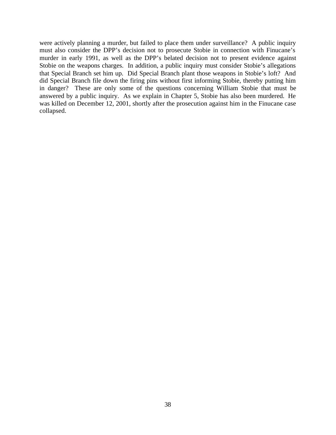were actively planning a murder, but failed to place them under surveillance? A public inquiry must also consider the DPP's decision not to prosecute Stobie in connection with Finucane's murder in early 1991, as well as the DPP's belated decision not to present evidence against Stobie on the weapons charges. In addition, a public inquiry must consider Stobie's allegations that Special Branch set him up. Did Special Branch plant those weapons in Stobie's loft? And did Special Branch file down the firing pins without first informing Stobie, thereby putting him in danger? These are only some of the questions concerning William Stobie that must be answered by a public inquiry. As we explain in Chapter 5, Stobie has also been murdered. He was killed on December 12, 2001, shortly after the prosecution against him in the Finucane case collapsed.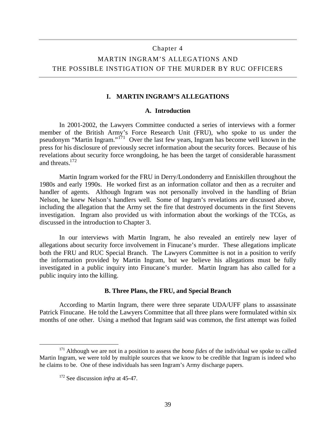# Chapter 4

# MARTIN INGRAM'S ALLEGATIONS AND THE POSSIBLE INSTIGATION OF THE MURDER BY RUC OFFICERS

# **I. MARTIN INGRAM'S ALLEGATIONS**

#### **A. Introduction**

In 2001-2002, the Lawyers Committee conducted a series of interviews with a former member of the British Army's Force Research Unit (FRU), who spoke to us under the pseudonym "Martin Ingram."<sup>171</sup> Over the last few years, Ingram has become well known in the press for his disclosure of previously secret information about the security forces. Because of his revelations about security force wrongdoing, he has been the target of considerable harassment and threats.<sup>172</sup>

Martin Ingram worked for the FRU in Derry/Londonderry and Enniskillen throughout the 1980s and early 1990s. He worked first as an information collator and then as a recruiter and handler of agents. Although Ingram was not personally involved in the handling of Brian Nelson, he knew Nelson's handlers well. Some of Ingram's revelations are discussed above, including the allegation that the Army set the fire that destroyed documents in the first Stevens investigation. Ingram also provided us with information about the workings of the TCGs, as discussed in the introduction to Chapter 3.

In our interviews with Martin Ingram, he also revealed an entirely new layer of allegations about security force involvement in Finucane's murder. These allegations implicate both the FRU and RUC Special Branch. The Lawyers Committee is not in a position to verify the information provided by Martin Ingram, but we believe his allegations must be fully investigated in a public inquiry into Finucane's murder. Martin Ingram has also called for a public inquiry into the killing.

#### **B. Three Plans, the FRU, and Special Branch**

According to Martin Ingram, there were three separate UDA/UFF plans to assassinate Patrick Finucane. He told the Lawyers Committee that all three plans were formulated within six months of one other. Using a method that Ingram said was common, the first attempt was foiled

<sup>&</sup>lt;sup>171</sup> Although we are not in a position to assess the *bona fides* of the individual we spoke to called Martin Ingram, we were told by multiple sources that we know to be credible that Ingram is indeed who he claims to be. One of these individuals has seen Ingram's Army discharge papers.

<sup>172</sup> See discussion *infra* at 45-47.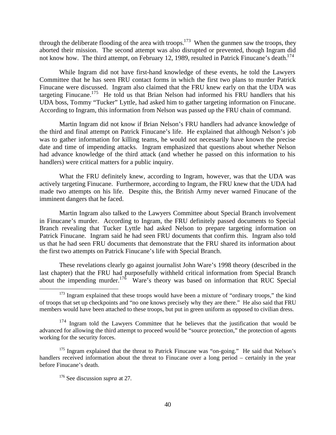through the deliberate flooding of the area with troops.<sup>173</sup> When the gunmen saw the troops, they aborted their mission. The second attempt was also disrupted or prevented, though Ingram did not know how. The third attempt, on February 12, 1989, resulted in Patrick Finucane's death.<sup>174</sup>

While Ingram did not have first-hand knowledge of these events, he told the Lawyers Committee that he has seen FRU contact forms in which the first two plans to murder Patrick Finucane were discussed. Ingram also claimed that the FRU knew early on that the UDA was targeting Finucane.<sup>175</sup> He told us that Brian Nelson had informed his FRU handlers that his UDA boss, Tommy "Tucker" Lyttle, had asked him to gather targeting information on Finucane. According to Ingram, this information from Nelson was passed up the FRU chain of command.

Martin Ingram did not know if Brian Nelson's FRU handlers had advance knowledge of the third and final attempt on Patrick Finucane's life. He explained that although Nelson's job was to gather information for killing teams, he would not necessarily have known the precise date and time of impending attacks. Ingram emphasized that questions about whether Nelson had advance knowledge of the third attack (and whether he passed on this information to his handlers) were critical matters for a public inquiry.

What the FRU definitely knew, according to Ingram, however, was that the UDA was actively targeting Finucane. Furthermore, according to Ingram, the FRU knew that the UDA had made two attempts on his life. Despite this, the British Army never warned Finucane of the imminent dangers that he faced.

Martin Ingram also talked to the Lawyers Committee about Special Branch involvement in Finucane's murder. According to Ingram, the FRU definitely passed documents to Special Branch revealing that Tucker Lyttle had asked Nelson to prepare targeting information on Patrick Finucane. Ingram said he had seen FRU documents that confirm this. Ingram also told us that he had seen FRU documents that demonstrate that the FRU shared its information about the first two attempts on Patrick Finucane's life with Special Branch.

These revelations clearly go against journalist John Ware's 1998 theory (described in the last chapter) that the FRU had purposefully withheld critical information from Special Branch about the impending murder.<sup>176</sup> Ware's theory was based on information that RUC Special

<u>.</u>

 $173$  Ingram explained that these troops would have been a mixture of "ordinary troops," the kind of troops that set up checkpoints and "no one knows precisely why they are there." He also said that FRU members would have been attached to these troops, but put in green uniform as opposed to civilian dress.

<sup>&</sup>lt;sup>174</sup> Ingram told the Lawyers Committee that he believes that the justification that would be advanced for allowing the third attempt to proceed would be "source protection," the protection of agents working for the security forces.

<sup>&</sup>lt;sup>175</sup> Ingram explained that the threat to Patrick Finucane was "on-going." He said that Nelson's handlers received information about the threat to Finucane over a long period – certainly in the year before Finucane's death.

<sup>176</sup> See discussion *supra* at 27.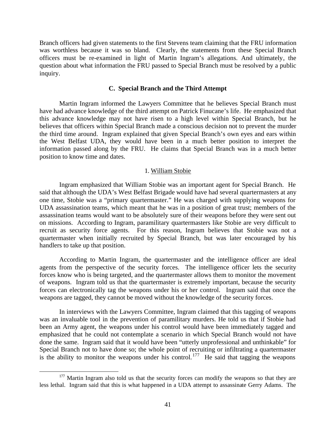Branch officers had given statements to the first Stevens team claiming that the FRU information was worthless because it was so bland. Clearly, the statements from these Special Branch officers must be re-examined in light of Martin Ingram's allegations. And ultimately, the question about what information the FRU passed to Special Branch must be resolved by a public inquiry.

#### **C. Special Branch and the Third Attempt**

Martin Ingram informed the Lawyers Committee that he believes Special Branch must have had advance knowledge of the third attempt on Patrick Finucane's life. He emphasized that this advance knowledge may not have risen to a high level within Special Branch, but he believes that officers within Special Branch made a conscious decision not to prevent the murder the third time around. Ingram explained that given Special Branch's own eyes and ears within the West Belfast UDA, they would have been in a much better position to interpret the information passed along by the FRU. He claims that Special Branch was in a much better position to know time and dates.

### 1. William Stobie

Ingram emphasized that William Stobie was an important agent for Special Branch. He said that although the UDA's West Belfast Brigade would have had several quartermasters at any one time, Stobie was a "primary quartermaster." He was charged with supplying weapons for UDA assassination teams, which meant that he was in a position of great trust; members of the assassination teams would want to be absolutely sure of their weapons before they were sent out on missions. According to Ingram, paramilitary quartermasters like Stobie are very difficult to recruit as security force agents. For this reason, Ingram believes that Stobie was not a quartermaster when initially recruited by Special Branch, but was later encouraged by his handlers to take up that position.

According to Martin Ingram, the quartermaster and the intelligence officer are ideal agents from the perspective of the security forces. The intelligence officer lets the security forces know who is being targeted, and the quartermaster allows them to monitor the movement of weapons. Ingram told us that the quartermaster is extremely important, because the security forces can electronically tag the weapons under his or her control. Ingram said that once the weapons are tagged, they cannot be moved without the knowledge of the security forces.

In interviews with the Lawyers Committee, Ingram claimed that this tagging of weapons was an invaluable tool in the prevention of paramilitary murders. He told us that if Stobie had been an Army agent, the weapons under his control would have been immediately tagged and emphasized that he could not contemplate a scenario in which Special Branch would not have done the same. Ingram said that it would have been "utterly unprofessional and unthinkable" for Special Branch not to have done so; the whole point of recruiting or infiltrating a quartermaster is the ability to monitor the weapons under his control.<sup>177</sup> He said that tagging the weapons

<sup>&</sup>lt;sup>177</sup> Martin Ingram also told us that the security forces can modify the weapons so that they are less lethal. Ingram said that this is what happened in a UDA attempt to assassinate Gerry Adams. The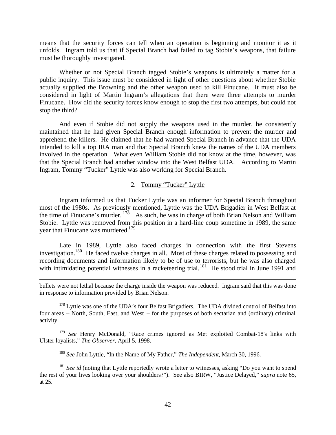means that the security forces can tell when an operation is beginning and monitor it as it unfolds. Ingram told us that if Special Branch had failed to tag Stobie's weapons, that failure must be thoroughly investigated.

Whether or not Special Branch tagged Stobie's weapons is ultimately a matter for a public inquiry. This issue must be considered in light of other questions about whether Stobie actually supplied the Browning and the other weapon used to kill Finucane. It must also be considered in light of Martin Ingram's allegations that there were three attempts to murder Finucane. How did the security forces know enough to stop the first two attempts, but could not stop the third?

And even if Stobie did not supply the weapons used in the murder, he consistently maintained that he had given Special Branch enough information to prevent the murder and apprehend the killers. He claimed that he had warned Special Branch in advance that the UDA intended to kill a top IRA man and that Special Branch knew the names of the UDA members involved in the operation. What even William Stobie did not know at the time, however, was that the Special Branch had another window into the West Belfast UDA. According to Martin Ingram, Tommy "Tucker" Lyttle was also working for Special Branch.

# 2. Tommy "Tucker" Lyttle

Ingram informed us that Tucker Lyttle was an informer for Special Branch throughout most of the 1980s. As previously mentioned, Lyttle was the UDA Brigadier in West Belfast at the time of Finucane's murder.  $178$  As such, he was in charge of both Brian Nelson and William Stobie. Lyttle was removed from this position in a hard-line coup sometime in 1989, the same year that Finucane was murdered.<sup>179</sup>

Late in 1989, Lyttle also faced charges in connection with the first Stevens investigation.<sup>180</sup> He faced twelve charges in all. Most of these charges related to possessing and recording documents and information likely to be of use to terrorists, but he was also charged with intimidating potential witnesses in a racketeering trial.<sup>181</sup> He stood trial in June 1991 and

bullets were not lethal because the charge inside the weapon was reduced. Ingram said that this was done in response to information provided by Brian Nelson.

 $\overline{a}$ 

<sup>178</sup> Lyttle was one of the UDA's four Belfast Brigadiers. The UDA divided control of Belfast into four areas – North, South, East, and West – for the purposes of both sectarian and (ordinary) criminal activity.

<sup>179</sup> *See* Henry McDonald, "Race crimes ignored as Met exploited Combat-18's links with Ulster loyalists," *The Observer*, April 5, 1998.

<sup>180</sup> *See* John Lyttle, "In the Name of My Father," *The Independent*, March 30, 1996.

<sup>181</sup> *See id* (noting that Lyttle reportedly wrote a letter to witnesses, asking "Do you want to spend" the rest of your lives looking over your shoulders?"). See also BIRW, "Justice Delayed," *supra* note 65, at 25.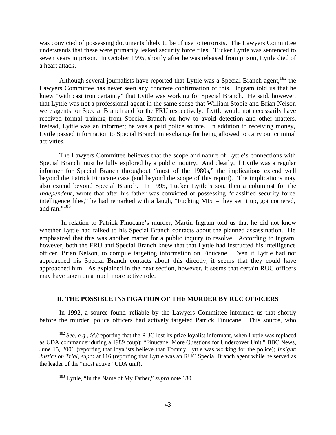was convicted of possessing documents likely to be of use to terrorists. The Lawyers Committee understands that these were primarily leaked security force files. Tucker Lyttle was sentenced to seven years in prison. In October 1995, shortly after he was released from prison, Lyttle died of a heart attack.

Although several journalists have reported that Lyttle was a Special Branch agent,  $182$  the Lawyers Committee has never seen any concrete confirmation of this. Ingram told us that he knew "with cast iron certainty" that Lyttle was working for Special Branch. He said, however, that Lyttle was not a professional agent in the same sense that William Stobie and Brian Nelson were agents for Special Branch and for the FRU respectively. Lyttle would not necessarily have received formal training from Special Branch on how to avoid detection and other matters. Instead, Lyttle was an informer; he was a paid police source. In addition to receiving money, Lyttle passed information to Special Branch in exchange for being allowed to carry out criminal activities.

The Lawyers Committee believes that the scope and nature of Lyttle's connections with Special Branch must be fully explored by a public inquiry. And clearly, if Lyttle was a regular informer for Special Branch throughout "most of the 1980s," the implications extend well beyond the Patrick Finucane case (and beyond the scope of this report). The implications may also extend beyond Special Branch. In 1995, Tucker Lyttle's son, then a columnist for the *Independent*, wrote that after his father was convicted of possessing "classified security force intelligence files," he had remarked with a laugh, "Fucking MI5 – they set it up, got cornered, and ran." $183$ 

 In relation to Patrick Finucane's murder, Martin Ingram told us that he did not know whether Lyttle had talked to his Special Branch contacts about the planned assassination. He emphasized that this was another matter for a public inquiry to resolve. According to Ingram, however, both the FRU and Special Branch knew that that Lyttle had instructed his intelligence officer, Brian Nelson, to compile targeting information on Finucane. Even if Lyttle had not approached his Special Branch contacts about this directly, it seems that they could have approached him. As explained in the next section, however, it seems that certain RUC officers may have taken on a much more active role.

# **II. THE POSSIBLE INSTIGATION OF THE MURDER BY RUC OFFICERS**

In 1992, a source found reliable by the Lawyers Committee informed us that shortly before the murder, police officers had actively targeted Patrick Finucane. This source, who

<sup>182</sup> *See, e.g.*, *id.*(reporting that the RUC lost its prize loyalist informant, when Lyttle was replaced as UDA commander during a 1989 coup); "Finucane: More Questions for Undercover Unit," BBC News, June 15, 2001 (reporting that loyalists believe that Tommy Lyttle was working for the police); *Insight*: *Justice on Trial*, *supra* at 116 (reporting that Lyttle was an RUC Special Branch agent while he served as the leader of the "most active" UDA unit).

<sup>183</sup> Lyttle, "In the Name of My Father," *supra* note 180.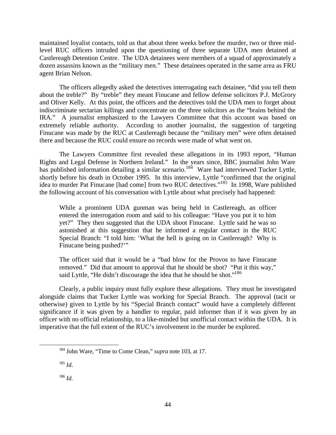maintained loyalist contacts, told us that about three weeks before the murder, two or three midlevel RUC officers intruded upon the questioning of three separate UDA men detained at Castlereagh Detention Centre. The UDA detainees were members of a squad of approximately a dozen assassins known as the "military men." These detainees operated in the same area as FRU agent Brian Nelson.

The officers allegedly asked the detectives interrogating each detainee, "did you tell them about the treble?" By "treble" they meant Finucane and fellow defense solicitors P.J. McGrory and Oliver Kelly. At this point, the officers and the detectives told the UDA men to forget about indiscriminate sectarian killings and concentrate on the three solicitors as the "brains behind the IRA." A journalist emphasized to the Lawyers Committee that this account was based on extremely reliable authority. According to another journalist, the suggestion of targeting Finucane was made by the RUC at Castlereagh because the "military men" were often detained there and because the RUC could ensure no records were made of what went on.

The Lawyers Committee first revealed these allegations in its 1993 report, "Human Rights and Legal Defense in Northern Ireland." In the years since, BBC journalist John Ware has published information detailing a similar scenario.<sup>184</sup> Ware had interviewed Tucker Lyttle, shortly before his death in October 1995. In this interview, Lyttle "confirmed that the original idea to murder Pat Finucane [had come] from two RUC detectives."<sup>185</sup> In 1998, Ware published the following account of his conversation with Lyttle about what precisely had happened:

While a prominent UDA gunman was being held in Castlereagh, an officer entered the interrogation room and said to his colleague: "Have you put it to him yet?" They then suggested that the UDA shoot Finucane. Lyttle said he was so astonished at this suggestion that he informed a regular contact in the RUC Special Branch: "I told him: 'What the hell is going on in Castlereagh? Why is Finucane being pushed?'"

The officer said that it would be a "bad blow for the Provos to have Finucane removed." Did that amount to approval that he should be shot? "Put it this way," said Lyttle, "He didn't discourage the idea that he should be shot."<sup>186</sup>

Clearly, a public inquiry must fully explore these allegations. They must be investigated alongside claims that Tucker Lyttle was working for Special Branch. The approval (tacit or otherwise) given to Lyttle by his "Special Branch contact" would have a completely different significance if it was given by a handler to regular, paid informer than if it was given by an officer with no official relationship, to a like-minded but unofficial contact within the UDA. It is imperative that the full extent of the RUC's involvement in the murder be explored.

<sup>185</sup> *Id.*

<sup>184</sup> John Ware, "Time to Come Clean," *supra* note 103, at 17.

 $186$  *Id.*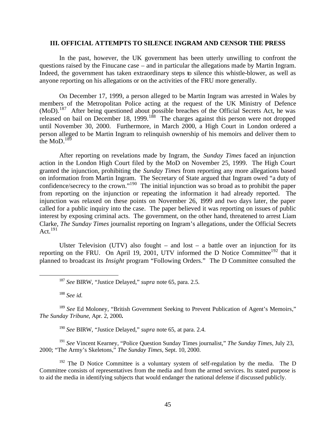### **III. OFFICIAL ATTEMPTS TO SILENCE INGRAM AND CENSOR THE PRESS**

In the past, however, the UK government has been utterly unwilling to confront the questions raised by the Finucane case – and in particular the allegations made by Martin Ingram. Indeed, the government has taken extraordinary steps to silence this whistle-blower, as well as anyone reporting on his allegations or on the activities of the FRU more generally.

On December 17, 1999, a person alleged to be Martin Ingram was arrested in Wales by members of the Metropolitan Police acting at the request of the UK Ministry of Defence (MoD).<sup>187</sup> After being questioned about possible breaches of the Official Secrets Act, he was released on bail on December 18, 1999.<sup>188</sup> The charges against this person were not dropped until November 30, 2000. Furthermore, in March 2000, a High Court in London ordered a person alleged to be Martin Ingram to relinquish ownership of his memoirs and deliver them to the MoD. $189$ 

After reporting on revelations made by Ingram, the *Sunday Times* faced an injunction action in the London High Court filed by the MoD on November 25, 1999. The High Court granted the injunction, prohibiting the *Sunday Times* from reporting any more allegations based on information from Martin Ingram. The Secretary of State argued that Ingram owed "a duty of confidence/secrecy to the crown."<sup>190</sup> The initial injunction was so broad as to prohibit the paper from reporting on the injunction or repeating the information it had already reported. The injunction was relaxed on these points on November 26, 1999 and two days later, the paper called for a public inquiry into the case. The paper believed it was reporting on issues of public interest by exposing criminal acts. The government, on the other hand, threatened to arrest Liam Clarke, *The Sunday Times* journalist reporting on Ingram's allegations, under the Official Secrets Act.  $^{191}$ 

Ulster Television (UTV) also fought – and lost – a battle over an injunction for its reporting on the FRU. On April 19, 2001, UTV informed the D Notice Committee<sup>192</sup> that it planned to broadcast its *Insight* program "Following Orders." The D Committee consulted the

<sup>188</sup> *See id.*

1

<sup>189</sup> See Ed Moloney, "British Government Seeking to Prevent Publication of Agent's Memoirs," *The Sunday Tribune*, Apr. 2, 2000**.**

<sup>190</sup> *See* BIRW, "Justice Delayed," *supra* note 65, at para. 2.4.

<sup>191</sup> *See* Vincent Kearney, "Police Question Sunday Times journalist," *The Sunday Times*, July 23, 2000; "The Army's Skeletons," *The Sunday Times*, Sept. 10, 2000.

<sup>192</sup> The D Notice Committee is a voluntary system of self-regulation by the media. The D Committee consists of representatives from the media and from the armed services. Its stated purpose is to aid the media in identifying subjects that would endanger the national defense if discussed publicly.

<sup>187</sup> *See* BIRW, "Justice Delayed," *supra* note 65, para. 2.5.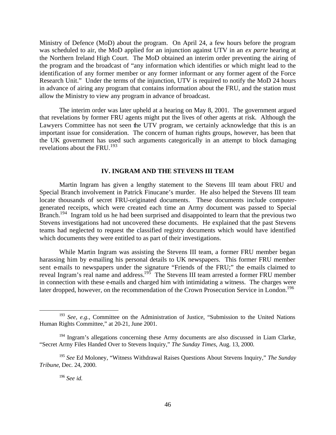Ministry of Defence (MoD) about the program. On April 24, a few hours before the program was scheduled to air, the MoD applied for an injunction against UTV in an *ex parte* hearing at the Northern Ireland High Court. The MoD obtained an interim order preventing the airing of the program and the broadcast of "any information which identifies or which might lead to the identification of any former member or any former informant or any former agent of the Force Research Unit." Under the terms of the injunction, UTV is required to notify the MoD 24 hours in advance of airing any program that contains information about the FRU, and the station must allow the Ministry to view any program in advance of broadcast.

The interim order was later upheld at a hearing on May 8, 2001. The government argued that revelations by former FRU agents might put the lives of other agents at risk. Although the Lawyers Committee has not seen the UTV program, we certainly acknowledge that this is an important issue for consideration. The concern of human rights groups, however, has been that the UK government has used such arguments categorically in an attempt to block damaging revelations about the FRU. $^{193}$ 

### **IV. INGRAM AND THE STEVENS III TEAM**

Martin Ingram has given a lengthy statement to the Stevens III team about FRU and Special Branch involvement in Patrick Finucane's murder. He also helped the Stevens III team locate thousands of secret FRU-originated documents. These documents include computergenerated receipts, which were created each time an Army document was passed to Special Branch.<sup>194</sup> Ingram told us he had been surprised and disappointed to learn that the previous two Stevens investigations had not uncovered these documents. He explained that the past Stevens teams had neglected to request the classified registry documents which would have identified which documents they were entitled to as part of their investigations.

While Martin Ingram was assisting the Stevens III team, a former FRU member began harassing him by e-mailing his personal details to UK newspapers. This former FRU member sent e-mails to newspapers under the signature "Friends of the FRU;" the e-mails claimed to reveal Ingram's real name and address.<sup>195</sup> The Stevens III team arrested a former FRU member in connection with these e-mails and charged him with intimidating a witness. The charges were later dropped, however, on the recommendation of the Crown Prosecution Service in London.<sup>196</sup>

<sup>&</sup>lt;sup>193</sup> *See, e.g.*, Committee on the Administration of Justice, "Submission to the United Nations" Human Rights Committee," at 20-21, June 2001.

 $194$  Ingram's allegations concerning these Army documents are also discussed in Liam Clarke, "Secret Army Files Handed Over to Stevens Inquiry," *The Sunday Times*, Aug. 13, 2000.

<sup>195</sup> *See* Ed Moloney, "Witness Withdrawal Raises Questions About Stevens Inquiry," *The Sunday Tribune*, Dec. 24, 2000.

<sup>196</sup> *See id.*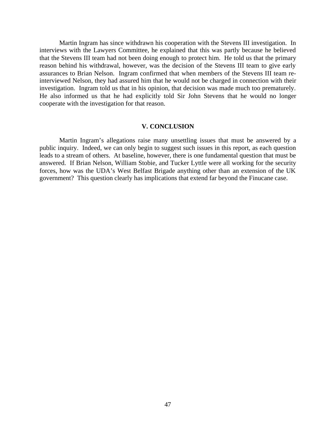Martin Ingram has since withdrawn his cooperation with the Stevens III investigation. In interviews with the Lawyers Committee, he explained that this was partly because he believed that the Stevens III team had not been doing enough to protect him. He told us that the primary reason behind his withdrawal, however, was the decision of the Stevens III team to give early assurances to Brian Nelson. Ingram confirmed that when members of the Stevens III team reinterviewed Nelson, they had assured him that he would not be charged in connection with their investigation. Ingram told us that in his opinion, that decision was made much too prematurely. He also informed us that he had explicitly told Sir John Stevens that he would no longer cooperate with the investigation for that reason.

### **V. CONCLUSION**

Martin Ingram's allegations raise many unsettling issues that must be answered by a public inquiry. Indeed, we can only begin to suggest such issues in this report, as each question leads to a stream of others. At baseline, however, there is one fundamental question that must be answered. If Brian Nelson, William Stobie, and Tucker Lyttle were all working for the security forces, how was the UDA's West Belfast Brigade anything other than an extension of the UK government? This question clearly has implications that extend far beyond the Finucane case.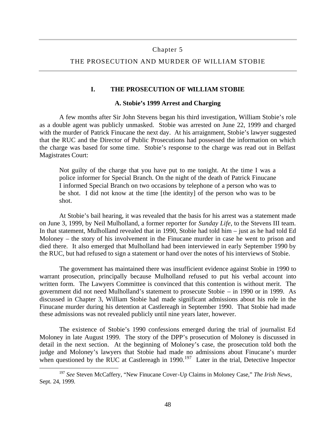# Chapter 5

### THE PROSECUTION AND MURDER OF WILLIAM STOBIE

### **I. THE PROSECUTION OF WILLIAM STOBIE**

#### **A. Stobie's 1999 Arrest and Charging**

A few months after Sir John Stevens began his third investigation, William Stobie's role as a double agent was publicly unmasked. Stobie was arrested on June 22, 1999 and charged with the murder of Patrick Finucane the next day. At his arraignment, Stobie's lawyer suggested that the RUC and the Director of Public Prosecutions had possessed the information on which the charge was based for some time. Stobie's response to the charge was read out in Belfast Magistrates Court:

Not guilty of the charge that you have put to me tonight. At the time I was a police informer for Special Branch. On the night of the death of Patrick Finucane I informed Special Branch on two occasions by telephone of a person who was to be shot. I did not know at the time [the identity] of the person who was to be shot.

At Stobie's bail hearing, it was revealed that the basis for his arrest was a statement made on June 3, 1999, by Neil Mulholland, a former reporter for *Sunday Life*, to the Stevens III team. In that statement, Mulholland revealed that in 1990, Stobie had told him – just as he had told Ed Moloney – the story of his involvement in the Finucane murder in case he went to prison and died there. It also emerged that Mulholland had been interviewed in early September 1990 by the RUC, but had refused to sign a statement or hand over the notes of his interviews of Stobie.

The government has maintained there was insufficient evidence against Stobie in 1990 to warrant prosecution, principally because Mulholland refused to put his verbal account into written form. The Lawyers Committee is convinced that this contention is without merit. The government did not need Mulholland's statement to prosecute Stobie – in 1990 or in 1999. As discussed in Chapter 3, William Stobie had made significant admissions about his role in the Finucane murder during his detention at Castlereagh in September 1990. That Stobie had made these admissions was not revealed publicly until nine years later, however.

The existence of Stobie's 1990 confessions emerged during the trial of journalist Ed Moloney in late August 1999. The story of the DPP's prosecution of Moloney is discussed in detail in the next section. At the beginning of Moloney's case, the prosecution told both the judge and Moloney's lawyers that Stobie had made no admissions about Finucane's murder when questioned by the RUC at Castlereagh in  $1990.<sup>197</sup>$  Later in the trial, Detective Inspector

<u>.</u>

<sup>197</sup> *See* Steven McCaffery, "New Finucane Cover-Up Claims in Moloney Case," *The Irish News*, Sept. 24, 1999.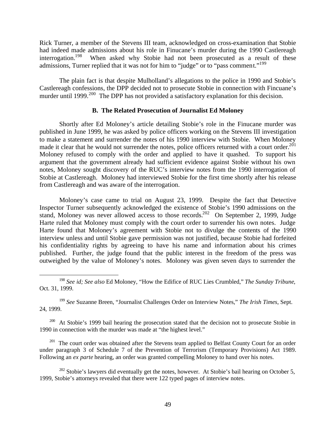Rick Turner, a member of the Stevens III team, acknowledged on cross-examination that Stobie had indeed made admissions about his role in Finucane's murder during the 1990 Castlereagh interrogation.<sup>198</sup> When asked why Stobie had not been prosecuted as a result of these admissions, Turner replied that it was not for him to "judge" or to "pass comment."<sup>199</sup>

The plain fact is that despite Mulholland's allegations to the police in 1990 and Stobie's Castlereagh confessions, the DPP decided not to prosecute Stobie in connection with Fincuane's murder until 1999.<sup>200</sup> The DPP has not provided a satisfactory explanation for this decision.

### **B. The Related Prosecution of Journalist Ed Moloney**

Shortly after Ed Moloney's article detailing Stobie's role in the Finucane murder was published in June 1999, he was asked by police officers working on the Stevens III investigation to make a statement and surrender the notes of his 1990 interview with Stobie. When Moloney made it clear that he would not surrender the notes, police officers returned with a court order.<sup>201</sup> Moloney refused to comply with the order and applied to have it quashed. To support his argument that the government already had sufficient evidence against Stobie without his own notes, Moloney sought discovery of the RUC's interview notes from the 1990 interrogation of Stobie at Castlereagh. Moloney had interviewed Stobie for the first time shortly after his release from Castlereagh and was aware of the interrogation.

Moloney's case came to trial on August 23, 1999. Despite the fact that Detective Inspector Turner subsequently acknowledged the existence of Stobie's 1990 admissions on the stand, Moloney was never allowed access to those records.<sup>202</sup> On September 2, 1999, Judge Harte ruled that Moloney must comply with the court order to surrender his own notes. Judge Harte found that Moloney's agreement with Stobie not to divulge the contents of the 1990 interview unless and until Stobie gave permission was not justified, because Stobie had forfeited his confidentiality rights by agreeing to have his name and information about his crimes published. Further, the judge found that the public interest in the freedom of the press was outweighed by the value of Moloney's notes. Moloney was given seven days to surrender the

l

<sup>199</sup> *See* Suzanne Breen, "Journalist Challenges Order on Interview Notes," *The Irish Times*, Sept. 24, 1999.

<sup>200</sup> At Stobie's 1999 bail hearing the prosecution stated that the decision not to prosecute Stobie in 1990 in connection with the murder was made at "the highest level."

<sup>201</sup> The court order was obtained after the Stevens team applied to Belfast County Court for an order under paragraph 3 of Schedule 7 of the Prevention of Terrorism (Temporary Provisions) Act 1989. Following an *ex parte* hearing, an order was granted compelling Moloney to hand over his notes.

 $202$  Stobie's lawyers did eventually get the notes, however. At Stobie's bail hearing on October 5, 1999, Stobie's attorneys revealed that there were 122 typed pages of interview notes.

<sup>198</sup> *See id; See also* Ed Moloney, "How the Edifice of RUC Lies Crumbled," *The Sunday Tribune*, Oct. 31, 1999.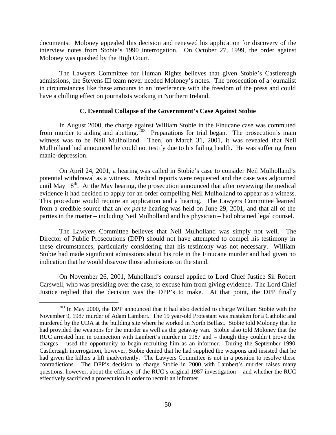documents. Moloney appealed this decision and renewed his application for discovery of the interview notes from Stobie's 1990 interrogation. On October 27, 1999, the order against Moloney was quashed by the High Court.

The Lawyers Committee for Human Rights believes that given Stobie's Castlereagh admissions, the Stevens III team never needed Moloney's notes. The prosecution of a journalist in circumstances like these amounts to an interference with the freedom of the press and could have a chilling effect on journalists working in Northern Ireland.

### **C. Eventual Collapse of the Government's Case Against Stobie**

In August 2000, the charge against William Stobie in the Finucane case was commuted from murder to aiding and abetting.<sup>203</sup> Preparations for trial began. The prosecution's main witness was to be Neil Mulholland. Then, on March 31, 2001, it was revealed that Neil Mulholland had announced he could not testify due to his failing health. He was suffering from manic-depression.

On April 24, 2001, a hearing was called in Stobie's case to consider Neil Mulholland's potential withdrawal as a witness. Medical reports were requested and the case was adjourned until May  $18<sup>th</sup>$ . At the May hearing, the prosecution announced that after reviewing the medical evidence it had decided to apply for an order compelling Neil Mulholland to appear as a witness. This procedure would require an application and a hearing. The Lawyers Committee learned from a credible source that an *ex parte* hearing was held on June 29, 2001, and that all of the parties in the matter – including Neil Mulholland and his physician – had obtained legal counsel.

The Lawyers Committee believes that Neil Mulholland was simply not well. The Director of Public Prosecutions (DPP) should not have attempted to compel his testimony in these circumstances, particularly considering that his testimony was not necessary. William Stobie had made significant admissions about his role in the Finucane murder and had given no indication that he would disavow those admissions on the stand.

On November 26, 2001, Muholland's counsel applied to Lord Chief Justice Sir Robert Carswell, who was presiding over the case, to excuse him from giving evidence. The Lord Chief Justice replied that the decision was the DPP's to make. At that point, the DPP finally

 $203$  In May 2000, the DPP announced that it had also decided to charge William Stobie with the November 9, 1987 murder of Adam Lambert. The 19 year-old Protestant was mistaken for a Catholic and murdered by the UDA at the building site where he worked in North Belfast. Stobie told Moloney that he had provided the weapons for the murder as well as the getaway van. Stobie also told Moloney that the RUC arrested him in connection with Lambert's murder in 1987 and – though they couldn't prove the charges – used the opportunity to begin recruiting him as an informer. During the September 1990 Castlereagh interrogation, however, Stobie denied that he had supplied the weapons and insisted that he had given the killers a lift inadvertently. The Lawyers Committee is not in a position to resolve these contradictions. The DPP's decision to charge Stobie in 2000 with Lambert's murder raises many questions, however, about the efficacy of the RUC's original 1987 investigation – and whether the RUC effectively sacrificed a prosecution in order to recruit an informer.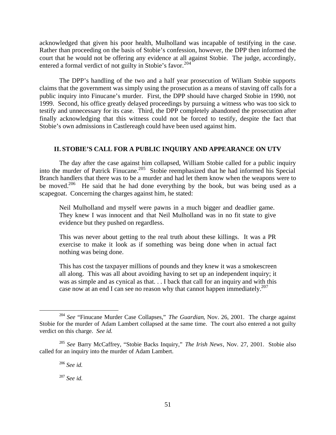acknowledged that given his poor health, Mulholland was incapable of testifying in the case. Rather than proceeding on the basis of Stobie's confession, however, the DPP then informed the court that he would not be offering any evidence at all against Stobie. The judge, accordingly, entered a formal verdict of not guilty in Stobie's favor.<sup>204</sup>

The DPP's handling of the two and a half year prosecution of Wiliam Stobie supports claims that the government was simply using the prosecution as a means of staving off calls for a public inquiry into Finucane's murder. First, the DPP should have charged Stobie in 1990, not 1999. Second, his office greatly delayed proceedings by pursuing a witness who was too sick to testify and unnecessary for its case. Third, the DPP completely abandoned the prosecution after finally acknowledging that this witness could not be forced to testify, despite the fact that Stobie's own admissions in Castlereagh could have been used against him.

# **II. STOBIE'S CALL FOR A PUBLIC INQUIRY AND APPEARANCE ON UTV**

The day after the case against him collapsed, William Stobie called for a public inquiry into the murder of Patrick Finucane.<sup>205</sup> Stobie reemphasized that he had informed his Special Branch handlers that there was to be a murder and had let them know when the weapons were to be moved.<sup>206</sup> He said that he had done everything by the book, but was being used as a scapegoat. Concerning the charges against him, he stated:

Neil Mulholland and myself were pawns in a much bigger and deadlier game. They knew I was innocent and that Neil Mulholland was in no fit state to give evidence but they pushed on regardless.

This was never about getting to the real truth about these killings. It was a PR exercise to make it look as if something was being done when in actual fact nothing was being done.

This has cost the taxpayer millions of pounds and they knew it was a smokescreen all along. This was all about avoiding having to set up an independent inquiry; it was as simple and as cynical as that. . . I back that call for an inquiry and with this case now at an end I can see no reason why that cannot happen immediately.<sup>207</sup>

<sup>204</sup> *See* "Finucane Murder Case Collapses," *The Guardian*, Nov. 26, 2001. The charge against Stobie for the murder of Adam Lambert collapsed at the same time. The court also entered a not guilty verdict on this charge. *See id.* 

<sup>205</sup> *See* Barry McCaffrey, "Stobie Backs Inquiry," *The Irish News*, Nov. 27, 2001. Stobie also called for an inquiry into the murder of Adam Lambert.

<sup>206</sup> *See id.*

<sup>207</sup> *See id.*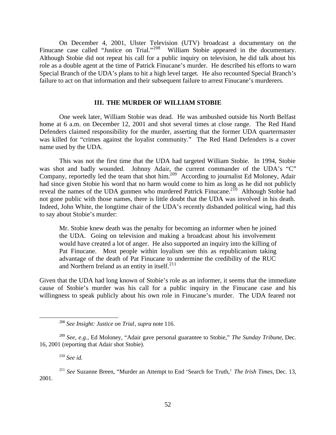On December 4, 2001, Ulster Television (UTV) broadcast a documentary on the Finucane case called "Justice on Trial."<sup>208</sup> William Stobie appeared in the documentary. Although Stobie did not repeat his call for a public inquiry on television, he did talk about his role as a double agent at the time of Patrick Finucane's murder. He described his efforts to warn Special Branch of the UDA's plans to hit a high level target. He also recounted Special Branch's failure to act on that information and their subsequent failure to arrest Finucane's murderers.

# **III. THE MURDER OF WILLIAM STOBIE**

One week later, William Stobie was dead. He was ambushed outside his North Belfast home at 6 a.m. on December 12, 2001 and shot several times at close range. The Red Hand Defenders claimed responsibility for the murder, asserting that the former UDA quartermaster was killed for "crimes against the loyalist community." The Red Hand Defenders is a cover name used by the UDA.

This was not the first time that the UDA had targeted William Stobie. In 1994, Stobie was shot and badly wounded. Johnny Adair, the current commander of the UDA's "C" Company, reportedly led the team that shot him.<sup>209</sup> According to journalist Ed Moloney, Adair had since given Stobie his word that no harm would come to him as long as he did not publicly reveal the names of the UDA gunmen who murdered Patrick Finucane.<sup>210</sup> Although Stobie had not gone public with those names, there is little doubt that the UDA was involved in his death. Indeed, John White, the longtime chair of the UDA's recently disbanded political wing, had this to say about Stobie's murder:

Mr. Stobie knew death was the penalty for becoming an informer when he joined the UDA. Going on television and making a broadcast about his involvement would have created a lot of anger. He also supported an inquiry into the killing of Pat Finucane. Most people within loyalism see this as republicanism taking advantage of the death of Pat Finucane to undermine the credibility of the RUC and Northern Ireland as an entity in itself.<sup>211</sup>

Given that the UDA had long known of Stobie's role as an informer, it seems that the immediate cause of Stobie's murder was his call for a public inquiry in the Finucane case and his willingness to speak publicly about his own role in Finucane's murder. The UDA feared not

<sup>210</sup> *See id.*

1

<sup>211</sup> *See* Suzanne Breen, "Murder an Attempt to End 'Search for Truth,' *The Irish Times*, Dec. 13, 2001.

<sup>208</sup> *See Insight: Justice on Trial*, *supra* note 116.

<sup>209</sup> *See, e.g.*, Ed Moloney, "Adair gave personal guarantee to Stobie," *The Sunday Tribune*, Dec. 16, 2001 (reporting that Adair shot Stobie).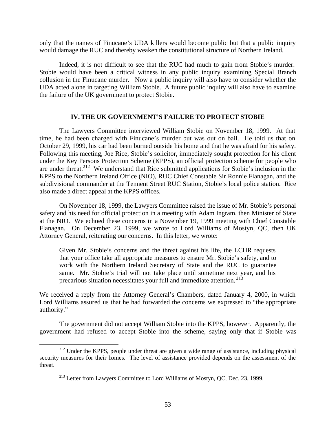only that the names of Finucane's UDA killers would become public but that a public inquiry would damage the RUC and thereby weaken the constitutional structure of Northern Ireland.

Indeed, it is not difficult to see that the RUC had much to gain from Stobie's murder. Stobie would have been a critical witness in any public inquiry examining Special Branch collusion in the Finucane murder. Now a public inquiry will also have to consider whether the UDA acted alone in targeting William Stobie. A future public inquiry will also have to examine the failure of the UK government to protect Stobie.

### **IV. THE UK GOVERNMENT'S FAILURE TO PROTECT STOBIE**

The Lawyers Committee interviewed William Stobie on November 18, 1999. At that time, he had been charged with Finucane's murder but was out on bail. He told us that on October 29, 1999, his car had been burned outside his home and that he was afraid for his safety. Following this meeting, Joe Rice, Stobie's solicitor, immediately sought protection for his client under the Key Persons Protection Scheme (KPPS), an official protection scheme for people who are under threat.<sup>212</sup> We understand that Rice submitted applications for Stobie's inclusion in the KPPS to the Northern Ireland Office (NIO), RUC Chief Constable Sir Ronnie Flanagan, and the subdivisional commander at the Tennent Street RUC Station, Stobie's local police station. Rice also made a direct appeal at the KPPS offices.

On November 18, 1999, the Lawyers Committee raised the issue of Mr. Stobie's personal safety and his need for official protection in a meeting with Adam Ingram, then Minister of State at the NIO. We echoed these concerns in a November 19, 1999 meeting with Chief Constable Flanagan. On December 23, 1999, we wrote to Lord Williams of Mostyn, QC, then UK Attorney General, reiterating our concerns. In this letter, we wrote:

Given Mr. Stobie's concerns and the threat against his life, the LCHR requests that your office take all appropriate measures to ensure Mr. Stobie's safety, and to work with the Northern Ireland Secretary of State and the RUC to guarantee same. Mr. Stobie's trial will not take place until sometime next year, and his precarious situation necessitates your full and immediate attention. <sup>213</sup>

We received a reply from the Attorney General's Chambers, dated January 4, 2000, in which Lord Williams assured us that he had forwarded the concerns we expressed to "the appropriate authority."

The government did not accept William Stobie into the KPPS, however. Apparently, the government had refused to accept Stobie into the scheme, saying only that if Stobie was

<sup>&</sup>lt;sup>212</sup> Under the KPPS, people under threat are given a wide range of assistance, including physical security measures for their homes. The level of assistance provided depends on the assessment of the threat.

<sup>&</sup>lt;sup>213</sup> Letter from Lawyers Committee to Lord Williams of Mostyn, QC, Dec. 23, 1999.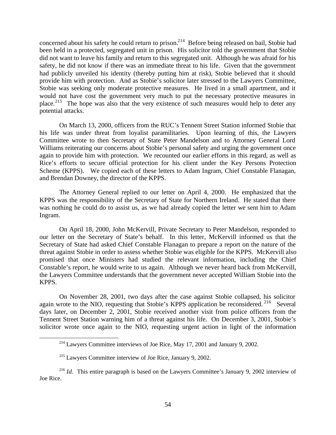concerned about his safety he could return to prison.<sup>214</sup> Before being released on bail, Stobie had been held in a protected, segregated unit in prison. His solicitor told the government that Stobie did not want to leave his family and return to this segregated unit. Although he was afraid for his safety, he did not know if there was an immediate threat to his life. Given that the government had publicly unveiled his identity (thereby putting him at risk), Stobie believed that it should provide him with protection. And as Stobie's solicitor later stressed to the Lawyers Committee, Stobie was seeking only moderate protective measures. He lived in a small apartment, and it would not have cost the government very much to put the necessary protective measures in place.<sup>215</sup> The hope was also that the very existence of such measures would help to deter any potential attacks.

On March 13, 2000, officers from the RUC's Tennent Street Station informed Stobie that his life was under threat from loyalist paramilitaries. Upon learning of this, the Lawyers Committee wrote to then Secretary of State Peter Mandelson and to Attorney General Lord Williams reiterating our concerns about Stobie's personal safety and urging the government once again to provide him with protection. We recounted our earlier efforts in this regard, as well as Rice's efforts to secure official protection for his client under the Key Persons Protection Scheme (KPPS). We copied each of these letters to Adam Ingram, Chief Constable Flanagan, and Brendan Downey, the director of the KPPS.

The Attorney General replied to our letter on April 4, 2000. He emphasized that the KPPS was the responsibility of the Secretary of State for Northern Ireland. He stated that there was nothing he could do to assist us, as we had already copied the letter we sent him to Adam Ingram.

On April 18, 2000, John McKervill, Private Secretary to Peter Mandelson, responded to our letter on the Secretary of State's behalf. In this letter, McKervill informed us that the Secretary of State had asked Chief Constable Flanagan to prepare a report on the nature of the threat against Stobie in order to assess whether Stobie was eligible for the KPPS. McKervill also promised that once Ministers had studied the relevant information, including the Chief Constable's report, he would write to us again. Although we never heard back from McKervill, the Lawyers Committee understands that the government never accepted William Stobie into the KPPS.

On November 28, 2001, two days after the case against Stobie collapsed, his solicitor again wrote to the NIO, requesting that Stobie's KPPS application be reconsidered. <sup>216</sup> Several days later, on December 2, 2001, Stobie received another visit from police officers from the Tennent Street Station warning him of a threat against his life. On December 3, 2001, Stobie's solicitor wrote once again to the NIO, requesting urgent action in light of the information

 $2^{14}$  Lawyers Committee interviews of Joe Rice, May 17, 2001 and January 9, 2002.

<sup>215</sup> Lawyers Committee interview of Joe Rice, January 9, 2002.

<sup>216</sup> *Id.* This entire paragraph is based on the Lawyers Committee's January 9, 2002 interview of Joe Rice.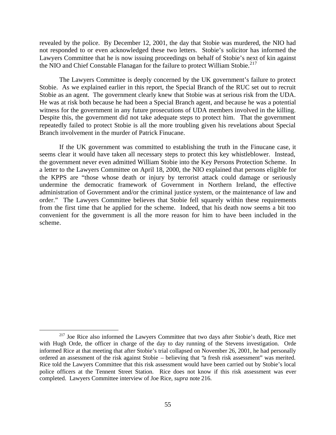revealed by the police. By December 12, 2001, the day that Stobie was murdered, the NIO had not responded to or even acknowledged these two letters. Stobie's solicitor has informed the Lawyers Committee that he is now issuing proceedings on behalf of Stobie's next of kin against the NIO and Chief Constable Flanagan for the failure to protect William Stobie.<sup>217</sup>

The Lawyers Committee is deeply concerned by the UK government's failure to protect Stobie. As we explained earlier in this report, the Special Branch of the RUC set out to recruit Stobie as an agent. The government clearly knew that Stobie was at serious risk from the UDA. He was at risk both because he had been a Special Branch agent, and because he was a potential witness for the government in any future prosecutions of UDA members involved in the killing. Despite this, the government did not take adequate steps to protect him. That the government repeatedly failed to protect Stobie is all the more troubling given his revelations about Special Branch involvement in the murder of Patrick Finucane.

If the UK government was committed to establishing the truth in the Finucane case, it seems clear it would have taken all necessary steps to protect this key whistleblower. Instead, the government never even admitted William Stobie into the Key Persons Protection Scheme. In a letter to the Lawyers Committee on April 18, 2000, the NIO explained that persons eligible for the KPPS are "those whose death or injury by terrorist attack could damage or seriously undermine the democratic framework of Government in Northern Ireland, the effective administration of Government and/or the criminal justice system, or the maintenance of law and order." The Lawyers Committee believes that Stobie fell squarely within these requirements from the first time that he applied for the scheme. Indeed, that his death now seems a bit too convenient for the government is all the more reason for him to have been included in the scheme.

<sup>&</sup>lt;sup>217</sup> Joe Rice also informed the Lawyers Committee that two days after Stobie's death, Rice met with Hugh Orde, the officer in charge of the day to day running of the Stevens investigation. Orde informed Rice at that meeting that after Stobie's trial collapsed on November 26, 2001, he had personally ordered an assessment of the risk against Stobie – believing that "a fresh risk assessment" was merited. Rice told the Lawyers Committee that this risk assessment would have been carried out by Stobie's local police officers at the Tennent Street Station. Rice does not know if this risk assessment was ever completed. Lawyers Committee interview of Joe Rice, *supra* note 216.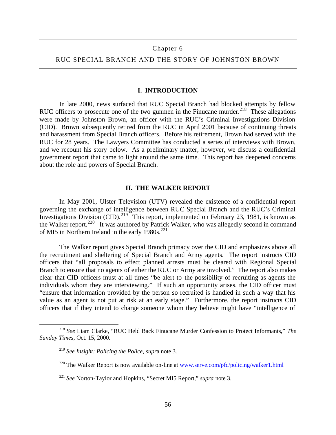# Chapter 6

#### RUC SPECIAL BRANCH AND THE STORY OF JOHNSTON BROWN

### **I. INTRODUCTION**

In late 2000, news surfaced that RUC Special Branch had blocked attempts by fellow RUC officers to prosecute one of the two gunmen in the Finucane murder.<sup>218</sup> These allegations were made by Johnston Brown, an officer with the RUC's Criminal Investigations Division (CID). Brown subsequently retired from the RUC in April 2001 because of continuing threats and harassment from Special Branch officers. Before his retirement, Brown had served with the RUC for 28 years. The Lawyers Committee has conducted a series of interviews with Brown, and we recount his story below. As a preliminary matter, however, we discuss a confidential government report that came to light around the same time. This report has deepened concerns about the role and powers of Special Branch.

#### **II. THE WALKER REPORT**

In May 2001, Ulster Television (UTV) revealed the existence of a confidential report governing the exchange of intelligence between RUC Special Branch and the RUC's Criminal Investigations Division (CID).<sup>219</sup> This report, implemented on February 23, 1981, is known as the Walker report.<sup>220</sup> It was authored by Patrick Walker, who was allegedly second in command of MI5 in Northern Ireland in the early  $1980s$ <sup>221</sup>

The Walker report gives Special Branch primacy over the CID and emphasizes above all the recruitment and sheltering of Special Branch and Army agents. The report instructs CID officers that "all proposals to effect planned arrests must be cleared with Regional Special Branch to ensure that no agents of either the RUC or Army are involved." The report also makes clear that CID officers must at all times "be alert to the possibility of recruiting as agents the individuals whom they are interviewing." If such an opportunity arises, the CID officer must "ensure that information provided by the person so recruited is handled in such a way that his value as an agent is not put at risk at an early stage." Furthermore, the report instructs CID officers that if they intend to charge someone whom they believe might have "intelligence of

<sup>218</sup> *See* Liam Clarke, "RUC Held Back Finucane Murder Confession to Protect Informants," *The Sunday Times*, Oct. 15, 2000.

<sup>219</sup> *See Insight: Policing the Police*, *supr*a note 3.

<sup>&</sup>lt;sup>220</sup> The Walker Report is now available on-line at www.serve.com/pfc/policing/walker1.html

<sup>221</sup> *See* Norton-Taylor and Hopkins, "Secret MI5 Report," *supra* note 3.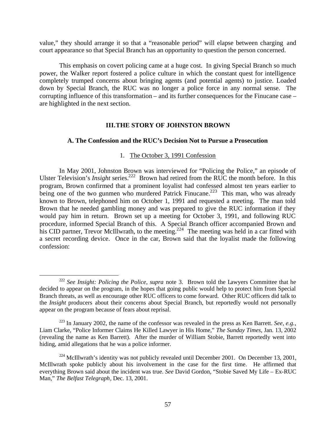value," they should arrange it so that a "reasonable period" will elapse between charging and court appearance so that Special Branch has an opportunity to question the person concerned.

This emphasis on covert policing came at a huge cost. In giving Special Branch so much power, the Walker report fostered a police culture in which the constant quest for intelligence completely trumped concerns about bringing agents (and potential agents) to justice. Loaded down by Special Branch, the RUC was no longer a police force in any normal sense. The corrupting influence of this transformation – and its further consequences for the Finucane case – are highlighted in the next section.

# **III.THE STORY OF JOHNSTON BROWN**

# **A. The Confession and the RUC's Decision Not to Pursue a Prosecution**

# 1. The October 3, 1991 Confession

In May 2001, Johnston Brown was interviewed for "Policing the Police," an episode of Ulster Television's *Insight* series.<sup>222</sup> Brown had retired from the RUC the month before. In this program, Brown confirmed that a prominent loyalist had confessed almost ten years earlier to being one of the two gunmen who murdered Patrick Finucane.<sup>223</sup> This man, who was already known to Brown, telephoned him on October 1, 1991 and requested a meeting. The man told Brown that he needed gambling money and was prepared to give the RUC information if they would pay him in return. Brown set up a meeting for October 3, 1991, and following RUC procedure, informed Special Branch of this. A Special Branch officer accompanied Brown and his CID partner, Trevor McIllwrath, to the meeting.<sup>224</sup> The meeting was held in a car fitted with a secret recording device. Once in the car, Brown said that the loyalist made the following confession:

<sup>222</sup> *See Insight: Policing the Police*, *supra* note 3. Brown told the Lawyers Committee that he decided to appear on the program, in the hopes that going public would help to protect him from Special Branch threats, as well as encourage other RUC officers to come forward. Other RUC officers did talk to the *Insight* producers about their concerns about Special Branch, but reportedly would not personally appear on the program because of fears about reprisal.

<sup>223</sup> In January 2002, the name of the confessor was revealed in the press as Ken Barrett. *See, e.g.*, Liam Clarke, "Police Informer Claims He Killed Lawyer in His Home," *The Sunday Times*, Jan. 13, 2002 (revealing the name as Ken Barrett). After the murder of William Stobie, Barrett reportedly went into hiding, amid allegations that he was a police informer.

 $224$  McIllwrath's identity was not publicly revealed until December 2001. On December 13, 2001, McIllwrath spoke publicly about his involvement in the case for the first time. He affirmed that everything Brown said about the incident was true. *See* David Gordon, "Stobie Saved My Life – Ex-RUC Man," *The Belfast Telegraph*, Dec. 13, 2001.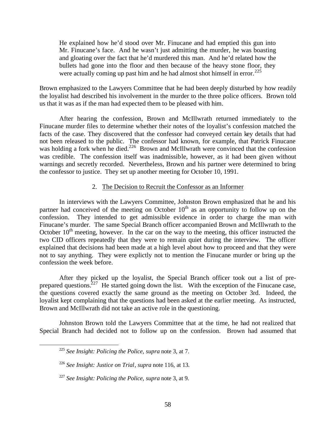He explained how he'd stood over Mr. Finucane and had emptied this gun into Mr. Finucane's face. And he wasn't just admitting the murder, he was boasting and gloating over the fact that he'd murdered this man. And he'd related how the bullets had gone into the floor and then because of the heavy stone floor, they were actually coming up past him and he had almost shot himself in error.<sup>225</sup>

Brown emphasized to the Lawyers Committee that he had been deeply disturbed by how readily the loyalist had described his involvement in the murder to the three police officers. Brown told us that it was as if the man had expected them to be pleased with him.

After hearing the confession, Brown and McIllwrath returned immediately to the Finucane murder files to determine whether their notes of the loyalist's confession matched the facts of the case. They discovered that the confessor had conveyed certain key details that had not been released to the public. The confessor had known, for example, that Patrick Finucane was holding a fork when he died.<sup>226</sup> Brown and McIllwrath were convinced that the confession was credible. The confession itself was inadmissible, however, as it had been given without warnings and secretly recorded. Nevertheless, Brown and his partner were determined to bring the confessor to justice. They set up another meeting for October 10, 1991.

# 2. The Decision to Recruit the Confessor as an Informer

In interviews with the Lawyers Committee, Johnston Brown emphasized that he and his partner had conceived of the meeting on October  $10<sup>th</sup>$  as an opportunity to follow up on the confession. They intended to get admissible evidence in order to charge the man with Finucane's murder. The same Special Branch officer accompanied Brown and McIllwrath to the October  $10<sup>th</sup>$  meeting, however. In the car on the way to the meeting, this officer instructed the two CID officers repeatedly that they were to remain quiet during the interview. The officer explained that decisions had been made at a high level about how to proceed and that they were not to say anything. They were explictly not to mention the Finucane murder or bring up the confession the week before.

After they picked up the loyalist, the Special Branch officer took out a list of preprepared questions.<sup>227</sup> He started going down the list. With the exception of the Finucane case, the questions covered exactly the same ground as the meeting on October 3rd. Indeed, the loyalist kept complaining that the questions had been asked at the earlier meeting. As instructed, Brown and McIllwrath did not take an active role in the questioning.

Johnston Brown told the Lawyers Committee that at the time, he had not realized that Special Branch had decided not to follow up on the confession. Brown had assumed that

<sup>225</sup> *See Insight: Policing the Police*, *supra* note 3, at 7.

<sup>226</sup> *See Insight: Justice on Trial*, *supra* note 116, at 13.

<sup>227</sup> *See Insight: Policing the Police*, *supra* note 3, at 9.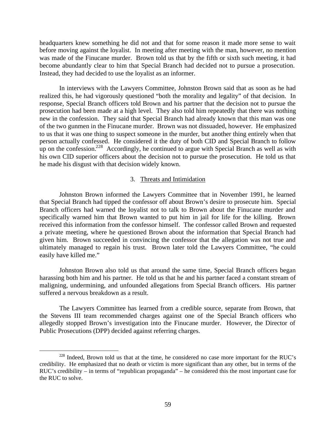headquarters knew something he did not and that for some reason it made more sense to wait before moving against the loyalist. In meeting after meeting with the man, however, no mention was made of the Finucane murder. Brown told us that by the fifth or sixth such meeting, it had become abundantly clear to him that Special Branch had decided not to pursue a prosecution. Instead, they had decided to use the loyalist as an informer.

In interviews with the Lawyers Committee, Johnston Brown said that as soon as he had realized this, he had vigorously questioned "both the morality and legality" of that decision. In response, Special Branch officers told Brown and his partner that the decision not to pursue the prosecution had been made at a high level. They also told him repeatedly that there was nothing new in the confession. They said that Special Branch had already known that this man was one of the two gunmen in the Finucane murder. Brown was not dissuaded, however. He emphasized to us that it was one thing to suspect someone in the murder, but another thing entirely when that person actually confessed. He considered it the duty of both CID and Special Branch to follow up on the confession.<sup>228</sup> Accordingly, he continued to argue with Special Branch as well as with his own CID superior officers about the decision not to pursue the prosecution. He told us that he made his disgust with that decision widely known.

### 3. Threats and Intimidation

Johnston Brown informed the Lawyers Committee that in November 1991, he learned that Special Branch had tipped the confessor off about Brown's desire to prosecute him. Special Branch officers had warned the loyalist not to talk to Brown about the Finucane murder and specifically warned him that Brown wanted to put him in jail for life for the killing. Brown received this information from the confessor himself. The confessor called Brown and requested a private meeting, where he questioned Brown about the information that Special Branch had given him. Brown succeeded in convincing the confessor that the allegation was not true and ultimately managed to regain his trust. Brown later told the Lawyers Committee, "he could easily have killed me."

Johnston Brown also told us that around the same time, Special Branch officers began harassing both him and his partner. He told us that he and his partner faced a constant stream of maligning, undermining, and unfounded allegations from Special Branch officers. His partner suffered a nervous breakdown as a result.

The Lawyers Committee has learned from a credible source, separate from Brown, that the Stevens III team recommended charges against one of the Special Branch officers who allegedly stopped Brown's investigation into the Finucane murder. However, the Director of Public Prosecutions (DPP) decided against referring charges.

 $228$  Indeed, Brown told us that at the time, he considered no case more important for the RUC's credibility. He emphasized that no death or victim is more significant than any other, but in terms of the RUC's credibility – in terms of "republican propaganda" – he considered this the most important case for the RUC to solve.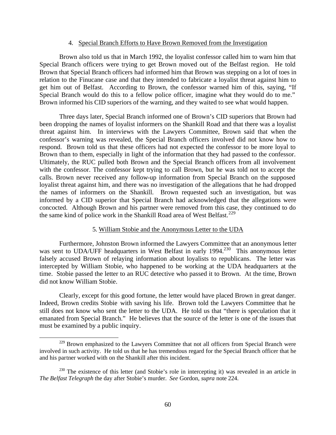# 4. Special Branch Efforts to Have Brown Removed from the Investigation

Brown also told us that in March 1992, the loyalist confessor called him to warn him that Special Branch officers were trying to get Brown moved out of the Belfast region. He told Brown that Special Branch officers had informed him that Brown was stepping on a lot of toes in relation to the Finucane case and that they intended to fabricate a loyalist threat against him to get him out of Belfast. According to Brown, the confessor warned him of this, saying, "If Special Branch would do this to a fellow police officer, imagine what they would do to me." Brown informed his CID superiors of the warning, and they waited to see what would happen.

Three days later, Special Branch informed one of Brown's CID superiors that Brown had been dropping the names of loyalist informers on the Shankill Road and that there was a loyalist threat against him. In interviews with the Lawyers Committee, Brown said that when the confessor's warning was revealed, the Special Branch officers involved did not know how to respond. Brown told us that these officers had not expected the confessor to be more loyal to Brown than to them, especially in light of the information that they had passed to the confessor. Ultimately, the RUC pulled both Brown and the Special Branch officers from all involvement with the confessor. The confessor kept trying to call Brown, but he was told not to accept the calls. Brown never received any follow-up information from Special Branch on the supposed loyalist threat against him, and there was no investigation of the allegations that he had dropped the names of informers on the Shankill. Brown requested such an investigation, but was informed by a CID superior that Special Branch had acknowledged that the allegations were concocted. Although Brown and his partner were removed from this case, they continued to do the same kind of police work in the Shankill Road area of West Belfast.<sup>229</sup>

### 5. William Stobie and the Anonymous Letter to the UDA

Furthermore, Johnston Brown informed the Lawyers Committee that an anonymous letter was sent to UDA/UFF headquarters in West Belfast in early 1994.<sup>230</sup> This anonymous letter falsely accused Brown of relaying information about loyalists to republicans. The letter was intercepted by William Stobie, who happened to be working at the UDA headquarters at the time. Stobie passed the letter to an RUC detective who passed it to Brown. At the time, Brown did not know William Stobie.

Clearly, except for this good fortune, the letter would have placed Brown in great danger. Indeed, Brown credits Stobie with saving his life. Brown told the Lawyers Committee that he still does not know who sent the letter to the UDA. He told us that "there is speculation that it emanated from Special Branch." He believes that the source of the letter is one of the issues that must be examined by a public inquiry.

 $229$  Brown emphasized to the Lawyers Committee that not all officers from Special Branch were involved in such activity. He told us that he has tremendous regard for the Special Branch officer that he and his partner worked with on the Shankill after this incident.

 $230$  The existence of this letter (and Stobie's role in intercepting it) was revealed in an article in *The Belfast Telegraph* the day after Stobie's murder. *See* Gordon, *supra* note 224.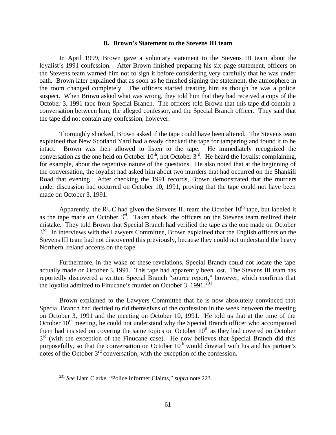#### **B. Brown's Statement to the Stevens III team**

In April 1999, Brown gave a voluntary statement to the Stevens III team about the loyalist's 1991 confession. After Brown finished preparing his six-page statement, officers on the Stevens team warned him not to sign it before considering very carefully that he was under oath. Brown later explained that as soon as he finished signing the statement, the atmosphere in the room changed completely. The officers started treating him as though he was a police suspect. When Brown asked what was wrong, they told him that they had received a copy of the October 3, 1991 tape from Special Branch. The officers told Brown that this tape did contain a conversation between him, the alleged confessor, and the Special Branch officer. They said that the tape did not contain any confession, however.

Thoroughly shocked, Brown asked if the tape could have been altered. The Stevens team explained that New Scotland Yard had already checked the tape for tampering and found it to be intact. Brown was then allowed to listen to the tape. He immediately recognized the conversation as the one held on October  $10^{th}$ , not October  $3^{rd}$ . He heard the loyalist complaining, for example, about the repetitive nature of the questions. He also noted that at the beginning of the conversation, the loyalist had asked him about two murders that had occurred on the Shankill Road that evening. After checking the 1991 records, Brown demonstrated that the murders under discussion had occurred on October 10, 1991, proving that the tape could not have been made on October 3, 1991.

Apparently, the RUC had given the Stevens III team the October  $10<sup>th</sup>$  tape, but labeled it as the tape made on October  $3<sup>rd</sup>$ . Taken aback, the officers on the Stevens team realized their mistake. They told Brown that Special Branch had verified the tape as the one made on October 3<sup>rd</sup>. In interviews with the Lawyers Committee, Brown explained that the English officers on the Stevens III team had not discovered this previously, because they could not understand the heavy Northern Ireland accents on the tape.

Furthermore, in the wake of these revelations, Special Branch could not locate the tape actually made on October 3, 1991. This tape had apparently been lost. The Stevens III team has reportedly discovered a written Special Branch "source report," however, which confirms that the loyalist admitted to Finucane's murder on October 3, 1991.<sup>231</sup>

Brown explained to the Lawyers Committee that he is now absolutely convinced that Special Branch had decided to rid themselves of the confession in the week between the meeting on October 3, 1991 and the meeting on October 10, 1991. He told us that at the time of the October  $10<sup>th</sup>$  meeting, he could not understand why the Special Branch officer who accompanied them had insisted on covering the same topics on October  $10<sup>th</sup>$  as they had covered on October 3<sup>rd</sup> (with the exception of the Finucane case). He now believes that Special Branch did this purposefully, so that the conversation on October  $10<sup>th</sup>$  would dovetail with his and his partner's notes of the October  $3<sup>rd</sup>$  conversation, with the exception of the confession.

<sup>231</sup> *See* Liam Clarke, "Police Informer Claims," *supra* note 223.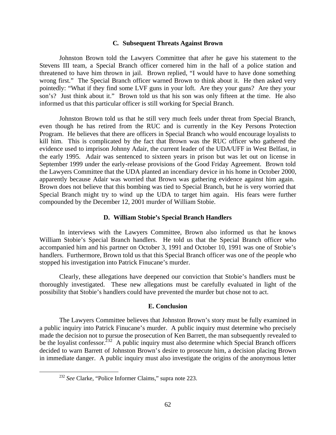#### **C. Subsequent Threats Against Brown**

Johnston Brown told the Lawyers Committee that after he gave his statement to the Stevens III team, a Special Branch officer cornered him in the hall of a police station and threatened to have him thrown in jail. Brown replied, "I would have to have done something wrong first." The Special Branch officer warned Brown to think about it. He then asked very pointedly: "What if they find some LVF guns in your loft. Are they your guns? Are they your son's? Just think about it." Brown told us that his son was only fifteen at the time. He also informed us that this particular officer is still working for Special Branch.

Johnston Brown told us that he still very much feels under threat from Special Branch, even though he has retired from the RUC and is currently in the Key Persons Protection Program. He believes that there are officers in Special Branch who would encourage loyalists to kill him. This is complicated by the fact that Brown was the RUC officer who gathered the evidence used to imprison Johnny Adair, the current leader of the UDA/UFF in West Belfast, in the early 1995. Adair was sentenced to sixteen years in prison but was let out on license in September 1999 under the early-release provisions of the Good Friday Agreement. Brown told the Lawyers Committee that the UDA planted an incendiary device in his home in October 2000, apparently because Adair was worried that Brown was gathering evidence against him again. Brown does not believe that this bombing was tied to Special Branch, but he is very worried that Special Branch might try to wind up the UDA to target him again. His fears were further compounded by the December 12, 2001 murder of William Stobie.

### **D. William Stobie's Special Branch Handlers**

In interviews with the Lawyers Committee, Brown also informed us that he knows William Stobie's Special Branch handlers. He told us that the Special Branch officer who accompanied him and his partner on October 3, 1991 and October 10, 1991 was one of Stobie's handlers. Furthermore, Brown told us that this Special Branch officer was one of the people who stopped his investigation into Patrick Finucane's murder.

Clearly, these allegations have deepened our conviction that Stobie's handlers must be thoroughly investigated. These new allegations must be carefully evaluated in light of the possibility that Stobie's handlers could have prevented the murder but chose not to act.

### **E. Conclusion**

The Lawyers Committee believes that Johnston Brown's story must be fully examined in a public inquiry into Patrick Finucane's murder. A public inquiry must determine who precisely made the decision not to pursue the prosecution of Ken Barrett, the man subsequently revealed to be the loyalist confessor.<sup>232</sup> A public inquiry must also determine which Special Branch officers decided to warn Barrett of Johnston Brown's desire to prosecute him, a decision placing Brown in immediate danger. A public inquiry must also investigate the origins of the anonymous letter

<sup>232</sup> *See* Clarke, "Police Informer Claims," supra note 223.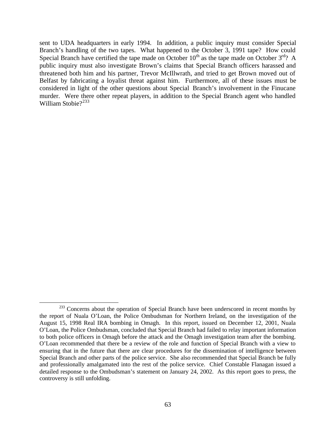sent to UDA headquarters in early 1994. In addition, a public inquiry must consider Special Branch's handling of the two tapes. What happened to the October 3, 1991 tape? How could Special Branch have certified the tape made on October  $10<sup>th</sup>$  as the tape made on October  $3<sup>rd</sup>$ ? A public inquiry must also investigate Brown's claims that Special Branch officers harassed and threatened both him and his partner, Trevor McIllwrath, and tried to get Brown moved out of Belfast by fabricating a loyalist threat against him. Furthermore, all of these issues must be considered in light of the other questions about Special Branch's involvement in the Finucane murder. Were there other repeat players, in addition to the Special Branch agent who handled William Stobie $?^{233}$ 

 $233$  Concerns about the operation of Special Branch have been underscored in recent months by the report of Nuala O'Loan, the Police Ombudsman for Northern Ireland, on the investigation of the August 15, 1998 Real IRA bombing in Omagh. In this report, issued on December 12, 2001, Nuala O'Loan, the Police Ombudsman, concluded that Special Branch had failed to relay important information to both police officers in Omagh before the attack and the Omagh investigation team after the bombing. O'Loan recommended that there be a review of the role and function of Special Branch with a view to ensuring that in the future that there are clear procedures for the dissemination of intelligence between Special Branch and other parts of the police service. She also recommended that Special Branch be fully and professionally amalgamated into the rest of the police service. Chief Constable Flanagan issued a detailed response to the Ombudsman's statement on January 24, 2002. As this report goes to press, the controversy is still unfolding.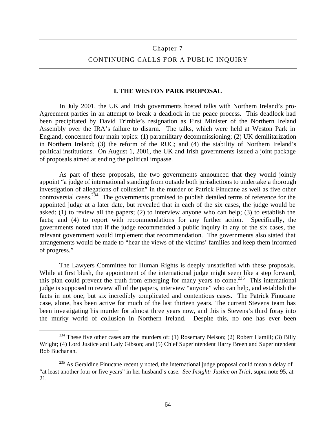# Chapter 7

#### CONTINUING CALLS FOR A PUBLIC INQUIRY

#### **I. THE WESTON PARK PROPOSAL**

In July 2001, the UK and Irish governments hosted talks with Northern Ireland's pro-Agreement parties in an attempt to break a deadlock in the peace process. This deadlock had been precipitated by David Trimble's resignation as First Minister of the Northern Ireland Assembly over the IRA's failure to disarm. The talks, which were held at Weston Park in England, concerned four main topics: (1) paramilitary decommissioning; (2) UK demilitarization in Northern Ireland; (3) the reform of the RUC; and (4) the stability of Northern Ireland's political institutions. On August 1, 2001, the UK and Irish governments issued a joint package of proposals aimed at ending the political impasse.

As part of these proposals, the two governments announced that they would jointly appoint "a judge of international standing from outside both jurisdictions to undertake a thorough investigation of allegations of collusion" in the murder of Patrick Finucane as well as five other controversial cases.<sup>234</sup> The governments promised to publish detailed terms of reference for the appointed judge at a later date, but revealed that in each of the six cases, the judge would be asked: (1) to review all the papers; (2) to interview anyone who can help; (3) to establish the facts; and (4) to report with recommendations for any further action. Specifically, the governments noted that if the judge recommended a public inquiry in any of the six cases, the relevant government would implement that recommendation. The governments also stated that arrangements would be made to "hear the views of the victims' families and keep them informed of progress."

The Lawyers Committee for Human Rights is deeply unsatisfied with these proposals. While at first blush, the appointment of the international judge might seem like a step forward, this plan could prevent the truth from emerging for many years to come.<sup>235</sup> This international judge is supposed to review all of the papers, interview "anyone" who can help, and establish the facts in not one, but six incredibly complicated and contentious cases. The Patrick Finucane case, alone, has been active for much of the last thirteen years. The current Stevens team has been investigating his murder for almost three years now, and this is Stevens's third foray into the murky world of collusion in Northern Ireland. Despite this, no one has ever been

 $234$  These five other cases are the murders of: (1) Rosemary Nelson; (2) Robert Hamill; (3) Billy Wright; (4) Lord Justice and Lady Gibson; and (5) Chief Superintendent Harry Breen and Superintendent Bob Buchanan.

 $235$  As Geraldine Finucane recently noted, the international judge proposal could mean a delay of "at least another four or five years" in her husband's case. *See Insight: Justice on Trial*, supra note 95, at 21.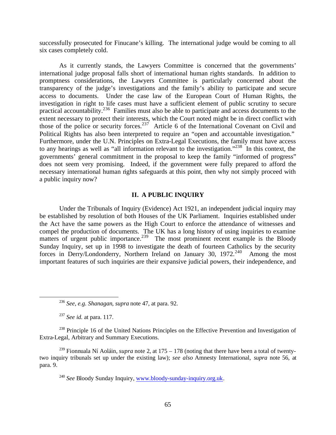successfully prosecuted for Finucane's killing. The international judge would be coming to all six cases completely cold.

As it currently stands, the Lawyers Committee is concerned that the governments' international judge proposal falls short of international human rights standards. In addition to promptness considerations, the Lawyers Committee is particularly concerned about the transparency of the judge's investigations and the family's ability to participate and secure access to documents. Under the case law of the European Court of Human Rights, the investigation in right to life cases must have a sufficient element of public scrutiny to secure practical accountability.<sup>236</sup> Families must also be able to participate and access documents to the extent necessary to protect their interests, which the Court noted might be in direct conflict with those of the police or security forces.<sup>237</sup> Article 6 of the International Covenant on Civil and Political Rights has also been interpreted to require an "open and accountable investigation." Furthermore, under the U.N. Principles on Extra-Legal Executions, the family must have access to any hearings as well as "all information relevant to the investigation."<sup>238</sup> In this context, the governments' general commitment in the proposal to keep the family "informed of progress" does not seem very promising. Indeed, if the government were fully prepared to afford the necessary international human rights safeguards at this point, then why not simply proceed with a public inquiry now?

## **II. A PUBLIC INQUIRY**

Under the Tribunals of Inquiry (Evidence) Act 1921, an independent judicial inquiry may be established by resolution of both Houses of the UK Parliament. Inquiries established under the Act have the same powers as the High Court to enforce the attendance of witnesses and compel the production of documents. The UK has a long history of using inquiries to examine matters of urgent public importance.<sup>239</sup> The most prominent recent example is the Bloody Sunday Inquiry, set up in 1998 to investigate the death of fourteen Catholics by the security forces in Derry/Londonderry, Northern Ireland on January 30,  $1972.<sup>240</sup>$  Among the most important features of such inquiries are their expansive judicial powers, their independence, and

<sup>236</sup> *See, e.g. Shanagan*, *supra* note 47, at para. 92.

<sup>237</sup> *See id.* at para. 117.

<sup>&</sup>lt;sup>238</sup> Principle 16 of the United Nations Principles on the Effective Prevention and Investigation of Extra-Legal, Arbitrary and Summary Executions.

<sup>239</sup> Fionnuala Ní Aoláin, *supra* note 2, at 175 – 178 (noting that there have been a total of twentytwo inquiry tribunals set up under the existing law); *see also* Amnesty International, *supra* note 56, at para. 9.

<sup>240</sup> *See* Bloody Sunday Inquiry, www.bloody-sunday-inquiry.org.uk.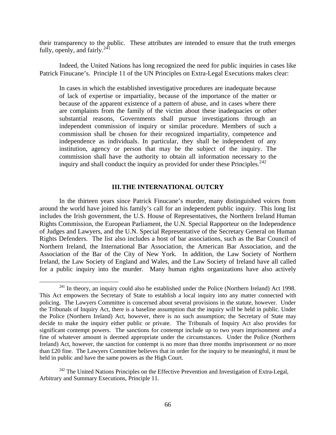their transparency to the public. These attributes are intended to ensure that the truth emerges fully, openly, and fairly.  $241$ 

Indeed, the United Nations has long recognized the need for public inquiries in cases like Patrick Finucane's. Principle 11 of the UN Principles on Extra-Legal Executions makes clear:

In cases in which the established investigative procedures are inadequate because of lack of expertise or impartiality, because of the importance of the matter or because of the apparent existence of a pattern of abuse, and in cases where there are complaints from the family of the victim about these inadequacies or other substantial reasons, Governments shall pursue investigations through an independent commission of inquiry or similar procedure. Members of such a commission shall be chosen for their recognized impartiality, competence and independence as individuals. In particular, they shall be independent of any institution, agency or person that may be the subject of the inquiry. The commission shall have the authority to obtain all information necessary to the inquiry and shall conduct the inquiry as provided for under these Principles.<sup>242</sup>

## **III.THE INTERNATIONAL OUTCRY**

In the thirteen years since Patrick Finucane's murder, many distinguished voices from around the world have joined his family's call for an independent public inquiry. This long list includes the Irish government, the U.S. House of Representatives, the Northern Ireland Human Rights Commission, the European Parliament, the U.N. Special Rapporteur on the Independence of Judges and Lawyers, and the U.N. Special Representative of the Secretary General on Human Rights Defenders. The list also includes a host of bar associations, such as the Bar Council of Northern Ireland, the International Bar Association, the American Bar Association, and the Association of the Bar of the City of New York. In addition, the Law Society of Northern Ireland, the Law Society of England and Wales, and the Law Society of Ireland have all called for a public inquiry into the murder. Many human rights organizations have also actively

 $241$  In theory, an inquiry could also be established under the Police (Northern Ireland) Act 1998. This Act empowers the Secretary of State to establish a local inquiry into any matter connected with policing. The Lawyers Committee is concerned about several provisions in the statute, however. Under the Tribunals of Inquiry Act, there is a baseline assumption that the inquiry will be held in public. Under the Police (Northern Ireland) Act, however, there is no such assumption; the Secretary of State may decide to make the inquiry either public or private. The Tribunals of Inquiry Act also provides for significant contempt powers. The sanctions for contempt include up to two years imprisonment *and* a fine of whatever amount is deemed appropriate under the circumstances. Under the Police (Northern Ireland) Act, however, the sanction for contempt is no more than three months imprisonment *or* no more than £20 fine. The Lawyers Committee believes that in order for the inquiry to be meaningful, it must be held in public and have the same powers as the High Court.

<sup>&</sup>lt;sup>242</sup> The United Nations Principles on the Effective Prevention and Investigation of Extra-Legal, Arbitrary and Summary Executions, Principle 11.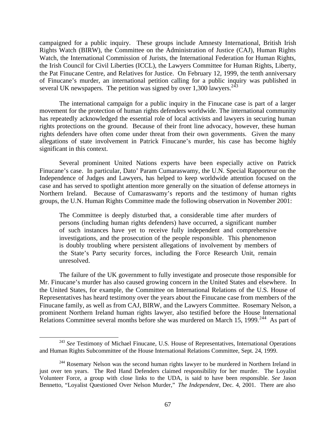campaigned for a public inquiry. These groups include Amnesty International, British Irish Rights Watch (BIRW), the Committee on the Administration of Justice (CAJ), Human Rights Watch, the International Commission of Jurists, the International Federation for Human Rights, the Irish Council for Civil Liberties (ICCL), the Lawyers Committee for Human Rights, Liberty, the Pat Finucane Centre, and Relatives for Justice. On February 12, 1999, the tenth anniversary of Finucane's murder, an international petition calling for a public inquiry was published in several UK newspapers. The petition was signed by over 1,300 lawyers.<sup>243</sup>

The international campaign for a public inquiry in the Finucane case is part of a larger movement for the protection of human rights defenders worldwide. The international community has repeatedly acknowledged the essential role of local activists and lawyers in securing human rights protections on the ground. Because of their front line advocacy, however, these human rights defenders have often come under threat from their own governments. Given the many allegations of state involvement in Patrick Finucane's murder, his case has become highly significant in this context.

Several prominent United Nations experts have been especially active on Patrick Finucane's case. In particular, Dato' Param Cumaraswamy, the U.N. Special Rapporteur on the Independence of Judges and Lawyers, has helped to keep worldwide attention focused on the case and has served to spotlight attention more generally on the situation of defense attorneys in Northern Ireland. Because of Cumaraswamy's reports and the testimony of human rights groups, the U.N. Human Rights Committee made the following observation in November 2001:

The Committee is deeply disturbed that, a considerable time after murders of persons (including human rights defenders) have occurred, a significant number of such instances have yet to receive fully independent and comprehensive investigations, and the prosecution of the people responsible. This phenomenon is doubly troubling where persistent allegations of involvement by members of the State's Party security forces, including the Force Research Unit, remain unresolved.

The failure of the UK government to fully investigate and prosecute those responsible for Mr. Finucane's murder has also caused growing concern in the United States and elsewhere. In the United States, for example, the Committee on International Relations of the U.S. House of Representatives has heard testimony over the years about the Finucane case from members of the Finucane family, as well as from CAJ, BIRW, and the Lawyers Committee. Rosemary Nelson, a prominent Northern Ireland human rights lawyer, also testified before the House International Relations Committee several months before she was murdered on March 15, 1999.<sup>244</sup> As part of

<sup>243</sup> *See* Testimony of Michael Finucane, U.S. House of Representatives, International Operations and Human Rights Subcommittee of the House International Relations Committee, Sept. 24, 1999.

 $244$  Rosemary Nelson was the second human rights lawyer to be murdered in Northern Ireland in just over ten years. The Red Hand Defenders claimed responsibility for her murder. The Loyalist Volunteer Force, a group with close links to the UDA, is said to have been responsible. *See* Jason Bennetto, "Loyalist Questioned Over Nelson Murder," *The Independent*, Dec. 4, 2001. There are also